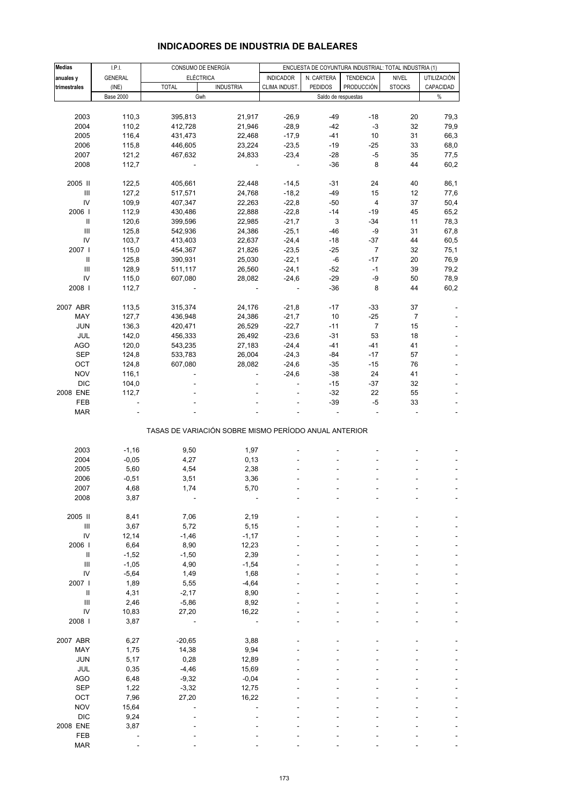| INDICADORES DE INDUSTRIA DE BALEARES |  |
|--------------------------------------|--|
|--------------------------------------|--|

| <b>Medias</b>                      | I.P.I.           | CONSUMO DE ENERGÍA                                    |                          | ENCUESTA DE COYUNTURA INDUSTRIAL: TOTAL INDUSTRIA (1) |                           |                  |                |             |
|------------------------------------|------------------|-------------------------------------------------------|--------------------------|-------------------------------------------------------|---------------------------|------------------|----------------|-------------|
| anuales y                          | <b>GENERAL</b>   | <b>ELÉCTRICA</b>                                      |                          | <b>INDICADOR</b>                                      | N. CARTERA                | <b>TENDENCIA</b> | <b>NIVEL</b>   | UTILIZACIÓN |
| trimestrales                       | (INE)            | <b>TOTAL</b>                                          | <b>INDUSTRIA</b>         | CLIMA INDUST.                                         | <b>PEDIDOS</b>            | PRODUCCIÓN       | <b>STOCKS</b>  | CAPACIDAD   |
|                                    | <b>Base 2000</b> | Gwh                                                   |                          |                                                       | Saldo de respuestas       |                  |                | $\%$        |
|                                    |                  |                                                       |                          |                                                       |                           |                  |                |             |
| 2003                               | 110,3            | 395,813                                               | 21,917                   | $-26,9$                                               | $-49$                     | $-18$            | 20             | 79,3        |
| 2004                               | 110,2            | 412,728                                               | 21,946                   | $-28,9$                                               | $-42$                     | $-3$             | 32             | 79,9        |
| 2005                               | 116,4            | 431,473                                               | 22,468                   | $-17,9$                                               | $-41$                     | 10               | 31             | 66,3        |
| 2006                               | 115,8            | 446,605                                               | 23,224                   | $-23,5$                                               | $-19$                     | -25              | 33             | 68,0        |
| 2007                               | 121,2            | 467,632                                               | 24,833                   | $-23,4$                                               | $-28$                     | $-5$             | 35             | 77,5        |
|                                    |                  |                                                       |                          |                                                       |                           |                  |                |             |
| 2008                               | 112,7            |                                                       |                          |                                                       | $-36$                     | 8                | 44             | 60,2        |
| 2005 II                            | 122,5            | 405,661                                               | 22,448                   | $-14,5$                                               | $-31$                     | 24               | 40             | 86,1        |
| $\ensuremath{\mathsf{III}}\xspace$ | 127,2            | 517,571                                               | 24,768                   | $-18,2$                                               | $-49$                     | 15               | 12             | 77,6        |
| IV                                 |                  |                                                       |                          | $-22,8$                                               |                           | 4                |                |             |
|                                    | 109,9            | 407,347                                               | 22,263                   |                                                       | $-50$                     |                  | 37             | 50,4        |
| 2006                               | 112,9            | 430,486                                               | 22,888                   | $-22,8$                                               | $-14$                     | -19              | 45             | 65,2        |
| $\, \parallel$                     | 120,6            | 399,596                                               | 22,985                   | $-21,7$                                               | $\ensuremath{\mathsf{3}}$ | $-34$            | 11             | 78,3        |
| $\mathbf{III}$                     | 125,8            | 542,936                                               | 24,386                   | $-25,1$                                               | $-46$                     | -9               | 31             | 67,8        |
| IV                                 | 103,7            | 413,403                                               | 22,637                   | $-24,4$                                               | $-18$                     | -37              | 44             | 60,5        |
| 2007                               | 115,0            | 454,367                                               | 21,826                   | $-23,5$                                               | $-25$                     | $\overline{7}$   | 32             | 75,1        |
|                                    | 125,8            | 390,931                                               | 25,030                   | $-22,1$                                               | $-6$                      | $-17$            | 20             | 76,9        |
| III                                | 128,9            | 511,117                                               | 26,560                   | $-24,1$                                               | $-52$                     | $-1$             | 39             | 79,2        |
| IV                                 | 115,0            | 607,080                                               | 28,082                   | $-24,6$                                               | $-29$                     | -9               | 50             | 78,9        |
| 2008                               | 112,7            |                                                       |                          |                                                       | $-36$                     | 8                | 44             | 60,2        |
|                                    |                  |                                                       |                          |                                                       |                           |                  |                |             |
| 2007 ABR                           | 113,5            | 315,374                                               | 24,176                   | $-21,8$                                               | $-17$                     | -33              | 37             |             |
| MAY                                | 127,7            | 436,948                                               | 24,386                   | $-21,7$                                               | 10                        | $-25$            | $\overline{7}$ |             |
| <b>JUN</b>                         | 136,3            | 420,471                                               | 26,529                   | $-22,7$                                               | $-11$                     | $\overline{7}$   | 15             |             |
| JUL                                | 142,0            | 456,333                                               | 26,492                   | $-23,6$                                               | $-31$                     | 53               | 18             |             |
| <b>AGO</b>                         | 120,0            | 543,235                                               | 27,183                   | $-24,4$                                               | $-41$                     | $-41$            | 41             |             |
| <b>SEP</b>                         | 124,8            | 533,783                                               | 26,004                   | $-24,3$                                               | $-84$                     | $-17$            | 57             |             |
| OCT                                | 124,8            | 607,080                                               | 28,082                   | $-24,6$                                               | $-35$                     | $-15$            | 76             |             |
| <b>NOV</b>                         |                  |                                                       |                          |                                                       | $-38$                     |                  |                |             |
|                                    | 116,1            |                                                       | $\overline{\phantom{a}}$ | $-24,6$                                               |                           | 24               | 41             |             |
| <b>DIC</b>                         | 104,0            |                                                       |                          |                                                       | $-15$                     | -37              | 32             |             |
| 2008 ENE                           | 112,7            |                                                       |                          |                                                       | $-32$                     | 22               | 55             |             |
| FEB                                |                  |                                                       |                          |                                                       | $-39$                     | $-5$             | 33             |             |
| <b>MAR</b>                         |                  |                                                       |                          |                                                       |                           | ä,               |                |             |
|                                    |                  | TASAS DE VARIACIÓN SOBRE MISMO PERÍODO ANUAL ANTERIOR |                          |                                                       |                           |                  |                |             |
|                                    |                  |                                                       |                          |                                                       |                           |                  |                |             |
| 2003                               | $-1,16$          | 9,50                                                  | 1,97                     |                                                       |                           |                  |                |             |
| 2004                               | $-0,05$          | 4,27                                                  | 0, 13                    |                                                       |                           |                  |                |             |
| 2005                               | 5,60             | 4,54                                                  | 2,38                     |                                                       |                           |                  |                |             |
| 2006                               | $-0,51$          | 3,51                                                  | 3,36                     |                                                       |                           |                  |                |             |
| 2007                               | 4,68             | 1,74                                                  | 5.70                     |                                                       |                           |                  |                |             |
| 2008                               | 3,87             |                                                       |                          |                                                       |                           |                  |                |             |
|                                    |                  |                                                       |                          |                                                       |                           |                  |                |             |
| 2005 II                            | 8,41             | 7,06                                                  | 2,19                     |                                                       |                           |                  |                |             |
| Ш                                  | 3,67             | 5,72                                                  | 5,15                     |                                                       |                           |                  |                |             |
| IV                                 | 12,14            | $-1,46$                                               | $-1,17$                  |                                                       |                           |                  |                |             |
| 2006                               | 6,64             | 8,90                                                  | 12,23                    |                                                       |                           |                  |                |             |
| $\, \parallel$                     | $-1,52$          | $-1,50$                                               | 2,39                     |                                                       |                           |                  |                |             |
| $\ensuremath{\mathsf{III}}\xspace$ | $-1,05$          | 4,90                                                  | $-1,54$                  |                                                       |                           |                  |                |             |
| IV                                 | $-5,64$          | 1,49                                                  | 1,68                     |                                                       |                           |                  |                |             |
| 2007 l                             | 1,89             | 5,55                                                  | $-4,64$                  |                                                       |                           |                  |                |             |
| Ш                                  | 4,31             | $-2,17$                                               | 8,90                     |                                                       |                           |                  |                |             |
| $\ensuremath{\mathsf{III}}\xspace$ | 2,46             | $-5,86$                                               | 8,92                     |                                                       |                           |                  |                |             |
| IV                                 | 10,83            | 27,20                                                 | 16,22                    |                                                       |                           |                  |                |             |
| 2008                               | 3,87             |                                                       |                          |                                                       |                           |                  |                |             |
|                                    |                  |                                                       |                          |                                                       |                           |                  |                |             |
| 2007 ABR                           | 6,27             | $-20,65$                                              | 3,88                     |                                                       |                           |                  |                |             |
| MAY                                | 1,75             | 14,38                                                 | 9,94                     |                                                       |                           |                  |                |             |
| <b>JUN</b>                         | 5,17             | 0,28                                                  | 12,89                    |                                                       |                           |                  |                |             |
|                                    |                  |                                                       |                          |                                                       |                           |                  |                |             |
| JUL                                | 0,35             | $-4,46$                                               | 15,69                    |                                                       |                           |                  |                |             |
| <b>AGO</b>                         | 6,48             | $-9,32$                                               | $-0,04$                  |                                                       |                           |                  |                |             |
| <b>SEP</b>                         | 1,22             | $-3,32$                                               | 12,75                    |                                                       |                           |                  |                |             |
| OCT                                | 7,96             | 27,20                                                 | 16,22                    |                                                       |                           |                  |                |             |
| <b>NOV</b>                         | 15,64            |                                                       |                          |                                                       |                           |                  |                |             |
| <b>DIC</b>                         | 9,24             |                                                       |                          |                                                       |                           |                  |                |             |
| 2008 ENE                           | 3,87             |                                                       |                          |                                                       |                           |                  |                |             |
| FEB                                |                  |                                                       |                          |                                                       |                           |                  |                |             |
| <b>MAR</b>                         |                  |                                                       |                          |                                                       |                           |                  |                |             |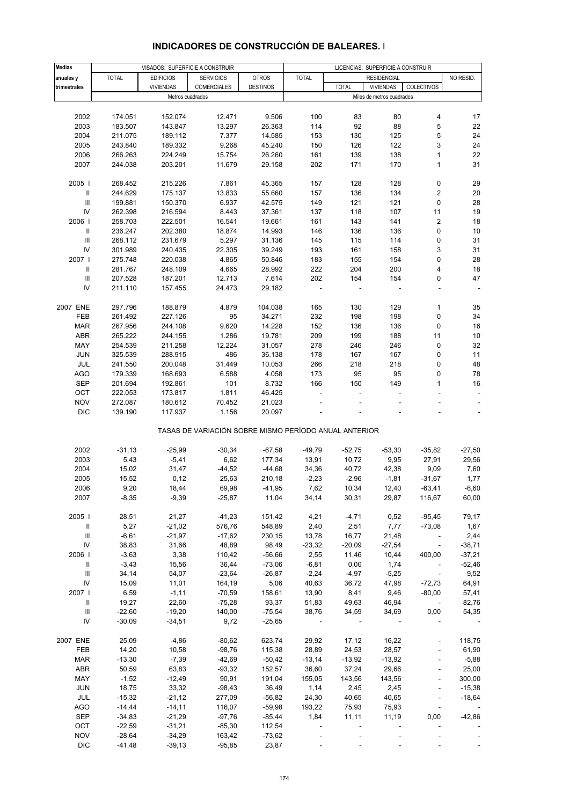| <b>Medias</b>                      |              | VISADOS: SUPERFICIE A CONSTRUIR |                                                       |                 |              |              | LICENCIAS: SUPERFICIE A CONSTRUIR |                              |                          |
|------------------------------------|--------------|---------------------------------|-------------------------------------------------------|-----------------|--------------|--------------|-----------------------------------|------------------------------|--------------------------|
|                                    | <b>TOTAL</b> | <b>EDIFICIOS</b>                |                                                       | <b>OTROS</b>    | <b>TOTAL</b> |              | <b>RESIDENCIAL</b>                |                              | NO RESID.                |
| anuales y                          |              |                                 | <b>SERVICIOS</b>                                      |                 |              |              |                                   |                              |                          |
| trimestrales                       |              | <b>VIVIENDAS</b>                | <b>COMERCIALES</b>                                    | <b>DESTINOS</b> |              | <b>TOTAL</b> | <b>VIVIENDAS</b>                  | COLECTIVOS                   |                          |
|                                    |              | Metros cuadrados                |                                                       |                 |              |              | Miles de metros cuadrados         |                              |                          |
|                                    |              |                                 |                                                       |                 |              |              |                                   |                              |                          |
| 2002                               | 174.051      | 152.074                         | 12.471                                                | 9.506           | 100          | 83           | 80                                | 4                            | 17                       |
| 2003                               | 183.507      | 143.847                         | 13.297                                                | 26.363          | 114          | 92           | 88                                | 5                            | 22                       |
| 2004                               | 211.075      | 189.112                         | 7.377                                                 | 14.585          | 153          | 130          | 125                               | 5                            | 24                       |
| 2005                               | 243.840      | 189.332                         | 9.268                                                 | 45.240          | 150          | 126          | 122                               | 3                            | 24                       |
| 2006                               | 266.263      | 224.249                         | 15.754                                                | 26.260          | 161          | 139          | 138                               | $\mathbf{1}$                 | 22                       |
| 2007                               | 244.038      | 203.201                         | 11.679                                                | 29.158          | 202          | 171          | 170                               | 1                            | 31                       |
|                                    |              |                                 |                                                       |                 |              |              |                                   |                              |                          |
| 2005                               | 268.452      | 215.226                         | 7.861                                                 | 45.365          | 157          | 128          | 128                               | $\pmb{0}$                    | 29                       |
|                                    |              |                                 |                                                       |                 |              |              |                                   | $\sqrt{2}$                   |                          |
| Ш                                  | 244.629      | 175.137                         | 13.833                                                | 55.660          | 157          | 136          | 134                               |                              | 20                       |
| $\ensuremath{\mathsf{III}}\xspace$ | 199.881      | 150.370                         | 6.937                                                 | 42.575          | 149          | 121          | 121                               | 0                            | 28                       |
| IV                                 | 262.398      | 216.594                         | 8.443                                                 | 37.361          | 137          | 118          | 107                               | 11                           | 19                       |
| 2006                               | 258.703      | 222.501                         | 16.541                                                | 19.661          | 161          | 143          | 141                               | $\sqrt{2}$                   | 18                       |
| $\ensuremath{\mathsf{II}}$         | 236.247      | 202.380                         | 18.874                                                | 14.993          | 146          | 136          | 136                               | 0                            | 10                       |
| Ш                                  | 268.112      | 231.679                         | 5.297                                                 | 31.136          | 145          | 115          | 114                               | 0                            | 31                       |
| IV                                 | 301.989      | 240.435                         | 22.305                                                | 39.249          | 193          | 161          | 158                               | 3                            | 31                       |
| 2007                               | 275.748      | 220.038                         | 4.865                                                 | 50.846          | 183          | 155          | 154                               | 0                            | 28                       |
| $\ensuremath{\mathsf{II}}$         | 281.767      | 248.109                         | 4.665                                                 | 28.992          | 222          | 204          | 200                               | 4                            | 18                       |
| $\mathsf{III}\,$                   | 207.528      | 187.201                         | 12.713                                                | 7.614           | 202          | 154          | 154                               | 0                            | 47                       |
| IV                                 | 211.110      | 157.455                         | 24.473                                                | 29.182          |              |              |                                   |                              |                          |
|                                    |              |                                 |                                                       |                 |              |              |                                   |                              |                          |
|                                    |              |                                 |                                                       |                 |              |              |                                   |                              |                          |
| 2007 ENE                           | 297.796      | 188.879                         | 4.879                                                 | 104.038         | 165          | 130          | 129                               | $\mathbf{1}$                 | 35                       |
| FEB                                | 261.492      | 227.126                         | 95                                                    | 34.271          | 232          | 198          | 198                               | $\pmb{0}$                    | 34                       |
| <b>MAR</b>                         | 267.956      | 244.108                         | 9.620                                                 | 14.228          | 152          | 136          | 136                               | $\pmb{0}$                    | 16                       |
| ABR                                | 265.222      | 244.155                         | 1.286                                                 | 19.781          | 209          | 199          | 188                               | 11                           | 10                       |
| MAY                                | 254.539      | 211.258                         | 12.224                                                | 31.057          | 278          | 246          | 246                               | 0                            | 32                       |
| <b>JUN</b>                         | 325.539      | 288.915                         | 486                                                   | 36.138          | 178          | 167          | 167                               | 0                            | 11                       |
| JUL                                | 241.550      | 200.048                         | 31.449                                                | 10.053          | 266          | 218          | 218                               | 0                            | 48                       |
| <b>AGO</b>                         | 179.339      | 168.693                         | 6.588                                                 | 4.058           | 173          | 95           | 95                                | $\mathbf 0$                  | 78                       |
| <b>SEP</b>                         | 201.694      | 192.861                         | 101                                                   | 8.732           | 166          | 150          | 149                               | $\mathbf{1}$                 | 16                       |
| OCT                                | 222.053      | 173.817                         | 1.811                                                 | 46.425          |              |              |                                   |                              |                          |
|                                    |              |                                 |                                                       |                 |              |              |                                   |                              |                          |
| <b>NOV</b>                         | 272.087      | 180.612                         | 70.452                                                | 21.023          |              |              |                                   |                              |                          |
| <b>DIC</b>                         | 139.190      | 117.937                         | 1.156                                                 | 20.097          |              |              |                                   |                              | $\overline{\phantom{a}}$ |
|                                    |              |                                 |                                                       |                 |              |              |                                   |                              |                          |
|                                    |              |                                 | TASAS DE VARIACIÓN SOBRE MISMO PERÍODO ANUAL ANTERIOR |                 |              |              |                                   |                              |                          |
|                                    |              |                                 |                                                       |                 |              |              |                                   |                              |                          |
| 2002                               | $-31,13$     | $-25,99$                        | $-30,34$                                              | $-67,58$        | $-49,79$     | $-52,75$     | $-53,30$                          | $-35,82$                     | $-27,50$                 |
| 2003                               | 5,43         | $-5,41$                         | 6,62                                                  | 177,34          | 13,91        | 10,72        | 9,95                              | 27,91                        | 29,56                    |
| 2004                               | 15,02        | 31,47                           | $-44,52$                                              | $-44,68$        | 34,36        | 40,72        | 42,38                             | 9,09                         | 7,60                     |
| 2005                               | 15,52        | 0,12                            | 25,63                                                 | 210,18          | $-2,23$      | $-2,96$      | $-1,81$                           | $-31,67$                     | 1,77                     |
| 2006                               | 9,20         | 18,44                           | 69,98                                                 | $-41,95$        | 7,62         | 10,34        | 12,40                             | $-63,41$                     | $-6,60$                  |
| 2007                               | $-8,35$      | $-9,39$                         | $-25,87$                                              | 11,04           | 34,14        | 30,31        | 29,87                             | 116,67                       | 60,00                    |
|                                    |              |                                 |                                                       |                 |              |              |                                   |                              |                          |
| 2005                               | 28,51        | 21,27                           | $-41,23$                                              | 151,42          | 4,21         | $-4,71$      | 0,52                              | $-95,45$                     | 79,17                    |
| Ш                                  | 5,27         | $-21,02$                        | 576,76                                                | 548,89          | 2,40         | 2,51         | 7,77                              | $-73,08$                     | 1,67                     |
| Ш                                  | $-6,61$      | $-21,97$                        | $-17,62$                                              | 230,15          | 13,78        | 16,77        | 21,48                             |                              | 2,44                     |
| IV                                 | 38,83        | 31,66                           | 48,89                                                 | 98,49           | $-23,32$     | $-20,09$     | $-27,54$                          | $\sim$ $-$                   | $-38,71$                 |
|                                    |              |                                 |                                                       |                 |              |              |                                   |                              |                          |
| 2006                               | $-3,63$      | 3,38                            | 110,42                                                | $-56,66$        | 2,55         | 11,46        | 10,44                             | 400,00                       | $-37,21$                 |
| Ш                                  | $-3,43$      | 15,56                           | 36,44                                                 | $-73,06$        | $-6,81$      | 0,00         | 1,74                              | $\overline{\phantom{a}}$     | $-52,46$                 |
| $\ensuremath{\mathsf{III}}\xspace$ | 34,14        | 54,07                           | $-23,64$                                              | $-26,87$        | $-2,24$      | $-4,97$      | $-5,25$                           | $\sim$                       | 9,52                     |
| IV                                 | 15,09        | 11,01                           | 164,19                                                | 5,06            | 40,63        | 36,72        | 47,98                             | $-72,73$                     | 64,91                    |
| 2007                               | 6,59         | $-1,11$                         | $-70,59$                                              | 158,61          | 13,90        | 8,41         | 9,46                              | $-80,00$                     | 57,41                    |
| Ш                                  | 19,27        | 22,60                           | $-75,28$                                              | 93,37           | 51,83        | 49,63        | 46,94                             | $\sim$ $-$                   | 82,76                    |
| Ш                                  | $-22,60$     | $-19,20$                        | 140,00                                                | $-75,54$        | 38,76        | 34,59        | 34,69                             | 0,00                         | 54,35                    |
| IV                                 | $-30,09$     | $-34,51$                        | 9,72                                                  | $-25,65$        |              |              |                                   |                              |                          |
|                                    |              |                                 |                                                       |                 |              |              |                                   |                              |                          |
| 2007 ENE                           | 25,09        | $-4,86$                         | $-80,62$                                              | 623,74          | 29,92        | 17,12        | 16,22                             | $\overline{\phantom{a}}$     | 118,75                   |
| FEB                                | 14,20        | 10,58                           | $-98,76$                                              | 115,38          | 28,89        | 24,53        | 28,57                             | $\overline{\phantom{a}}$     | 61,90                    |
|                                    |              |                                 |                                                       |                 |              |              |                                   |                              |                          |
| <b>MAR</b>                         | $-13,30$     | $-7,39$                         | $-42,69$                                              | $-50,42$        | $-13,14$     | $-13,92$     | $-13,92$                          | $\Box$                       | $-5,88$                  |
| ABR                                | 50,59        | 63,83                           | $-93,32$                                              | 152,57          | 36,60        | 37,24        | 29,66                             | $\qquad \qquad \blacksquare$ | 25,00                    |
| MAY                                | $-1,52$      | $-12,49$                        | 90,91                                                 | 191,04          | 155,05       | 143,56       | 143,56                            |                              | 300,00                   |
| JUN                                | 18,75        | 33,32                           | $-98,43$                                              | 36,49           | 1,14         | 2,45         | 2,45                              | $\Box$                       | $-15,38$                 |
| JUL                                | $-15,32$     | $-21,12$                        | 277,09                                                | $-56,82$        | 24,30        | 40,65        | 40,65                             |                              | $-18,64$                 |
| AGO                                | $-14,44$     | $-14,11$                        | 116,07                                                | $-59,98$        | 193,22       | 75,93        | 75,93                             |                              | $\sim$                   |
| <b>SEP</b>                         | $-34,83$     | $-21,29$                        | $-97,76$                                              | $-85,44$        | 1,84         | 11, 11       | 11,19                             | 0,00                         | $-42,86$                 |
| OCT                                | $-22,59$     | $-31,21$                        | $-85,30$                                              | 112,54          |              |              |                                   |                              |                          |
| <b>NOV</b>                         | $-28,64$     | $-34,29$                        | 163,42                                                | $-73,62$        |              |              |                                   |                              |                          |
|                                    |              |                                 |                                                       |                 |              |              |                                   |                              |                          |

#### **INDICADORES DE CONSTRUCCIÓN DE BALEARES. I**

DIC -41,48 -39,13 -95,85 23,87 - - - - - - - -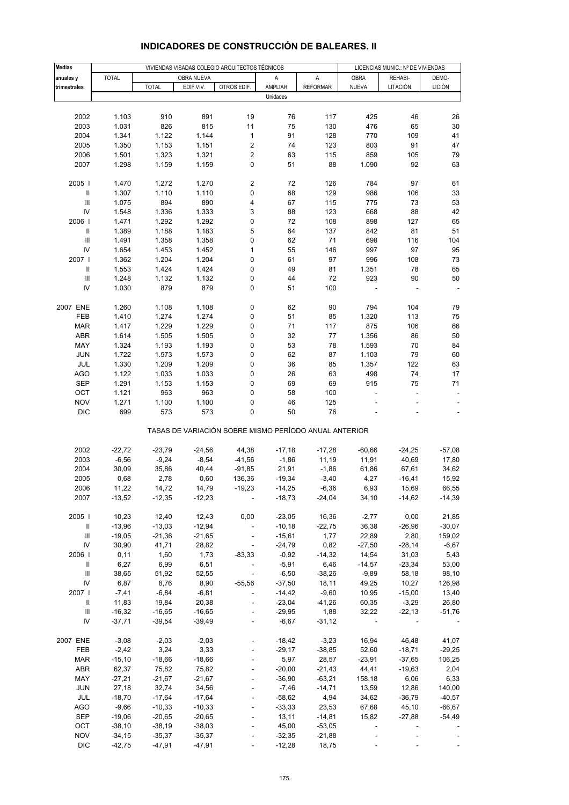| <b>Medias</b>                      | VIVIENDAS VISADAS COLEGIO ARQUITECTOS TÉCNICOS |              |            |                                                       |          |                 | LICENCIAS MUNIC.: Nº DE VIVIENDAS |                          |               |
|------------------------------------|------------------------------------------------|--------------|------------|-------------------------------------------------------|----------|-----------------|-----------------------------------|--------------------------|---------------|
| anuales y                          | <b>TOTAL</b>                                   |              | OBRA NUEVA |                                                       | Α        | A               | <b>OBRA</b>                       | REHABI-                  | DEMO-         |
| trimestrales                       |                                                | <b>TOTAL</b> | EDIF.VIV.  | OTROS EDIF.                                           | AMPLIAR  | <b>REFORMAR</b> | <b>NUEVA</b>                      | LITACIÓN                 | <b>LICIÓN</b> |
|                                    |                                                |              |            |                                                       | Unidades |                 |                                   |                          |               |
|                                    |                                                |              |            |                                                       |          |                 |                                   |                          |               |
| 2002                               | 1.103                                          | 910          | 891        | 19                                                    | 76       | 117             | 425                               | 46                       | 26            |
| 2003                               | 1.031                                          | 826          | 815        | 11                                                    | 75       | 130             | 476                               | 65                       | 30            |
| 2004                               | 1.341                                          | 1.122        | 1.144      | $\mathbf{1}$                                          | 91       | 128             | 770                               | 109                      | 41            |
| 2005                               | 1.350                                          | 1.153        | 1.151      | 2                                                     | 74       | 123             | 803                               | 91                       | 47            |
| 2006                               | 1.501                                          | 1.323        | 1.321      | $\mathbf 2$                                           | 63       | 115             | 859                               | 105                      | 79            |
| 2007                               | 1.298                                          | 1.159        | 1.159      | 0                                                     | 51       | 88              | 1.090                             | 92                       | 63            |
|                                    |                                                |              |            |                                                       |          |                 |                                   |                          |               |
| 2005                               | 1.470                                          | 1.272        | 1.270      | 2                                                     | 72       | 126             | 784                               | 97                       | 61            |
| Ш                                  | 1.307                                          | 1.110        | 1.110      | 0                                                     | 68       | 129             | 986                               | 106                      | 33            |
| $\ensuremath{\mathsf{III}}\xspace$ | 1.075                                          | 894          | 890        | 4                                                     | 67       | 115             | 775                               | 73                       | 53            |
| IV                                 | 1.548                                          | 1.336        | 1.333      | 3                                                     | 88       | 123             | 668                               | 88                       | 42            |
| 2006                               | 1.471                                          | 1.292        | 1.292      | 0                                                     | 72       | 108             | 898                               | 127                      | 65            |
| Ш                                  | 1.389                                          | 1.188        | 1.183      | 5                                                     | 64       | 137             | 842                               | 81                       | 51            |
| $\ensuremath{\mathsf{III}}\xspace$ | 1.491                                          | 1.358        | 1.358      | 0                                                     | 62       | 71              | 698                               | 116                      | 104           |
| IV                                 | 1.654                                          | 1.453        | 1.452      | $\mathbf{1}$                                          | 55       | 146             | 997                               | 97                       | 95            |
| 2007 l                             | 1.362                                          | 1.204        | 1.204      | 0                                                     | 61       | 97              | 996                               | 108                      | 73            |
| $\, \parallel$                     | 1.553                                          | 1.424        | 1.424      | 0                                                     | 49       | 81              | 1.351                             | 78                       | 65            |
| III                                | 1.248                                          | 1.132        | 1.132      | 0                                                     | 44       | 72              | 923                               | 90                       | 50            |
| IV                                 | 1.030                                          | 879          | 879        | 0                                                     | 51       | 100             |                                   |                          |               |
| 2007 ENE                           | 1.260                                          | 1.108        | 1.108      | 0                                                     | 62       | 90              | 794                               | 104                      | 79            |
| FEB                                | 1.410                                          | 1.274        | 1.274      | 0                                                     | 51       | 85              | 1.320                             | 113                      | 75            |
| <b>MAR</b>                         | 1.417                                          | 1.229        | 1.229      | 0                                                     | 71       | 117             | 875                               | 106                      | 66            |
| ABR                                | 1.614                                          | 1.505        | 1.505      | 0                                                     | 32       | 77              | 1.356                             | 86                       | 50            |
| MAY                                | 1.324                                          | 1.193        | 1.193      | 0                                                     | 53       | 78              | 1.593                             | 70                       | 84            |
| <b>JUN</b>                         | 1.722                                          | 1.573        | 1.573      | 0                                                     | 62       | 87              | 1.103                             | 79                       | 60            |
| JUL                                | 1.330                                          | 1.209        | 1.209      | 0                                                     | 36       | 85              | 1.357                             | 122                      | 63            |
| <b>AGO</b>                         | 1.122                                          | 1.033        | 1.033      | 0                                                     | 26       | 63              | 498                               | 74                       | 17            |
| <b>SEP</b>                         | 1.291                                          | 1.153        | 1.153      | 0                                                     | 69       | 69              | 915                               | 75                       | 71            |
| OCT                                | 1.121                                          | 963          | 963        | 0                                                     | 58       | 100             |                                   | ÷,                       |               |
| <b>NOV</b>                         | 1.271                                          | 1.100        | 1.100      | 0                                                     | 46       | 125             |                                   |                          |               |
| <b>DIC</b>                         | 699                                            | 573          | 573        | 0                                                     | 50       | 76              |                                   |                          |               |
|                                    |                                                |              |            | TASAS DE VARIACIÓN SOBRE MISMO PERÍODO ANUAL ANTERIOR |          |                 |                                   |                          |               |
|                                    |                                                |              |            |                                                       |          |                 |                                   |                          |               |
| 2002                               | $-22,72$                                       | $-23,79$     | $-24,56$   | 44,38                                                 | $-17,18$ | $-17,28$        | $-60,66$                          | $-24,25$                 | $-57,08$      |
| 2003                               | $-6,56$                                        | $-9,24$      | $-8,54$    | $-41,56$                                              | $-1,86$  | 11,19           | 11,91                             | 40,69                    | 17,80         |
| 2004                               | 30,09                                          | 35,86        | 40,44      | $-91,85$                                              | 21,91    | $-1,86$         | 61,86                             | 67,61                    | 34,62         |
| 2005                               | 0,68                                           | 2,78         | 0,60       | 136,36                                                | $-19,34$ | $-3,40$         | 4,27                              | $-16,41$                 | 15,92         |
| 2006                               | 11,22                                          | 14,72        | 14,79      | $-19,23$                                              | $-14,25$ | $-6,36$         | 6,93                              | 15,69                    | 66,55         |
| 2007                               | $-13,52$                                       | -12,35       | $-12,23$   |                                                       | $-18,73$ | -24,04          | 34,10                             | $-14,62$                 | $-14,39$      |
| 2005                               | 10,23                                          | 12,40        | 12,43      | 0,00                                                  | $-23,05$ | 16,36           | $-2,77$                           | 0,00                     | 21,85         |
| Ш                                  | $-13,96$                                       | $-13,03$     | $-12,94$   | $\blacksquare$                                        | $-10,18$ | $-22,75$        | 36,38                             | $-26,96$                 | $-30,07$      |
| Ш                                  | $-19,05$                                       | $-21,36$     | $-21,65$   | $\overline{\phantom{a}}$                              | $-15,61$ | 1,77            | 22,89                             | 2,80                     | 159,02        |
| IV                                 | 30,90                                          | 41,71        | 28,82      | $\blacksquare$                                        | $-24,79$ | 0,82            | $-27,50$                          | $-28,14$                 | $-6,67$       |
| 2006                               | 0,11                                           | 1,60         | 1,73       | $-83,33$                                              | $-0.92$  | $-14,32$        | 14,54                             | 31,03                    | 5,43          |
| $\, \parallel$                     | 6,27                                           | 6,99         | 6,51       | $\overline{\phantom{a}}$                              | $-5,91$  | 6,46            | $-14,57$                          | $-23,34$                 | 53,00         |
| Ш                                  | 38,65                                          | 51,92        | 52,55      | $\overline{\phantom{a}}$                              | $-6,50$  | $-38,26$        | $-9,89$                           | 58,18                    | 98,10         |
| IV                                 | 6,87                                           | 8,76         | 8,90       | $-55,56$                                              | $-37,50$ | 18,11           | 49,25                             | 10,27                    | 126,98        |
| 2007                               | $-7,41$                                        | $-6,84$      | $-6,81$    | $\blacksquare$                                        | $-14,42$ | $-9,60$         | 10,95                             | $-15,00$                 | 13,40         |
| Ш                                  | 11,83                                          | 19,84        | 20,38      | ÷,                                                    | $-23,04$ | $-41,26$        | 60,35                             | $-3,29$                  | 26,80         |
| Ш                                  | $-16,32$                                       | $-16,65$     | $-16,65$   | $\overline{\phantom{a}}$                              | $-29,95$ | 1,88            | 32,22                             | $-22,13$                 | $-51,76$      |
| IV                                 | $-37,71$                                       | $-39,54$     | $-39,49$   | $\blacksquare$                                        | $-6,67$  | $-31,12$        | $\sim$                            | $\overline{\phantom{a}}$ |               |
|                                    |                                                |              |            |                                                       |          |                 |                                   |                          |               |
| 2007 ENE                           | $-3,08$                                        | $-2,03$      | $-2,03$    | $\blacksquare$                                        | -18,42   | $-3,23$         | 16,94                             | 46,48                    | 41,07         |
| FEB                                | $-2,42$                                        | 3,24         | 3,33       |                                                       | $-29,17$ | $-38,85$        | 52,60                             | $-18,71$                 | $-29,25$      |
| <b>MAR</b>                         | $-15,10$                                       | $-18,66$     | $-18,66$   |                                                       | 5,97     | 28,57           | $-23,91$                          | $-37,65$                 | 106,25        |
| ABR                                | 62,37                                          | 75,82        | 75,82      |                                                       | $-20,00$ | $-21,43$        | 44,41                             | $-19,63$                 | 2,04          |
| MAY                                | $-27,21$                                       | $-21,67$     | $-21,67$   |                                                       | $-36,90$ | $-63,21$        | 158,18                            | 6,06                     | 6,33          |
| <b>JUN</b>                         | 27,18                                          | 32,74        | 34,56      | ÷,                                                    | $-7,46$  | $-14,71$        | 13,59                             | 12,86                    | 140,00        |
| JUL                                | $-18,70$                                       | $-17,64$     | $-17,64$   | $\blacksquare$                                        | $-58,62$ | 4,94            | 34,62                             | $-36,79$                 | $-40,57$      |
| AGO                                | $-9,66$                                        | $-10,33$     | $-10,33$   |                                                       | $-33,33$ | 23,53           | 67,68                             | 45,10                    | $-66,67$      |
| <b>SEP</b>                         | $-19,06$                                       | $-20,65$     | $-20,65$   |                                                       | 13,11    | $-14,81$        | 15,82                             | $-27,88$                 | $-54,49$      |
| OCT                                | $-38,10$                                       | $-38,19$     | $-38,03$   |                                                       | 45,00    | $-53,05$        | $\overline{\phantom{a}}$          |                          |               |
| <b>NOV</b>                         | $-34,15$                                       | $-35,37$     | $-35,37$   |                                                       | $-32,35$ | $-21,88$        |                                   |                          |               |
| <b>DIC</b>                         | $-42,75$                                       | $-47,91$     | $-47,91$   | ÷,                                                    | $-12,28$ | 18,75           |                                   |                          |               |

### **INDICADORES DE CONSTRUCCIÓN DE BALEARES. II**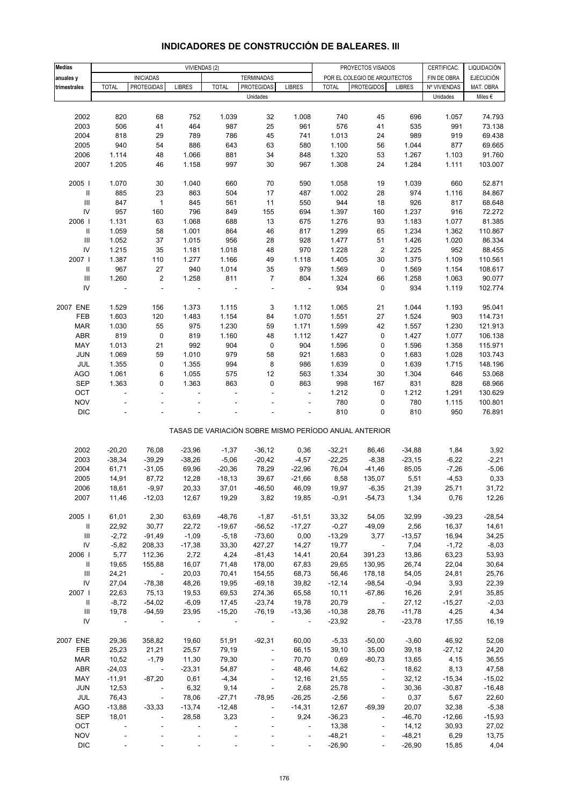| <b>Medias</b>                      |                | VIVIENDAS (2)            |                          |                |                          | CERTIFICAC.<br>PROYECTOS VISADOS |              |                                                       |               | LIQUIDACIÓN  |                  |
|------------------------------------|----------------|--------------------------|--------------------------|----------------|--------------------------|----------------------------------|--------------|-------------------------------------------------------|---------------|--------------|------------------|
| anuales y                          |                | <b>INICIADAS</b>         |                          |                | <b>TERMINADAS</b>        |                                  |              | POR EL COLEGIO DE ARQUITECTOS                         |               | FIN DE OBRA  | <b>EJECUCIÓN</b> |
| trimestrales                       | <b>TOTAL</b>   | <b>PROTEGIDAS</b>        | <b>LIBRES</b>            | <b>TOTAL</b>   | PROTEGIDAS               | <b>LIBRES</b>                    | <b>TOTAL</b> | <b>PROTEGIDOS</b>                                     | <b>LIBRES</b> | Nº VIVIENDAS | MAT. OBRA        |
|                                    |                |                          |                          |                | Unidades                 |                                  |              |                                                       |               | Unidades     | Miles $\epsilon$ |
|                                    |                |                          |                          |                |                          |                                  |              |                                                       |               |              |                  |
| 2002                               | 820            | 68                       | 752                      | 1.039          | 32                       | 1.008                            | 740          | 45                                                    | 696           | 1.057        | 74.793           |
| 2003                               | 506            | 41                       | 464                      | 987            | 25                       | 961                              | 576          | 41                                                    | 535           | 991          | 73.138           |
| 2004                               | 818            | 29                       | 789                      | 786            | 45                       | 741                              | 1.013        | 24                                                    | 989           | 919          | 69.438           |
| 2005                               | 940            | 54                       | 886                      | 643            | 63                       | 580                              | 1.100        | 56                                                    | 1.044         | 877          | 69.665           |
| 2006                               | 1.114          | 48                       | 1.066                    | 881            | 34                       | 848                              | 1.320        | 53                                                    | 1.267         | 1.103        | 91.760           |
| 2007                               | 1.205          | 46                       | 1.158                    | 997            | 30                       | 967                              | 1.308        | 24                                                    | 1.284         | 1.111        | 103.007          |
|                                    |                |                          |                          |                |                          |                                  |              |                                                       |               |              |                  |
| 2005 l                             | 1.070          | 30                       | 1.040                    | 660            | 70                       | 590                              | 1.058        | 19                                                    | 1.039         | 660          | 52.871           |
| Ш                                  | 885            | 23                       | 863                      | 504            | 17                       | 487                              | 1.002        | 28                                                    | 974           | 1.116        | 84.867           |
| $\ensuremath{\mathsf{III}}\xspace$ | 847            | $\mathbf{1}$             | 845                      | 561            | 11                       | 550                              | 944          | 18                                                    | 926           | 817          | 68.648           |
| ${\sf IV}$                         | 957            | 160                      | 796                      | 849            | 155                      | 694                              | 1.397        | 160                                                   | 1.237         | 916          | 72.272           |
| 2006                               |                |                          |                          | 688            |                          | 675                              |              | 93                                                    | 1.183         | 1.077        | 81.385           |
|                                    | 1.131          | 63                       | 1.068                    |                | 13                       |                                  | 1.276        |                                                       |               |              |                  |
| $\ensuremath{\mathsf{II}}$         | 1.059          | 58                       | 1.001                    | 864            | 46                       | 817                              | 1.299        | 65                                                    | 1.234         | 1.362        | 110.867          |
| $\ensuremath{\mathsf{III}}\xspace$ | 1.052          | 37                       | 1.015                    | 956            | 28                       | 928                              | 1.477        | 51                                                    | 1.426         | 1.020        | 86.334           |
| ${\sf IV}$                         | 1.215          | 35                       | 1.181                    | 1.018          | 48                       | 970                              | 1.228        | $\overline{\mathbf{c}}$                               | 1.225         | 952          | 88.455           |
| 2007 l                             | 1.387          | 110                      | 1.277                    | 1.166          | 49                       | 1.118                            | 1.405        | 30                                                    | 1.375         | 1.109        | 110.561          |
| Ш                                  | 967            | 27                       | 940                      | 1.014          | 35                       | 979                              | 1.569        | 0                                                     | 1.569         | 1.154        | 108.617          |
| $\ensuremath{\mathsf{III}}\xspace$ | 1.260          | $\mathbf 2$              | 1.258                    | 811            | $\overline{7}$           | 804                              | 1.324        | 66                                                    | 1.258         | 1.063        | 90.077           |
| IV                                 |                | ÷,                       |                          |                | ÷,                       |                                  | 934          | 0                                                     | 934           | 1.119        | 102.774          |
|                                    |                |                          |                          |                |                          |                                  |              |                                                       |               |              |                  |
| 2007 ENE                           | 1.529          | 156                      | 1.373                    | 1.115          | 3                        | 1.112                            | 1.065        | 21                                                    | 1.044         | 1.193        | 95.041           |
| FEB                                | 1.603          | 120                      | 1.483                    | 1.154          | 84                       | 1.070                            | 1.551        | 27                                                    | 1.524         | 903          | 114.731          |
| <b>MAR</b>                         | 1.030          | 55                       | 975                      | 1.230          | 59                       | 1.171                            | 1.599        | 42                                                    | 1.557         | 1.230        | 121.913          |
| ABR                                | 819            | $\pmb{0}$                | 819                      | 1.160          | 48                       | 1.112                            | 1.427        | 0                                                     | 1.427         | 1.077        | 106.138          |
| MAY                                | 1.013          | 21                       | 992                      | 904            | $\pmb{0}$                | 904                              | 1.596        | 0                                                     | 1.596         | 1.358        | 115.971          |
| <b>JUN</b>                         | 1.069          | 59                       | 1.010                    | 979            | 58                       | 921                              | 1.683        | 0                                                     | 1.683         | 1.028        | 103.743          |
| JUL                                | 1.355          | 0                        | 1.355                    | 994            | 8                        | 986                              | 1.639        | $\pmb{0}$                                             | 1.639         | 1.715        | 148.196          |
| <b>AGO</b>                         | 1.061          | 6                        | 1.055                    | 575            | 12                       | 563                              | 1.334        | 30                                                    | 1.304         | 646          | 53.068           |
| <b>SEP</b>                         | 1.363          | 0                        | 1.363                    | 863            | 0                        | 863                              | 998          | 167                                                   | 831           | 828          | 68.966           |
| OCT                                | ÷,             | ÷,                       | ÷,                       | ä,             |                          | $\overline{\phantom{a}}$         | 1.212        | 0                                                     | 1.212         | 1.291        | 130.629          |
| <b>NOV</b>                         |                |                          |                          |                |                          |                                  | 780          | 0                                                     | 780           | 1.115        | 100.801          |
| $\mathsf{DIC}$                     |                |                          |                          |                |                          | ä,                               | 810          | 0                                                     | 810           | 950          | 76.891           |
|                                    |                |                          |                          |                |                          |                                  |              |                                                       |               |              |                  |
|                                    |                |                          |                          |                |                          |                                  |              | TASAS DE VARIACIÓN SOBRE MISMO PERÍODO ANUAL ANTERIOR |               |              |                  |
|                                    |                |                          |                          |                |                          |                                  |              |                                                       |               |              |                  |
| 2002                               | $-20,20$       | 76,08                    | $-23,96$                 | $-1,37$        | $-36,12$                 | 0,36                             | $-32,21$     | 86,46                                                 | $-34,88$      | 1,84         | 3,92             |
| 2003                               | $-38,34$       | $-39,29$                 | $-38,26$                 | $-5,06$        | $-20,42$                 | $-4,57$                          | $-22,25$     | $-8,38$                                               | $-23,15$      | $-6,22$      | $-2,21$          |
| 2004                               | 61,71          | $-31,05$                 | 69,96                    | $-20,36$       | 78,29                    | $-22,96$                         | 76,04        | $-41,46$                                              | 85,05         | $-7,26$      | $-5,06$          |
| 2005                               | 14,91          | 87,72                    | 12,28                    | $-18,13$       | 39,67                    | $-21,66$                         | 8,58         | 135,07                                                | 5,51          | $-4,53$      | 0,33             |
| 2006                               | 18,61          | -9,97                    | 20,33                    | 37,01          | $-46,50$                 | 46,09                            | 19,97        | -6,35                                                 | 21,39         | 25,71        | 31,72            |
| 2007                               | 11,46          | $-12,03$                 | 12,67                    | 19,29          | 3,82                     | 19,85                            | $-0,91$      | $-54,73$                                              | 1,34          | 0,76         | 12,26            |
|                                    |                |                          |                          |                |                          |                                  |              |                                                       |               |              |                  |
| 2005                               | 61,01          | 2,30                     | 63,69                    | $-48,76$       | $-1,87$                  | $-51,51$                         | 33,32        | 54,05                                                 | 32,99         | $-39,23$     | $-28,54$         |
| $\, \parallel$                     | 22,92          | 30,77                    | 22,72                    | $-19,67$       | $-56,52$                 | $-17,27$                         | $-0,27$      | $-49,09$                                              | 2,56          | 16,37        | 14,61            |
| $\ensuremath{\mathsf{III}}\xspace$ | $-2,72$        | $-91,49$                 | $-1,09$                  | $-5,18$        | $-73,60$                 | 0,00                             | $-13,29$     | 3,77                                                  | $-13,57$      | 16,94        | 34,25            |
| ${\sf IV}$                         | $-5,82$        | 208,33                   | $-17,38$                 | 33,30          | 427,27                   | 14,27                            | 19,77        | $\sim$                                                | 7,04          | $-1,72$      | $-8,03$          |
| 2006                               | 5,77           | 112,36                   | 2,72                     | 4,24           | $-81,43$                 | 14,41                            | 20,64        | 391,23                                                | 13,86         | 63,23        | 53,93            |
| Ш                                  | 19,65          | 155,88                   | 16,07                    | 71,48          | 178,00                   | 67,83                            | 29,65        | 130,95                                                | 26,74         | 22,04        | 30,64            |
| Ш                                  | 24,21          | $\sim$ $-$               | 20,03                    | 70,41          | 154,55                   | 68,73                            | 56,46        | 178,18                                                | 54,05         | 24,81        | 25,76            |
| IV                                 | 27,04          | $-78,38$                 | 48,26                    | 19,95          | $-69,18$                 | 39,82                            | $-12,14$     | $-98,54$                                              | $-0,94$       | 3,93         | 22,39            |
| 2007                               | 22,63          | 75,13                    | 19,53                    | 69,53          | 274,36                   | 65,58                            | 10,11        | $-67,86$                                              | 16,26         | 2,91         | 35,85            |
| Ш                                  | $-8,72$        | $-54,02$                 | $-6,09$                  | 17,45          | $-23,74$                 | 19,78                            | 20,79        | $\sim 100$ km s $^{-1}$                               | 27,12         | $-15,27$     | $-2,03$          |
| $\ensuremath{\mathsf{III}}\xspace$ | 19,78          | $-94,59$                 | 23,95                    | $-15,20$       | $-76,19$                 | $-13,36$                         | $-10,38$     | 28,76                                                 | $-11,78$      | 4,25         | 4,34             |
| IV                                 |                |                          |                          |                |                          |                                  |              |                                                       |               |              |                  |
|                                    | $\blacksquare$ | $\overline{\phantom{a}}$ | $\overline{\phantom{a}}$ | $\blacksquare$ | $\blacksquare$           | $\overline{\phantom{a}}$         | $-23,92$     | $\sim 100$ km s $^{-1}$                               | $-23,78$      | 17,55        | 16,19            |
|                                    |                |                          |                          |                |                          |                                  |              |                                                       |               |              |                  |
| 2007 ENE                           | 29,36          | 358,82                   | 19,60                    | 51,91          | $-92,31$                 | 60,00                            | $-5,33$      | $-50,00$                                              | $-3,60$       | 46,92        | 52,08            |
| FEB                                | 25,23          | 21,21                    | 25,57                    | 79,19          | $\Box$                   | 66,15                            | 39,10        | 35,00                                                 | 39,18         | $-27,12$     | 24,20            |
| <b>MAR</b>                         | 10,52          | $-1,79$                  | 11,30                    | 79,30          | $\overline{\phantom{a}}$ | 70,70                            | 0,69         | $-80,73$                                              | 13,65         | 4,15         | 36,55            |
| ABR                                | $-24,03$       | $\sim 100$               | $-23,31$                 | 54,87          | $\blacksquare$           | 48,46                            | 14,62        | $\overline{\phantom{a}}$                              | 18,62         | 8,13         | 47,58            |
| MAY                                | $-11,91$       | $-87,20$                 | 0,61                     | $-4,34$        | $\overline{\phantom{a}}$ | 12,16                            | 21,55        | $\overline{\phantom{a}}$                              | 32,12         | $-15,34$     | $-15,02$         |
| JUN                                | 12,53          | $\blacksquare$           | 6,32                     | 9,14           | $\overline{\phantom{a}}$ | 2,68                             | 25,78        | $\overline{\phantom{a}}$                              | 30,36         | $-30,87$     | $-16,48$         |
| JUL                                | 76,43          | $\sim$                   | 78,06                    | $-27,71$       | $-78,95$                 | $-26,25$                         | $-2,56$      | $\overline{\phantom{a}}$                              | 0,37          | 5,67         | 22,60            |
| AGO                                | $-13,88$       | $-33,33$                 | $-13,74$                 | $-12,48$       | $\frac{1}{2}$            | $-14,31$                         | 12,67        | $-69,39$                                              | 20,07         | 32,38        | $-5,38$          |
| <b>SEP</b>                         | 18,01          | $\overline{\phantom{a}}$ | 28,58                    | 3,23           |                          | 9,24                             | $-36,23$     | $\blacksquare$                                        | $-46,70$      | $-12,66$     | $-15,93$         |
| OCT                                | $\blacksquare$ |                          | $\overline{\phantom{a}}$ |                |                          | $\overline{\phantom{a}}$         | 13,38        | $\overline{\phantom{a}}$                              | 14, 12        | 30,93        | 27,02            |
| <b>NOV</b>                         |                |                          |                          |                |                          | $\overline{\phantom{a}}$         | $-48,21$     | -                                                     | $-48,21$      | 6,29         | 13,75            |
| $\mathsf{DIC}$                     |                |                          |                          |                |                          |                                  | $-26,90$     |                                                       | $-26,90$      | 15,85        | 4,04             |

# **INDICADORES DE CONSTRUCCIÓN DE BALEARES. III**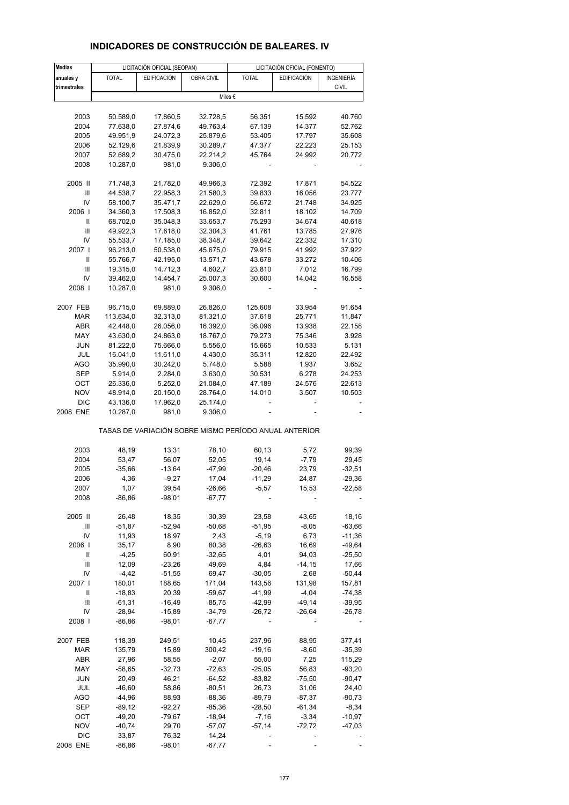| <b>Medias</b>                      |              | LICITACIÓN OFICIAL (SEOPAN) |                   |                                                       | LICITACIÓN OFICIAL (FOMENTO) |                   |
|------------------------------------|--------------|-----------------------------|-------------------|-------------------------------------------------------|------------------------------|-------------------|
| anuales y                          | <b>TOTAL</b> | <b>EDIFICACIÓN</b>          | <b>OBRA CIVIL</b> | <b>TOTAL</b>                                          | <b>EDIFICACIÓN</b>           | <b>INGENIERÍA</b> |
| trimestrales                       |              |                             |                   |                                                       |                              | <b>CIVIL</b>      |
|                                    |              |                             |                   | Miles €                                               |                              |                   |
|                                    |              |                             |                   |                                                       |                              |                   |
| 2003                               | 50.589,0     | 17.860,5                    | 32.728,5          | 56.351                                                | 15.592                       | 40.760            |
| 2004                               | 77.638,0     | 27.874,6                    | 49.763,4          | 67.139                                                | 14.377                       | 52.762            |
| 2005                               | 49.951,9     | 24.072,3                    | 25.879,6          | 53.405                                                | 17.797                       | 35.608            |
| 2006                               | 52.129,6     | 21.839,9                    | 30.289,7          | 47.377                                                | 22.223                       | 25.153            |
| 2007                               | 52.689,2     | 30.475,0                    | 22.214,2          | 45.764                                                | 24.992                       | 20.772            |
| 2008                               | 10.287,0     | 981,0                       | 9.306,0           |                                                       |                              |                   |
| 2005 II                            | 71.748,3     | 21.782,0                    | 49.966,3          | 72.392                                                | 17.871                       | 54.522            |
| Ш                                  | 44.538,7     | 22.958,3                    | 21.580,3          | 39.833                                                | 16.056                       | 23.777            |
| IV                                 | 58.100,7     | 35.471,7                    | 22.629,0          | 56.672                                                | 21.748                       | 34.925            |
| 2006                               | 34.360,3     | 17.508,3                    | 16.852,0          | 32.811                                                | 18.102                       | 14.709            |
| Ш                                  | 68.702,0     | 35.048,3                    | 33.653,7          | 75.293                                                | 34.674                       | 40.618            |
| Ш                                  | 49.922,3     | 17.618,0                    | 32.304,3          | 41.761                                                | 13.785                       | 27.976            |
| IV                                 | 55.533,7     | 17.185,0                    | 38.348,7          | 39.642                                                | 22.332                       | 17.310            |
| 2007 l                             | 96.213,0     | 50.538,0                    | 45.675,0          | 79.915                                                | 41.992                       | 37.922            |
| Ш                                  | 55.766,7     | 42.195,0                    | 13.571,7          | 43.678                                                | 33.272                       | 10.406            |
| Ш                                  | 19.315,0     | 14.712,3                    | 4.602,7           | 23.810                                                | 7.012                        | 16.799            |
| IV                                 | 39.462,0     | 14.454,7                    | 25.007,3          | 30.600                                                | 14.042                       | 16.558            |
| 2008                               | 10.287,0     | 981,0                       | 9.306,0           |                                                       |                              |                   |
| 2007 FEB                           | 96.715,0     | 69.889,0                    | 26.826,0          | 125.608                                               | 33.954                       | 91.654            |
| <b>MAR</b>                         | 113.634,0    | 32.313,0                    | 81.321,0          | 37.618                                                | 25.771                       | 11.847            |
| <b>ABR</b>                         | 42.448,0     | 26.056,0                    | 16.392,0          | 36.096                                                | 13.938                       | 22.158            |
| MAY                                | 43.630,0     | 24.863,0                    | 18.767,0          | 79.273                                                | 75.346                       | 3.928             |
| <b>JUN</b>                         | 81.222,0     | 75.666,0                    | 5.556,0           | 15.665                                                | 10.533                       | 5.131             |
| JUL                                | 16.041,0     | 11.611,0                    | 4.430,0           | 35.311                                                | 12.820                       | 22.492            |
| AGO                                | 35.990,0     | 30.242,0                    | 5.748,0           | 5.588                                                 | 1.937                        | 3.652             |
| <b>SEP</b>                         | 5.914,0      | 2.284,0                     | 3.630,0           | 30.531                                                | 6.278                        | 24.253            |
| OCT                                | 26.336,0     | 5.252,0                     | 21.084,0          | 47.189                                                | 24.576                       | 22.613            |
| <b>NOV</b>                         | 48.914,0     | 20.150,0                    | 28.764,0          | 14.010                                                | 3.507                        | 10.503            |
| <b>DIC</b>                         | 43.136,0     | 17.962,0                    | 25.174,0          |                                                       |                              |                   |
| 2008 ENE                           | 10.287,0     | 981,0                       | 9.306,0           |                                                       |                              |                   |
|                                    |              |                             |                   | TASAS DE VARIACIÓN SOBRE MISMO PERÍODO ANUAL ANTERIOR |                              |                   |
| 2003                               | 48,19        | 13,31                       | 78,10             | 60,13                                                 | 5,72                         | 99,39             |
| 2004                               | 53,47        | 56,07                       | 52,05             | 19,14                                                 | $-7,79$                      | 29,45             |
| 2005                               | $-35,66$     | $-13,64$                    | $-47,99$          | $-20,46$                                              | 23,79                        | $-32,51$          |
| 2006                               | 4,36         | $-9,27$                     | 17,04             | $-11,29$                                              | 24,87                        | $-29,36$          |
| 2007                               | 1,07         | 39,54                       | $-26,66$          | $-5,57$                                               | 15,53                        | $-22,58$          |
| 2008                               | $-86,86$     | $-98,01$                    | $-67,77$          |                                                       |                              |                   |
| 2005 II                            | 26,48        | 18,35                       | 30,39             | 23,58                                                 | 43,65                        | 18,16             |
| Ш                                  | $-51,87$     | $-52,94$                    | -50,68            | -51,95                                                | $-8,05$                      | $-63,66$          |
| IV                                 | 11,93        | 18,97                       | 2,43              | $-5,19$                                               | 6,73                         | $-11,36$          |
| 2006                               | 35,17        | 8,90                        | 80,38             | $-26,63$                                              | 16,69                        | $-49,64$          |
| Ш                                  | $-4,25$      | 60,91                       | $-32,65$          | 4,01                                                  | 94,03                        | $-25,50$          |
| $\ensuremath{\mathsf{III}}\xspace$ | 12,09        | $-23,26$                    | 49,69             | 4,84                                                  | $-14,15$                     | 17,66             |
| IV                                 | $-4,42$      | $-51,55$                    | 69,47             | $-30,05$                                              | 2,68                         | -50,44            |
| 2007 l                             | 180,01       | 188,65                      | 171,04            | 143,56                                                | 131,98                       | 157,81            |
| Ш                                  | $-18,83$     | 20,39                       | -59,67            | $-41,99$                                              | $-4,04$                      | $-74,38$          |
| Ш                                  | $-61,31$     | $-16,49$                    | $-85,75$          | -42,99                                                | $-49,14$                     | $-39,95$          |
| IV                                 | $-28,94$     | $-15,89$                    | -34,79            | $-26,72$                                              | $-26,64$                     | $-26,78$          |
| 2008                               | $-86,86$     | $-98,01$                    | $-67,77$          |                                                       |                              |                   |
|                                    |              |                             |                   |                                                       |                              |                   |
| 2007 FEB                           | 118,39       | 249,51                      | 10,45             | 237,96                                                | 88,95                        | 377,41            |
| $\ensuremath{\mathsf{MAR}}$        | 135,79       | 15,89                       | 300,42            | $-19,16$                                              | $-8,60$                      | $-35,39$          |
| ABR                                | 27,96        | 58,55                       | $-2,07$           | 55,00                                                 | 7,25                         | 115,29            |
| MAY                                | $-58,65$     | $-32,73$                    | $-72,63$          | $-25,05$                                              | 56,83                        | $-93,20$          |
| <b>JUN</b>                         | 20,49        | 46,21                       | $-64,52$          | $-83,82$                                              | $-75,50$                     | -90,47            |
| JUL                                | $-46,60$     | 58,86                       | $-80,51$          | 26,73                                                 | 31,06                        | 24,40             |
| AGO                                | -44,96       | 88,93                       | -88,36            | $-89,79$                                              | -87,37                       | $-90,73$          |
| <b>SEP</b>                         | -89,12       | $-92,27$                    | $-85,36$          | $-28,50$                                              | -61,34                       | $-8,34$           |
| ОСТ                                | $-49,20$     | $-79,67$                    | -18,94            | $-7,16$                                               | $-3,34$                      | $-10,97$          |
| <b>NOV</b>                         | $-40,74$     | 29,70                       | -57,07            | $-57,14$                                              | $-72,72$                     | -47,03            |
| DIC                                | 33,87        | 76,32                       | 14,24             |                                                       |                              |                   |
| 2008 ENE                           | $-86,86$     | $-98,01$                    | $-67,77$          |                                                       |                              |                   |

### **INDICADORES DE CONSTRUCCIÓN DE BALEARES. IV**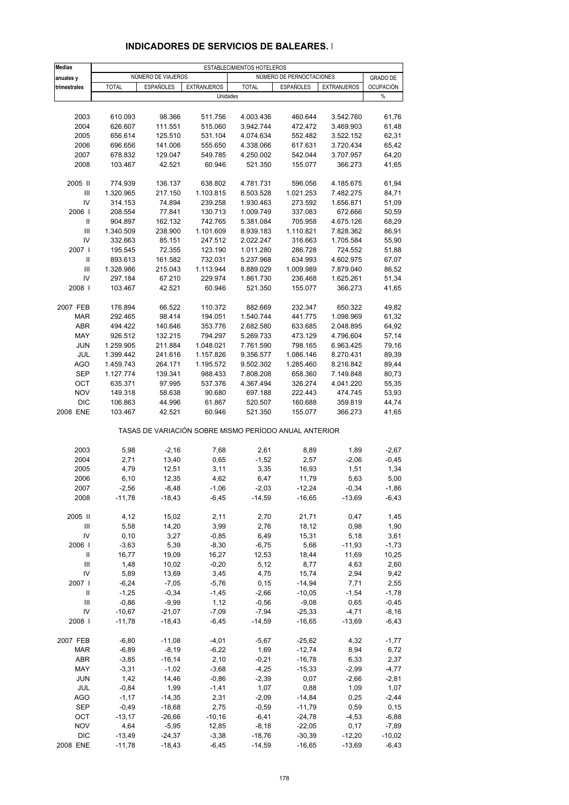| <b>Medias</b> |                      |                      |                    | ESTABLECIMIENTOS HOTELEROS |                                                       |                     |                    |
|---------------|----------------------|----------------------|--------------------|----------------------------|-------------------------------------------------------|---------------------|--------------------|
| anuales y     |                      | NÚMERO DE VIAJEROS   |                    |                            | NÚMERO DE PERNOCTACIONES                              |                     | <b>GRADO DE</b>    |
| trimestrales  | <b>TOTAL</b>         | <b>ESPAÑOLES</b>     | <b>EXTRANJEROS</b> | <b>TOTAL</b>               | <b>ESPAÑOLES</b>                                      | <b>EXTRANJEROS</b>  | <b>OCUPACIÓN</b>   |
|               |                      |                      | Unidades           |                            |                                                       |                     | $\%$               |
|               |                      |                      |                    |                            |                                                       |                     |                    |
| 2003          | 610.093              | 98.366               | 511.756            | 4.003.436                  | 460.644                                               | 3.542.760           | 61,76              |
| 2004          | 626.607              | 111.551              | 515.060            | 3.942.744                  | 472.472                                               | 3.469.903           | 61,48              |
| 2005          | 656.614              | 125.510              | 531.104            | 4.074.634                  | 552.482                                               | 3.522.152           | 62,31              |
| 2006          | 696.656              | 141.006              | 555.650            | 4.338.066                  | 617.631                                               | 3.720.434           | 65,42              |
| 2007          | 678.832              | 129.047              | 549.785            | 4.250.002                  | 542.044                                               | 3.707.957           | 64,20              |
| 2008          | 103.467              | 42.521               | 60.946             | 521.350                    | 155.077                                               | 366.273             | 41,65              |
| 2005 II       | 774.939              | 136.137              | 638.802            | 4.781.731                  | 596.056                                               | 4.185.675           | 61,94              |
| Ш             | 1.320.965            | 217.150              | 1.103.815          | 8.503.528                  | 1.021.253                                             | 7.482.275           | 84,71              |
| IV            | 314.153              | 74.894               | 239.258            | 1.930.463                  | 273.592                                               | 1.656.871           | 51,09              |
| 2006          | 208.554              | 77.841               | 130.713            | 1.009.749                  | 337.083                                               | 672.666             | 50,59              |
| Ш             | 904.897              | 162.132              | 742.765            | 5.381.084                  | 705.958                                               | 4.675.126           | 68,29              |
| III           | 1.340.509            | 238.900              | 1.101.609          | 8.939.183                  | 1.110.821                                             | 7.828.362           | 86,91              |
| IV            | 332.663              | 85.151               | 247.512            | 2.022.247                  | 316.663                                               | 1.705.584           | 55,90              |
| 2007 l        | 195.545              | 72.355               | 123.190            | 1.011.280                  | 286.728                                               | 724.552             | 51,88              |
| Ш             | 893.613              | 161.582              | 732.031            | 5.237.968                  | 634.993                                               | 4.602.975           | 67,07              |
| III           | 1.328.986            | 215.043              | 1.113.944          | 8.889.029                  | 1.009.989                                             | 7.879.040           | 86,52              |
| IV            | 297.184              | 67.210               | 229.974            | 1.861.730                  | 236.468                                               | 1.625.261           | 51,34              |
| 2008          | 103.467              | 42.521               | 60.946             | 521.350                    | 155.077                                               | 366.273             | 41,65              |
| 2007 FEB      | 176.894              | 66.522               | 110.372            | 882.669                    | 232.347                                               | 650.322             | 49,82              |
| <b>MAR</b>    | 292.465              | 98.414               | 194.051            | 1.540.744                  | 441.775                                               | 1.098.969           | 61,32              |
| <b>ABR</b>    | 494.422              | 140.646              | 353.776            | 2.682.580                  | 633.685                                               | 2.048.895           | 64,92              |
| MAY           | 926.512              | 132.215              | 794.297            | 5.269.733                  | 473.129                                               | 4.796.604           | 57,14              |
| <b>JUN</b>    | 1.259.905            | 211.884              | 1.048.021          | 7.761.590                  | 798.165                                               | 6.963.425           | 79,16              |
| JUL           | 1.399.442            | 241.616              | 1.157.826          | 9.356.577                  | 1.086.146                                             | 8.270.431           | 89,39              |
| AGO           | 1.459.743            | 264.171              | 1.195.572          | 9.502.302                  | 1.285.460                                             | 8.216.842           | 89,44              |
| <b>SEP</b>    | 1.127.774            | 139.341              | 988.433            | 7.808.208                  | 658.360                                               | 7.149.848           | 80,73              |
| OCT           | 635.371              | 97.995               | 537.376            | 4.367.494                  | 326.274                                               | 4.041.220           | 55,35              |
| <b>NOV</b>    | 149.318              | 58.638               | 90.680             | 697.188                    | 222.443                                               | 474.745             | 53,93              |
| <b>DIC</b>    | 106.863              | 44.996               | 61.867             | 520.507                    | 160.688                                               | 359.819             | 44,74              |
| 2008 ENE      | 103.467              | 42.521               | 60.946             | 521.350                    | 155.077                                               | 366.273             | 41,65              |
|               |                      |                      |                    |                            | TASAS DE VARIACIÓN SOBRE MISMO PERÍODO ANUAL ANTERIOR |                     |                    |
| 2003          | 5,98                 | $-2,16$              | 7,68               | 2,61                       | 8,89                                                  | 1,89                | $-2,67$            |
| 2004          | 2,71                 | 13,40                | 0,65               | $-1,52$                    | 2,57                                                  | $-2,06$             | $-0,45$            |
| 2005          | 4,79                 | 12,51                | 3,11               | 3,35                       | 16,93                                                 | 1,51                | 1,34               |
| 2006          | 6, 10                | 12,35                | 4,62               | 6,47                       | 11,79                                                 | 5,63                | 5,00               |
| 2007          | $-2,56$              | $-8,48$              | $-1,06$            | $-2,03$                    | -12,24                                                | $-0,34$             | $-1,86$            |
| 2008          | $-11,78$             | $-18,43$             | $-6,45$            | $-14,59$                   | $-16,65$                                              | $-13,69$            | $-6,43$            |
|               |                      |                      |                    |                            |                                                       |                     |                    |
| 2005 II       | 4,12                 | 15,02                | 2,11               | 2,70                       | 21,71                                                 | 0,47                | 1,45               |
| Ш             | 5,58                 | 14,20                | 3,99               | 2,76                       | 18,12                                                 | 0,98                | 1,90               |
| IV            | 0, 10                | 3,27                 | $-0,85$            | 6,49                       | 15,31                                                 | 5,18                | 3,61               |
| 2006          | $-3,63$              | 5,39                 | $-8,30$            | $-6,75$                    | 5,66                                                  | $-11,93$            | $-1,73$            |
| Ш             | 16,77                | 19,09                | 16,27              | 12,53                      | 18,44                                                 | 11,69               | 10,25              |
| Ш             | 1,48                 | 10,02                | $-0,20$            | 5,12                       | 8,77                                                  | 4,63                | 2,60               |
| IV            | 5,89                 | 13,69                | 3,45               | 4,75                       | 15,74                                                 | 2,94                | 9,42               |
| 2007          | $-6,24$              | $-7,05$              | $-5,76$            | 0,15                       | $-14,94$                                              | 7,71                | 2,55               |
| Ш             | $-1,25$              | $-0,34$              | $-1,45$            | $-2,66$                    | $-10,05$                                              | $-1,54$             | $-1,78$            |
| Ш             | $-0,86$              | $-9,99$              | 1,12               | $-0.56$                    | $-9,08$                                               | 0,65                | $-0,45$            |
| IV<br>2008    | $-10,67$<br>$-11,78$ | $-21,07$<br>$-18,43$ | $-7,09$<br>$-6,45$ | $-7,94$<br>$-14,59$        | $-25,33$<br>$-16,65$                                  | $-4,71$<br>$-13,69$ | $-8,16$<br>$-6,43$ |
|               |                      |                      |                    |                            |                                                       |                     |                    |
| 2007 FEB      | $-6,80$              | $-11,08$             | $-4,01$            | $-5,67$                    | $-25,62$                                              | 4,32                | $-1,77$            |
| MAR           | $-6,89$              | $-8,19$              | $-6,22$            | 1,69                       | $-12,74$                                              | 8,94                | 6,72               |
| ABR           | $-3,85$              | $-16,14$             | 2,10               | $-0,21$                    | $-16,78$                                              | 6,33                | 2,37               |
| MAY           | $-3,31$              | $-1,02$              | $-3,68$            | $-4,25$                    | $-15,33$                                              | $-2,99$             | $-4,77$            |
| <b>JUN</b>    | 1,42                 | 14,46                | $-0,86$            | $-2,39$                    | 0,07                                                  | $-2,66$             | $-2,81$            |
| JUL           | $-0,84$              | 1,99                 | $-1,41$            | 1,07                       | 0,88                                                  | 1,09                | 1,07               |
| AGO           | $-1,17$              | $-14,35$             | 2,31               | $-2,09$                    | $-14,84$                                              | 0,25                | $-2,44$            |
| SEP           | $-0,49$              | $-18,68$             | 2,75               | $-0,59$                    | $-11,79$                                              | 0,59                | 0,15               |
| OCT           | $-13,17$             | $-26,66$             | $-10,16$           | $-6,41$                    | $-24,78$                                              | $-4,53$             | $-6,88$            |
| <b>NOV</b>    | 4,64                 | $-5,95$              | 12,85              | $-8,18$                    | $-22,05$                                              | 0,17                | $-7,89$            |
| <b>DIC</b>    | $-13,49$             | $-24,37$             | $-3,38$            | $-18,76$                   | $-30,39$                                              | $-12,20$            | $-10,02$           |

#### **INDICADORES DE SERVICIOS DE BALEARES. I**

2008 ENE -11,78 -18,43 -6,45 -14,59 -16,65 -13,69 -6,43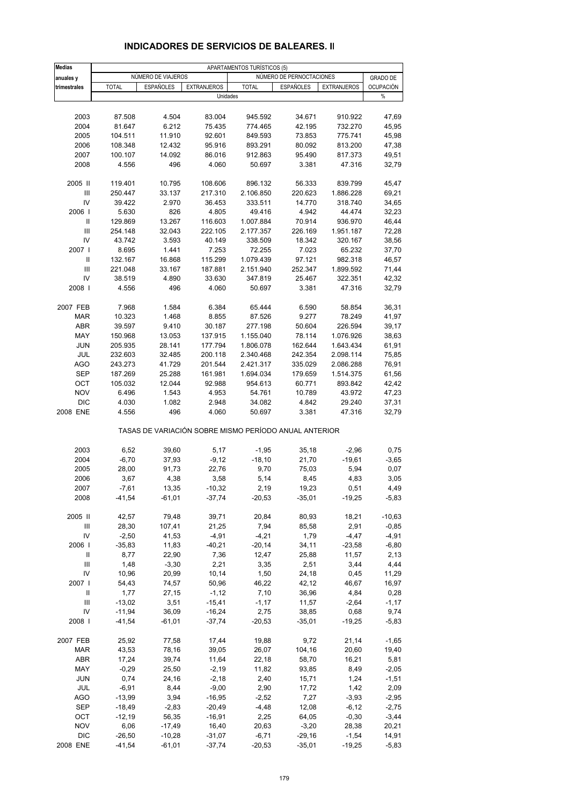| <b>Medias</b> | APARTAMENTOS TURÍSTICOS (5) |                    |                     |                                                       |                          |                    |                  |
|---------------|-----------------------------|--------------------|---------------------|-------------------------------------------------------|--------------------------|--------------------|------------------|
| anuales y     |                             | NÚMERO DE VIAJEROS |                     |                                                       | NÚMERO DE PERNOCTACIONES |                    | <b>GRADO DE</b>  |
| trimestrales  | <b>TOTAL</b>                | <b>ESPAÑOLES</b>   | <b>EXTRANJEROS</b>  | <b>TOTAL</b>                                          | <b>ESPAÑOLES</b>         | <b>EXTRANJEROS</b> | <b>OCUPACIÓN</b> |
|               |                             |                    |                     | Unidades                                              |                          |                    | $\%$             |
|               |                             |                    |                     |                                                       |                          |                    |                  |
| 2003          | 87.508                      | 4.504              | 83.004              | 945.592                                               | 34.671                   | 910.922            | 47,69            |
| 2004          | 81.647                      | 6.212              | 75.435              | 774.465                                               | 42.195                   | 732.270            | 45,95            |
| 2005          | 104.511                     | 11.910             | 92.601              | 849.593                                               | 73.853                   | 775.741            | 45,98            |
| 2006          | 108.348                     | 12.432             | 95.916              | 893.291                                               | 80.092                   | 813.200            | 47,38            |
| 2007          | 100.107                     | 14.092             | 86.016              | 912.863                                               | 95.490                   | 817.373            | 49,51            |
| 2008          | 4.556                       | 496                | 4.060               | 50.697                                                | 3.381                    | 47.316             | 32,79            |
| 2005 II       | 119.401                     | 10.795             | 108.606             | 896.132                                               | 56.333                   | 839.799            | 45,47            |
| Ш             | 250.447                     | 33.137             | 217.310             | 2.106.850                                             | 220.623                  | 1.886.228          | 69,21            |
| IV            | 39.422                      | 2.970              | 36.453              | 333.511                                               | 14.770                   | 318.740            | 34,65            |
| 2006          | 5.630                       | 826                | 4.805               | 49.416                                                | 4.942                    | 44.474             | 32,23            |
| Ш             | 129.869                     | 13.267             | 116.603             | 1.007.884                                             | 70.914                   | 936.970            | 46,44            |
| III           | 254.148                     | 32.043             | 222.105             | 2.177.357                                             | 226.169                  | 1.951.187          | 72,28            |
| IV            | 43.742                      | 3.593              | 40.149              | 338.509                                               | 18.342                   | 320.167            | 38,56            |
| 2007 l        | 8.695                       | 1.441              | 7.253               | 72.255                                                | 7.023                    | 65.232             | 37,70            |
| Ш             | 132.167                     | 16.868             | 115.299             | 1.079.439                                             | 97.121                   | 982.318            | 46,57            |
| III           | 221.048                     | 33.167             | 187.881             | 2.151.940                                             | 252.347                  | 1.899.592          | 71,44            |
| IV            | 38.519                      | 4.890              | 33.630              | 347.819                                               | 25.467                   | 322.351            | 42,32            |
| 2008          | 4.556                       | 496                | 4.060               | 50.697                                                | 3.381                    | 47.316             | 32,79            |
| 2007 FEB      | 7.968                       | 1.584              | 6.384               | 65.444                                                | 6.590                    | 58.854             | 36,31            |
| <b>MAR</b>    | 10.323                      | 1.468              | 8.855               | 87.526                                                | 9.277                    | 78.249             | 41,97            |
| ABR           | 39.597                      | 9.410              | 30.187              | 277.198                                               | 50.604                   | 226.594            | 39,17            |
| MAY           | 150.968                     | 13.053             | 137.915             | 1.155.040                                             | 78.114                   | 1.076.926          | 38,63            |
| <b>JUN</b>    | 205.935                     | 28.141             | 177.794             | 1.806.078                                             | 162.644                  | 1.643.434          | 61,91            |
| JUL           | 232.603                     | 32.485             | 200.118             | 2.340.468                                             | 242.354                  | 2.098.114          | 75,85            |
| <b>AGO</b>    | 243.273                     | 41.729             | 201.544             | 2.421.317                                             | 335.029                  | 2.086.288          | 76,91            |
| <b>SEP</b>    | 187.269                     | 25.288             | 161.981             | 1.694.034                                             | 179.659                  | 1.514.375          | 61,56            |
| OCT           | 105.032                     | 12.044             | 92.988              | 954.613                                               | 60.771                   | 893.842            | 42,42            |
| <b>NOV</b>    | 6.496                       | 1.543              | 4.953               | 54.761                                                | 10.789                   | 43.972             | 47,23            |
| <b>DIC</b>    | 4.030                       | 1.082              | 2.948               | 34.082                                                | 4.842                    | 29.240             | 37,31            |
| 2008 ENE      | 4.556                       | 496                | 4.060               | 50.697                                                | 3.381                    | 47.316             | 32,79            |
|               |                             |                    |                     | TASAS DE VARIACIÓN SOBRE MISMO PERÍODO ANUAL ANTERIOR |                          |                    |                  |
| 2003          | 6,52                        | 39,60              | 5,17                | $-1,95$                                               | 35,18                    | $-2,96$            | 0,75             |
| 2004          | $-6,70$                     | 37,93              | $-9,12$             | $-18,10$                                              | 21,70                    | $-19,61$           | $-3,65$          |
| 2005          | 28,00                       | 91,73              | 22,76               | 9,70                                                  | 75,03                    | 5,94               | 0,07             |
| 2006          | 3,67                        | 4,38               | 3,58                | 5,14                                                  | 8,45                     | 4,83               | 3,05             |
| 2007          | $-7,61$                     | 13,35              | $-10,32$            | 2,19                                                  | 19,23                    | 0,51               | 4,49             |
| 2008          | $-41,54$                    | $-61,01$           | $-37,74$            | $-20,53$                                              | $-35,01$                 | $-19,25$           | $-5,83$          |
|               |                             |                    |                     |                                                       |                          |                    |                  |
| 2005 II       | 42,57                       | 79,48              | 39,71               | 20,84                                                 | 80,93                    | 18,21              | $-10,63$         |
| Ш             | 28,30                       | 107,41             | 21,25               | 7,94                                                  | 85,58                    | 2,91               | $-0,85$          |
| IV<br>2006    | $-2,50$                     | 41,53              | $-4,91$             | $-4,21$                                               | 1,79                     | $-4,47$            | $-4,91$          |
|               | $-35,83$                    | 11,83              | $-40,21$            | $-20,14$                                              | 34, 11                   | $-23,58$           | $-6,80$          |
| Ш             | 8,77                        | 22,90              | 7,36                | 12,47                                                 | 25,88                    | 11,57              | 2,13             |
| Ш<br>IV       | 1,48                        | $-3,30$            | 2,21                | 3,35                                                  | 2,51                     | 3,44               | 4,44             |
| 2007          | 10,96                       | 20,99              | 10,14               | 1,50<br>46,22                                         | 24,18                    | 0,45               | 11,29            |
| Ш             | 54,43                       | 74,57              | 50,96               |                                                       | 42,12                    | 46,67              | 16,97            |
|               | 1,77                        | 27,15              | $-1,12$<br>$-15,41$ | 7,10                                                  | 36,96                    | 4,84               | 0,28             |
| Ш<br>IV       | $-13,02$                    | 3,51               | $-16,24$            | $-1,17$                                               | 11,57                    | $-2,64$            | $-1,17$          |
|               | $-11,94$                    | 36,09              |                     | 2,75                                                  | 38,85                    | 0,68               | 9,74             |
| 2008          | $-41,54$                    | $-61,01$           | $-37,74$            | $-20,53$                                              | $-35,01$                 | $-19,25$           | $-5,83$          |
| 2007 FEB      | 25,92                       | 77,58              | 17,44               | 19,88                                                 | 9,72                     | 21,14              | $-1,65$          |
| <b>MAR</b>    | 43,53                       | 78,16              | 39,05               | 26,07                                                 | 104,16                   | 20,60              | 19,40            |
| ABR           | 17,24                       | 39,74              | 11,64               | 22,18                                                 | 58,70                    | 16,21              | 5,81             |
| MAY           | $-0,29$                     | 25,50              | $-2,19$             | 11,82                                                 | 93,85                    | 8,49               | $-2,05$          |
| <b>JUN</b>    | 0,74                        | 24,16              | $-2,18$             | 2,40                                                  | 15,71                    | 1,24               | $-1,51$          |
| JUL           | $-6,91$                     | 8,44               | $-9,00$             | 2,90                                                  | 17,72                    | 1,42               | 2,09             |
| AGO           | $-13,99$                    | 3,94               | $-16,95$            | $-2,52$                                               | 7,27                     | $-3,93$            | $-2,95$          |
| SEP           | $-18,49$                    | $-2,83$            | $-20,49$            | $-4,48$                                               | 12,08                    | $-6, 12$           | $-2,75$          |
| OCT           | $-12,19$                    | 56,35              | $-16,91$            | 2,25                                                  | 64,05                    | $-0,30$            | $-3,44$          |
| <b>NOV</b>    | 6,06                        | $-17,49$           | 16,40               | 20,63                                                 | $-3,20$                  | 28,38              | 20,21            |
| <b>DIC</b>    | $-26,50$                    | $-10,28$           | $-31,07$            | $-6,71$                                               | $-29,16$                 | $-1,54$            | 14,91            |
| 2008 ENE      | $-41,54$                    | $-61,01$           | $-37,74$            | $-20,53$                                              | $-35,01$                 | $-19,25$           | $-5,83$          |

# **INDICADORES DE SERVICIOS DE BALEARES. II**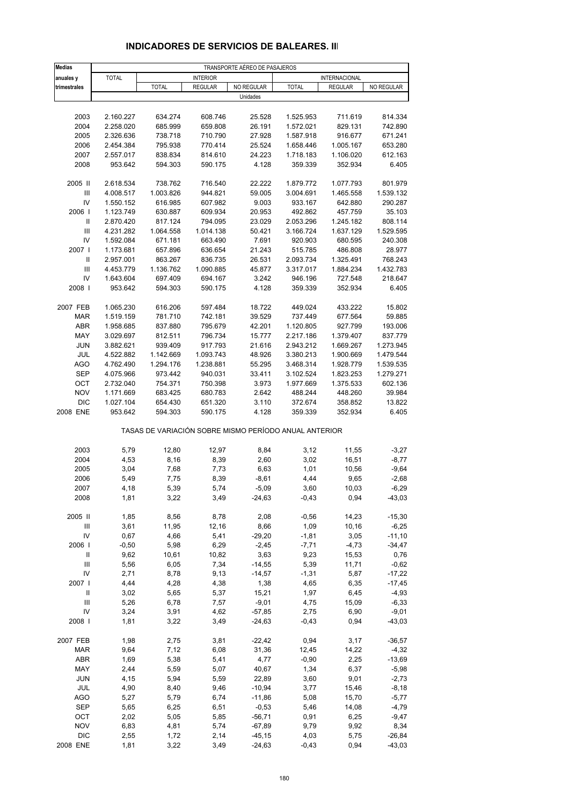| <b>Medias</b>                                 |                        |                                                       |                    | TRANSPORTE AÉREO DE PASAJEROS |                      |                      |                      |
|-----------------------------------------------|------------------------|-------------------------------------------------------|--------------------|-------------------------------|----------------------|----------------------|----------------------|
| anuales y                                     | <b>TOTAL</b>           |                                                       | <b>INTERIOR</b>    |                               |                      | INTERNACIONAL        |                      |
| trimestrales                                  |                        | <b>TOTAL</b>                                          | <b>REGULAR</b>     | NO REGULAR                    | <b>TOTAL</b>         | <b>REGULAR</b>       | NO REGULAR           |
|                                               |                        |                                                       |                    | Unidades                      |                      |                      |                      |
| 2003                                          | 2.160.227              | 634.274                                               | 608.746            | 25.528                        | 1.525.953            | 711.619              | 814.334              |
| 2004                                          | 2.258.020              | 685.999                                               | 659.808            | 26.191                        | 1.572.021            | 829.131              | 742.890              |
| 2005                                          | 2.326.636              | 738.718                                               | 710.790            | 27.928                        | 1.587.918            | 916.677              | 671.241              |
| 2006                                          | 2.454.384              | 795.938                                               | 770.414            | 25.524                        | 1.658.446            | 1.005.167            | 653.280              |
| 2007                                          | 2.557.017              | 838.834                                               | 814.610            | 24.223                        | 1.718.183            | 1.106.020            | 612.163              |
| 2008                                          | 953.642                | 594.303                                               | 590.175            | 4.128                         | 359.339              | 352.934              | 6.405                |
|                                               |                        |                                                       |                    |                               |                      |                      |                      |
| 2005 II<br>$\ensuremath{\mathsf{III}}\xspace$ | 2.618.534              | 738.762<br>1.003.826                                  | 716.540            | 22.222                        | 1.879.772            | 1.077.793            | 801.979              |
| IV                                            | 4.008.517<br>1.550.152 | 616.985                                               | 944.821<br>607.982 | 59.005<br>9.003               | 3.004.691<br>933.167 | 1.465.558<br>642.880 | 1.539.132<br>290.287 |
| 2006                                          | 1.123.749              | 630.887                                               | 609.934            | 20.953                        | 492.862              | 457.759              | 35.103               |
| $\sf II$                                      | 2.870.420              | 817.124                                               | 794.095            | 23.029                        | 2.053.296            | 1.245.182            | 808.114              |
| $\ensuremath{\mathsf{III}}\xspace$            | 4.231.282              | 1.064.558                                             | 1.014.138          | 50.421                        | 3.166.724            | 1.637.129            | 1.529.595            |
| IV                                            | 1.592.084              | 671.181                                               | 663.490            | 7.691                         | 920.903              | 680.595              | 240.308              |
| 2007 l                                        | 1.173.681              | 657.896                                               | 636.654            | 21.243                        | 515.785              | 486.808              | 28.977               |
| Ш                                             | 2.957.001              | 863.267                                               | 836.735            | 26.531                        | 2.093.734            | 1.325.491            | 768.243              |
| III                                           | 4.453.779              | 1.136.762                                             | 1.090.885          | 45.877                        | 3.317.017            | 1.884.234            | 1.432.783            |
| IV                                            | 1.643.604              | 697.409                                               | 694.167            | 3.242                         | 946.196              | 727.548              | 218.647              |
| 2008                                          | 953.642                | 594.303                                               | 590.175            | 4.128                         | 359.339              | 352.934              | 6.405                |
|                                               |                        |                                                       |                    |                               |                      |                      |                      |
| 2007 FEB                                      | 1.065.230              | 616.206                                               | 597.484            | 18.722                        | 449.024              | 433.222              | 15.802               |
| <b>MAR</b>                                    | 1.519.159              | 781.710                                               | 742.181            | 39.529                        | 737.449              | 677.564              | 59.885               |
| <b>ABR</b>                                    | 1.958.685              | 837.880                                               | 795.679            | 42.201                        | 1.120.805            | 927.799              | 193.006              |
| MAY                                           | 3.029.697              | 812.511                                               | 796.734            | 15.777                        | 2.217.186            | 1.379.407            | 837.779              |
| <b>JUN</b>                                    | 3.882.621              | 939.409                                               | 917.793            | 21.616                        | 2.943.212            | 1.669.267            | 1.273.945            |
| JUL                                           | 4.522.882              | 1.142.669                                             | 1.093.743          | 48.926                        | 3.380.213            | 1.900.669            | 1.479.544            |
| <b>AGO</b>                                    | 4.762.490              | 1.294.176                                             | 1.238.881          | 55.295                        | 3.468.314            | 1.928.779            | 1.539.535            |
| <b>SEP</b>                                    | 4.075.966              | 973.442                                               | 940.031            | 33.411                        | 3.102.524            | 1.823.253            | 1.279.271            |
| OCT                                           | 2.732.040              | 754.371                                               | 750.398            | 3.973                         | 1.977.669            | 1.375.533            | 602.136              |
| <b>NOV</b>                                    | 1.171.669              | 683.425                                               | 680.783            | 2.642                         | 488.244              | 448.260              | 39.984               |
| <b>DIC</b>                                    | 1.027.104              | 654.430                                               | 651.320            | 3.110                         | 372.674              | 358.852              | 13.822               |
| 2008 ENE                                      | 953.642                | 594.303                                               | 590.175            | 4.128                         | 359.339              | 352.934              | 6.405                |
|                                               |                        | TASAS DE VARIACIÓN SOBRE MISMO PERÍODO ANUAL ANTERIOR |                    |                               |                      |                      |                      |
|                                               |                        |                                                       |                    |                               |                      |                      |                      |
| 2003                                          | 5,79                   | 12,80                                                 | 12,97              | 8,84                          | 3,12                 | 11,55                | $-3,27$              |
| 2004                                          | 4,53                   | 8,16                                                  | 8,39               | 2,60                          | 3,02                 | 16,51                | $-8,77$              |
| 2005                                          | 3,04                   | 7,68                                                  | 7,73               | 6,63                          | 1,01                 | 10,56                | $-9,64$              |
| 2006                                          | 5,49                   | 7,75                                                  | 8,39               | $-8,61$                       | 4,44                 | 9,65                 | $-2,68$              |
| 2007<br>2008                                  | 4,18<br>1,81           | 5,39<br>3,22                                          | 5,74<br>3,49       | $-5,09$<br>$-24,63$           | 3,60<br>$-0,43$      | 10,03<br>0,94        | $-6,29$<br>$-43,03$  |
|                                               |                        |                                                       |                    |                               |                      |                      |                      |
| 2005 II                                       | 1,85                   | 8,56                                                  | 8,78               | 2,08                          | $-0,56$              | 14,23                | $-15,30$             |
| Ш                                             | 3,61                   | 11,95                                                 | 12,16              | 8,66                          | 1,09                 | 10,16                | $-6,25$              |
| IV                                            | 0,67                   | 4,66                                                  | 5,41               | $-29,20$                      | $-1,81$              | 3,05                 | $-11,10$             |
| 2006                                          | $-0,50$                | 5,98                                                  | 6,29               | $-2,45$                       | $-7,71$              | $-4,73$              | $-34,47$             |
| Ш                                             | 9,62                   | 10,61                                                 | 10,82              | 3,63                          | 9,23                 | 15,53                | 0,76                 |
| Ш                                             | 5,56                   | 6,05                                                  | 7,34               | $-14,55$                      | 5,39                 | 11,71                | $-0,62$              |
| IV                                            | 2,71                   | 8,78                                                  | 9,13               | $-14,57$                      | $-1,31$              | 5,87                 | $-17,22$             |
| 2007                                          | 4,44                   | 4,28                                                  | 4,38               | 1,38                          | 4,65                 | 6,35                 | $-17,45$             |
| Ш                                             | 3,02                   | 5,65                                                  | 5,37               | 15,21                         | 1,97                 | 6,45                 | $-4,93$              |
| $\ensuremath{\mathsf{III}}\xspace$            | 5,26                   | 6,78                                                  | 7,57               | $-9,01$                       | 4,75                 | 15,09                | $-6,33$              |
| IV                                            | 3,24                   | 3,91                                                  | 4,62               | $-57,85$                      | 2,75                 | 6,90                 | $-9,01$              |
| 2008                                          | 1,81                   | 3,22                                                  | 3,49               | $-24,63$                      | $-0,43$              | 0,94                 | $-43,03$             |
| 2007 FEB                                      | 1,98                   | 2,75                                                  | 3,81               | $-22,42$                      | 0,94                 | 3,17                 | $-36,57$             |
| MAR                                           | 9,64                   | 7,12                                                  | 6,08               | 31,36                         | 12,45                | 14,22                | $-4,32$              |
| ABR                                           | 1,69                   | 5,38                                                  | 5,41               | 4,77                          | $-0,90$              | 2,25                 | $-13,69$             |
| MAY                                           | 2,44                   | 5,59                                                  | 5,07               | 40,67                         | 1,34                 | 6,37                 | $-5,98$              |
| <b>JUN</b>                                    | 4,15                   | 5,94                                                  | 5,59               | 22,89                         | 3,60                 | 9,01                 | $-2,73$              |
| JUL                                           | 4,90                   | 8,40                                                  | 9,46               | $-10,94$                      | 3,77                 | 15,46                | $-8,18$              |
| <b>AGO</b>                                    | 5,27                   | 5,79                                                  | 6,74               | $-11,86$                      | 5,08                 | 15,70                | $-5,77$              |
| SEP                                           | 5,65                   | 6,25                                                  | 6,51               | $-0,53$                       | 5,46                 | 14,08                | $-4,79$              |
| OCT                                           | 2,02                   | 5,05                                                  | 5,85               | $-56,71$                      | 0,91                 | 6,25                 | $-9,47$              |
| <b>NOV</b>                                    | 6,83                   | 4,81                                                  | 5,74               | $-67,89$                      | 9,79                 | 9,92                 | 8,34                 |
| <b>DIC</b>                                    | 2,55                   | 1,72                                                  | 2,14               | $-45, 15$                     | 4,03                 | 5,75                 | $-26, 84$            |

#### **INDICADORES DE SERVICIOS DE BALEARES. III**

2008 ENE 1,81 3,22 3,49 -24,63 -0,43 0,94 -43,03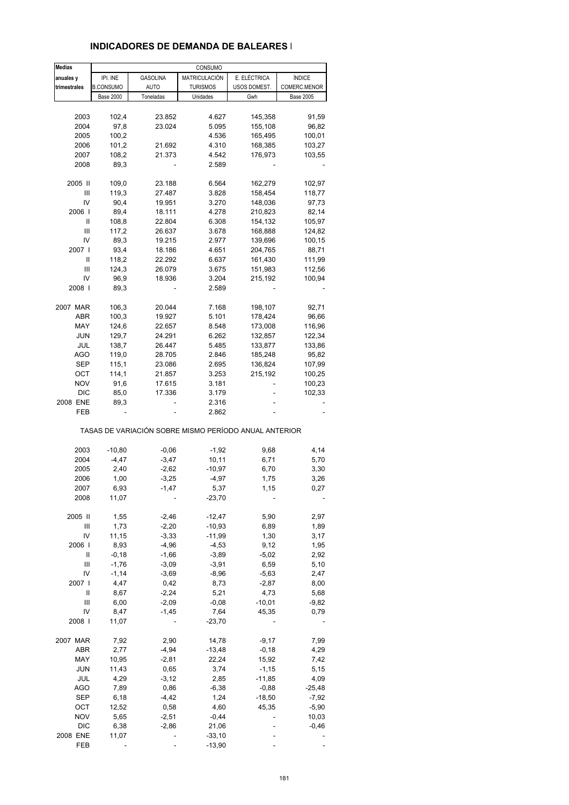### **INDICADORES DE DEMANDA DE BALEARES I**

| <b>Medias</b>    |                  |                 | CONSUMO                                               |              |                  |
|------------------|------------------|-----------------|-------------------------------------------------------|--------------|------------------|
| anuales y        | IPI. INE         | <b>GASOLINA</b> | MATRICULACIÓN                                         | E. ELÉCTRICA | <b>ÍNDICE</b>    |
| trimestrales     | <b>B.CONSUMO</b> | <b>AUTO</b>     | <b>TURISMOS</b>                                       | USOS DOMEST. | COMERC.MENOR     |
|                  | <b>Base 2000</b> | Toneladas       | Unidades                                              | Gwh          | <b>Base 2005</b> |
|                  |                  |                 |                                                       |              |                  |
| 2003             | 102,4            | 23.852          | 4.627                                                 | 145,358      | 91,59            |
| 2004             | 97,8             | 23.024          | 5.095                                                 | 155,108      | 96,82            |
| 2005             | 100,2            |                 | 4.536                                                 | 165,495      | 100,01           |
| 2006             | 101,2            | 21.692          | 4.310                                                 | 168,385      | 103,27           |
| 2007             | 108,2            | 21.373          | 4.542                                                 | 176,973      | 103,55           |
| 2008             | 89,3             |                 | 2.589                                                 |              |                  |
|                  |                  |                 |                                                       |              |                  |
| 2005 II          | 109,0            | 23.188          | 6.564                                                 | 162,279      | 102,97           |
| Ш                | 119,3            | 27.487          | 3.828                                                 | 158,454      | 118,77           |
| IV               | 90,4             | 19.951          | 3.270                                                 | 148,036      | 97,73            |
| 2006             | 89,4             | 18.111          | 4.278                                                 | 210,823      | 82,14            |
| Ш                | 108,8            | 22.804          | 6.308                                                 | 154,132      | 105,97           |
| Ш                | 117,2            | 26.637          | 3.678                                                 | 168,888      | 124,82           |
| IV               | 89,3             | 19.215          | 2.977                                                 | 139,696      | 100,15           |
| 2007 l           | 93,4             | 18.186          | 4.651                                                 | 204,765      | 88,71            |
| Ш                | 118,2            | 22.292          | 6.637                                                 | 161,430      | 111,99           |
| Ш                | 124,3            | 26.079          | 3.675                                                 | 151,983      | 112,56           |
| IV               | 96,9             | 18.936          | 3.204                                                 | 215,192      | 100,94           |
| 2008             | 89,3             |                 | 2.589                                                 |              |                  |
|                  |                  |                 |                                                       |              |                  |
| 2007 MAR         | 106,3            | 20.044          | 7.168                                                 | 198,107      | 92,71            |
| <b>ABR</b>       | 100,3            | 19.927          | 5.101                                                 | 178,424      | 96,66            |
| MAY              | 124,6            | 22.657          | 8.548                                                 | 173,008      | 116,96           |
| <b>JUN</b>       | 129,7            | 24.291          | 6.262                                                 | 132,857      | 122,34           |
| JUL              | 138,7            | 26.447          | 5.485                                                 | 133,877      | 133,86           |
| <b>AGO</b>       | 119,0            | 28.705          | 2.846                                                 | 185,248      | 95,82            |
| SEP              | 115,1            | 23.086          | 2.695                                                 | 136,824      | 107,99           |
| OCT              | 114,1            | 21.857          | 3.253                                                 | 215,192      | 100,25           |
| NOV              | 91,6             | 17.615          | 3.181                                                 |              | 100,23           |
| DIC              | 85,0             | 17.336          | 3.179                                                 |              | 102,33           |
| 2008 ENE         | 89,3             |                 | 2.316                                                 |              |                  |
| FEB              |                  |                 | 2.862                                                 |              |                  |
|                  |                  |                 |                                                       |              |                  |
|                  |                  |                 | TASAS DE VARIACIÓN SOBRE MISMO PERÍODO ANUAL ANTERIOR |              |                  |
| 2003             | $-10,80$         | $-0,06$         | $-1,92$                                               | 9,68         | 4,14             |
| 2004             | $-4,47$          | $-3,47$         | 10,11                                                 | 6,71         | 5,70             |
| 2005             | 2,40             | $-2,62$         | $-10,97$                                              | 6,70         | 3,30             |
| 2006             | 1,00             | $-3,25$         | $-4,97$                                               | 1,75         | 3,26             |
| 2007             | 6,93             | $-1,47$         | 5,37                                                  | 1,15         | 0,27             |
| 2008             | 11,07            |                 | $-23,70$                                              |              |                  |
|                  |                  |                 |                                                       |              |                  |
| 2005 II          | 1,55             | $-2,46$         | $-12,47$                                              | 5,90         | 2,97             |
| Ш                | 1,73             | $-2,20$         | $-10,93$                                              | 6,89         | 1,89             |
| IV               | 11,15            | $-3,33$         | $-11,99$                                              | 1,30         | 3,17             |
| 2006             | 8,93             | $-4,96$         | $-4,53$                                               | 9,12         | 1,95             |
| $\sf II$         | $-0,18$          | $-1,66$         | $-3,89$                                               | $-5,02$      | 2,92             |
| $\mathsf{III}\,$ | $-1,76$          | $-3,09$         | $-3,91$                                               | 6,59         | 5,10             |
| IV               | $-1, 14$         | $-3,69$         | $-8,96$                                               | $-5,63$      | 2,47             |
| 2007 l           | 4,47             | 0,42            | 8,73                                                  | $-2,87$      | 8,00             |
| Ш                | 8,67             | $-2,24$         | 5,21                                                  | 4,73         | 5,68             |
| Ш                | 6,00             | $-2,09$         | $-0,08$                                               | $-10,01$     | $-9,82$          |
| IV               | 8,47             | $-1,45$         | 7,64                                                  | 45,35        | 0,79             |
| 2008             | 11,07            |                 | $-23,70$                                              |              |                  |
|                  |                  |                 |                                                       |              |                  |
| 2007 MAR         | 7,92             | 2,90            | 14,78                                                 | $-9,17$      | 7,99             |
| ABR              | 2,77             | $-4,94$         | $-13,48$                                              | $-0,18$      | 4,29             |
| MAY              | 10,95            | $-2,81$         | 22,24                                                 | 15,92        | 7,42             |
| JUN              | 11,43            | 0,65            | 3,74                                                  | $-1,15$      | 5,15             |
| JUL              | 4,29             | $-3, 12$        | 2,85                                                  | $-11,85$     | 4,09             |
| <b>AGO</b>       | 7,89             | 0,86            | $-6,38$                                               | $-0,88$      | $-25,48$         |
| <b>SEP</b>       | 6,18             | $-4,42$         | 1,24                                                  | $-18,50$     | $-7,92$          |
| OCT              | 12,52            | 0,58            | 4,60                                                  | 45,35        | $-5,90$          |
| <b>NOV</b>       | 5,65             | $-2,51$         | $-0,44$                                               |              | 10,03            |
| <b>DIC</b>       | 6,38             | $-2,86$         | 21,06                                                 |              | $-0,46$          |
| 2008 ENE         | 11,07            |                 | $-33,10$                                              |              |                  |
| FEB              |                  |                 | $-13,90$                                              |              |                  |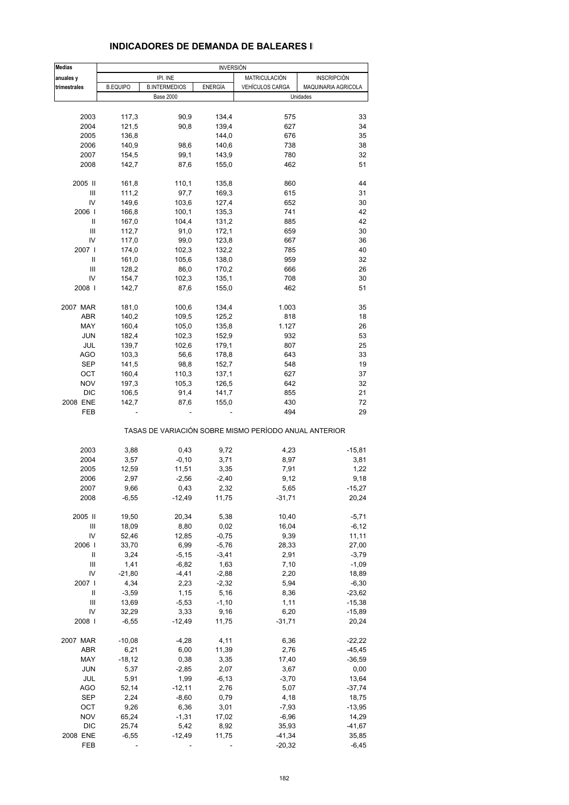| <b>Medias</b>                      |                 |                      | <b>INVERSIÓN</b> |                                                       |                     |
|------------------------------------|-----------------|----------------------|------------------|-------------------------------------------------------|---------------------|
| anuales y                          |                 | IPI. INE             |                  | MATRICULACIÓN                                         | <b>INSCRIPCIÓN</b>  |
| trimestrales                       | <b>B.EQUIPO</b> | <b>B.INTERMEDIOS</b> | <b>ENERGÍA</b>   | VEHÍCULOS CARGA                                       | MAQUINARIA AGRICOLA |
|                                    |                 | <b>Base 2000</b>     |                  |                                                       | Unidades            |
|                                    |                 |                      |                  |                                                       |                     |
| 2003                               | 117,3           | 90,9                 | 134,4            | 575                                                   | 33                  |
| 2004                               | 121,5           | 90,8                 | 139,4            | 627                                                   | 34                  |
| 2005                               | 136,8           |                      | 144,0            | 676                                                   | 35                  |
| 2006                               | 140,9           | 98,6                 | 140,6            | 738                                                   | 38                  |
| 2007                               | 154,5           | 99,1                 | 143,9            | 780                                                   | 32                  |
| 2008                               | 142,7           | 87,6                 | 155,0            | 462                                                   | 51                  |
| 2005 II                            | 161,8           | 110,1                | 135,8            | 860                                                   | 44                  |
| $\ensuremath{\mathsf{III}}\xspace$ | 111,2           | 97,7                 | 169,3            | 615                                                   | 31                  |
| IV                                 | 149,6           | 103,6                | 127,4            | 652                                                   | 30                  |
| 2006                               | 166,8           | 100,1                | 135,3            | 741                                                   | 42                  |
| Ш                                  | 167,0           | 104,4                | 131,2            | 885                                                   | 42                  |
| Ш                                  | 112,7           | 91,0                 | 172,1            | 659                                                   | 30                  |
| IV                                 | 117,0           | 99,0                 | 123,8            | 667                                                   | 36                  |
|                                    |                 |                      |                  |                                                       | 40                  |
| 2007                               | 174,0           | 102,3                | 132,2            | 785                                                   |                     |
| Ш                                  | 161,0           | 105,6                | 138,0            | 959                                                   | 32                  |
| Ш                                  | 128,2           | 86,0                 | 170,2            | 666                                                   | 26                  |
| IV                                 | 154,7           | 102,3                | 135,1            | 708                                                   | 30                  |
| 2008                               | 142,7           | 87,6                 | 155,0            | 462                                                   | 51                  |
| 2007 MAR                           | 181,0           | 100,6                | 134,4            | 1.003                                                 | 35                  |
| ABR                                | 140,2           | 109,5                | 125,2            | 818                                                   | 18                  |
| MAY                                | 160,4           | 105,0                | 135,8            | 1.127                                                 | 26                  |
| <b>JUN</b>                         | 182,4           | 102,3                | 152,9            | 932                                                   | 53                  |
| JUL                                | 139,7           | 102,6                | 179,1            | 807                                                   | 25                  |
| <b>AGO</b>                         |                 |                      |                  | 643                                                   |                     |
|                                    | 103,3           | 56,6                 | 178,8            |                                                       | 33                  |
| SEP                                | 141,5           | 98,8                 | 152,7            | 548                                                   | 19                  |
| OCT                                | 160,4           | 110,3                | 137,1            | 627                                                   | 37                  |
| <b>NOV</b>                         | 197,3           | 105,3                | 126,5            | 642                                                   | 32                  |
| <b>DIC</b>                         | 106,5           | 91,4                 | 141,7            | 855                                                   | 21                  |
| 2008 ENE                           | 142,7           | 87,6                 | 155,0            | 430                                                   | 72                  |
| FEB                                |                 |                      |                  | 494                                                   | 29                  |
|                                    |                 |                      |                  | TASAS DE VARIACIÓN SOBRE MISMO PERÍODO ANUAL ANTERIOR |                     |
| 2003                               | 3,88            | 0,43                 | 9,72             | 4,23                                                  | $-15,81$            |
| 2004                               | 3,57            | $-0,10$              | 3,71             | 8,97                                                  | 3,81                |
| 2005                               | 12,59           | 11,51                | 3,35             | 7,91                                                  | 1,22                |
| 2006                               | 2,97            | $-2,56$              | $-2,40$          | 9,12                                                  | 9,18                |
| 2007                               | 9,66            | 0,43                 | 2,32             | 5.65                                                  | $-15.27$            |
| 2008                               | $-6,55$         | $-12,49$             | 11,75            | $-31,71$                                              | 20,24               |
|                                    |                 |                      |                  |                                                       |                     |
| 2005 II                            | 19,50           | 20,34                | 5,38             | 10,40                                                 | $-5,71$             |
| Ш                                  | 18,09           | 8,80                 | 0,02             | 16,04                                                 | $-6, 12$            |
| IV                                 | 52,46           | 12,85                | $-0,75$          | 9,39                                                  | 11,11               |
| 2006                               | 33,70           | 6,99                 | $-5,76$          | 28,33                                                 | 27,00               |
| Ш                                  | 3,24            | $-5,15$              | $-3,41$          | 2,91                                                  | $-3,79$             |
| Ш                                  | 1,41            | $-6,82$              | 1,63             | 7,10                                                  | $-1,09$             |
| IV                                 | $-21,80$        | $-4,41$              | $-2,88$          | 2,20                                                  | 18,89               |
| 2007                               | 4,34            | 2,23                 | $-2,32$          | 5,94                                                  | $-6,30$             |
| Ш                                  | $-3,59$         | 1,15                 | 5,16             | 8,36                                                  | $-23,62$            |
| Ш                                  | 13,69           | $-5,53$              | $-1,10$          | 1,11                                                  | $-15,38$            |
| IV                                 | 32,29           | 3,33                 | 9,16             | 6,20                                                  | $-15,89$            |
| 2008                               | $-6,55$         | $-12,49$             | 11,75            | $-31,71$                                              | 20,24               |
|                                    |                 |                      |                  |                                                       |                     |
| 2007 MAR                           | $-10,08$        | $-4,28$              | 4,11             | 6,36                                                  | $-22,22$            |
| ABR                                | 6,21            | 6,00                 | 11,39            | 2,76                                                  | $-45,45$            |
| MAY                                | $-18,12$        | 0,38                 | 3,35             | 17,40                                                 | $-36,59$            |
| JUN                                | 5,37            | $-2,85$              | 2,07             | 3,67                                                  | 0,00                |
| JUL                                | 5,91            | 1,99                 | $-6, 13$         | $-3,70$                                               | 13,64               |
| <b>AGO</b>                         | 52,14           | $-12,11$             | 2,76             | 5,07                                                  | $-37,74$            |
| SEP                                | 2,24            | $-8,60$              | 0,79             | 4,18                                                  | 18,75               |
| OCT                                | 9,26            | 6,36                 | 3,01             | $-7,93$                                               | $-13,95$            |
|                                    |                 |                      |                  |                                                       |                     |
| <b>NOV</b>                         | 65,24           | $-1,31$              | 17,02            | $-6,96$                                               | 14,29               |
| <b>DIC</b>                         | 25,74           | 5,42                 | 8,92             | 35,93                                                 | $-41,67$            |
| 2008 ENE                           | $-6,55$         | $-12,49$             | 11,75            | $-41,34$                                              | 35,85               |
| FEB                                |                 |                      |                  | $-20,32$                                              | $-6,45$             |

#### **INDICADORES DE DEMANDA DE BALEARES II**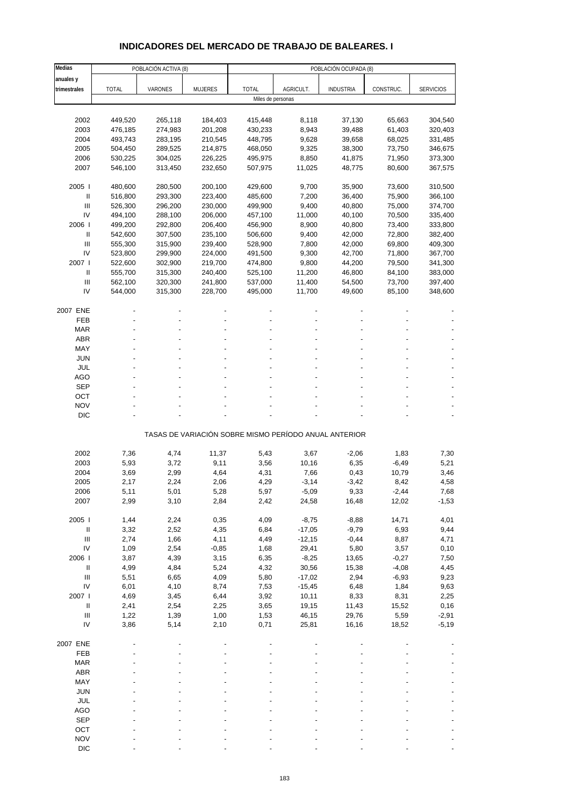# **INDICADORES DEL MERCADO DE TRABAJO DE BALEARES. I**

| Medias                                                           |              | POBLACIÓN ACTIVA (8) |                |                    |                | POBLACIÓN OCUPADA (8)                                 |               |                    |
|------------------------------------------------------------------|--------------|----------------------|----------------|--------------------|----------------|-------------------------------------------------------|---------------|--------------------|
| anuales y                                                        |              |                      |                |                    |                |                                                       |               |                    |
| trimestrales                                                     | <b>TOTAL</b> | VARONES              | <b>MUJERES</b> | <b>TOTAL</b>       | AGRICULT.      | <b>INDUSTRIA</b>                                      | CONSTRUC.     | <b>SERVICIOS</b>   |
|                                                                  |              |                      |                | Miles de personas  |                |                                                       |               |                    |
|                                                                  |              |                      |                |                    |                |                                                       |               |                    |
| 2002                                                             | 449,520      | 265,118              | 184,403        | 415,448            | 8,118          | 37,130                                                | 65,663        | 304,540            |
| 2003                                                             | 476,185      | 274,983              | 201,208        | 430,233            | 8,943          | 39,488                                                | 61,403        | 320,403            |
| 2004                                                             | 493,743      | 283,195              | 210,545        | 448,795            | 9,628          | 39,658                                                | 68,025        | 331,485            |
| 2005                                                             | 504,450      | 289,525              | 214,875        | 468,050            | 9,325          | 38,300                                                | 73,750        | 346,675            |
| 2006                                                             | 530,225      | 304,025              | 226,225        | 495,975            | 8,850          | 41,875                                                | 71,950        | 373,300            |
| 2007                                                             | 546,100      | 313,450              | 232,650        | 507,975            | 11,025         | 48,775                                                | 80,600        | 367,575            |
|                                                                  |              |                      |                |                    |                |                                                       |               |                    |
| 2005                                                             | 480,600      | 280,500              | 200,100        | 429,600            | 9,700          | 35,900                                                | 73,600        | 310,500            |
| $\mathbf{II}$                                                    | 516,800      | 293,300              | 223,400        | 485,600            | 7,200          | 36,400                                                | 75,900        | 366,100            |
| III<br>IV                                                        | 526,300      | 296,200              | 230,000        | 499,900            | 9,400          | 40,800                                                | 75,000        | 374,700            |
| 2006                                                             | 494,100      | 288,100              | 206,000        | 457,100<br>456,900 | 11,000         | 40,100                                                | 70,500        | 335,400            |
|                                                                  | 499,200      | 292,800              | 206,400        |                    | 8,900          | 40,800                                                | 73,400        | 333,800            |
| Ш                                                                | 542,600      | 307,500              | 235,100        | 506,600            | 9,400          | 42,000                                                | 72,800        | 382,400            |
| Ш                                                                | 555,300      | 315,900              | 239,400        | 528,900            | 7,800          | 42,000                                                | 69,800        | 409,300            |
| IV                                                               | 523,800      | 299,900              | 224,000        | 491,500            | 9,300          | 42,700                                                | 71,800        | 367,700            |
| 2007 l                                                           | 522,600      | 302,900              | 219,700        | 474,800            | 9,800          | 44,200                                                | 79,500        | 341,300            |
| $\mathbf{I}$                                                     | 555,700      | 315,300              | 240,400        | 525,100            | 11,200         | 46,800                                                | 84,100        | 383,000            |
| $\ensuremath{\mathsf{III}}\xspace$                               | 562,100      | 320,300              | 241,800        | 537,000            | 11,400         | 54,500                                                | 73,700        | 397,400            |
| IV                                                               | 544,000      | 315,300              | 228,700        | 495,000            | 11,700         | 49,600                                                | 85,100        | 348,600            |
| 2007 ENE                                                         |              |                      |                |                    |                |                                                       |               |                    |
| FEB                                                              |              |                      |                |                    |                |                                                       |               |                    |
| <b>MAR</b>                                                       |              |                      |                |                    |                |                                                       |               |                    |
| <b>ABR</b>                                                       |              |                      |                |                    |                |                                                       |               |                    |
| MAY                                                              |              |                      |                |                    |                |                                                       |               |                    |
| <b>JUN</b>                                                       |              |                      |                |                    |                |                                                       |               |                    |
| <b>JUL</b>                                                       |              |                      |                |                    |                |                                                       |               |                    |
| AGO                                                              |              |                      |                |                    |                |                                                       |               |                    |
| <b>SEP</b>                                                       |              |                      |                |                    |                |                                                       |               |                    |
| OCT                                                              |              |                      |                |                    |                |                                                       |               |                    |
| <b>NOV</b>                                                       |              |                      |                |                    |                |                                                       |               |                    |
| <b>DIC</b>                                                       |              |                      |                |                    |                |                                                       |               |                    |
|                                                                  |              |                      |                |                    |                |                                                       |               |                    |
|                                                                  |              |                      |                |                    |                | TASAS DE VARIACIÓN SOBRE MISMO PERÍODO ANUAL ANTERIOR |               |                    |
|                                                                  |              |                      |                |                    |                |                                                       |               |                    |
| 2002                                                             | 7,36         | 4,74                 | 11,37          | 5,43               | 3,67           | $-2,06$                                               | 1,83          | 7,30               |
| 2003                                                             | 5,93         | 3,72                 | 9,11           | 3,56               | 10,16          | 6,35                                                  | $-6,49$       | 5,21               |
| 2004                                                             | 3,69         | 2,99                 | 4,64           | 4,31               | 7,66           | 0,43                                                  | 10,79         | 3,46               |
| 2005                                                             | 2,17         | 2,24                 | 2,06           | 4,29               | $-3,14$        | $-3,42$                                               | 8,42          | 4,58               |
| 2006                                                             | 5,11         | 5,01                 | 5,28           | 5,97               | -5,09          | 9,33                                                  | -2,44         | 7,68               |
| 2007                                                             | 2,99         | 3,10                 | 2,84           | 2,42               | 24,58          | 16,48                                                 | 12,02         | $-1,53$            |
|                                                                  |              |                      |                |                    |                |                                                       |               |                    |
| 2005 l                                                           | 1,44         | 2,24                 | 0,35           | 4,09               | $-8,75$        | $-8,88$                                               | 14,71         | 4,01               |
| $\ensuremath{\mathsf{II}}$                                       | 3,32         | 2,52                 | 4,35           | 6,84               | $-17,05$       | $-9,79$                                               | 6,93          | 9,44               |
| $\ensuremath{\mathsf{III}}\xspace$                               | 2,74         | 1,66                 | 4,11           | 4,49               | $-12,15$       | $-0,44$                                               | 8,87          | 4,71               |
| IV                                                               | 1,09         | 2,54                 | $-0,85$        | 1,68               | 29,41          | 5,80                                                  | 3,57          | 0,10               |
| 2006                                                             | 3,87         | 4,39                 | 3,15           | 6,35               | $-8,25$        | 13,65                                                 | $-0,27$       | 7,50               |
| $\ensuremath{\mathsf{II}}$<br>$\ensuremath{\mathsf{III}}\xspace$ | 4,99         | 4,84                 | 5,24           | 4,32               | 30,56          | 15,38                                                 | $-4,08$       | 4,45               |
| IV                                                               | 5,51         | 6,65                 | 4,09           | 5,80               | $-17,02$       | 2,94                                                  | $-6,93$       | 9,23               |
|                                                                  | 6,01         | 4,10                 | 8,74           | 7,53               | $-15,45$       | 6,48                                                  | 1,84          | 9,63               |
| 2007 l<br>$\, \parallel$                                         | 4,69         | 3,45                 | 6,44           | 3,92               | 10,11          | 8,33                                                  | 8,31          | 2,25               |
| $\ensuremath{\mathsf{III}}\xspace$                               | 2,41         | 2,54                 | 2,25           | 3,65               | 19,15          | 11,43                                                 | 15,52         | 0,16               |
| IV                                                               | 1,22<br>3,86 | 1,39<br>5,14         | 1,00<br>2,10   | 1,53<br>0,71       | 46,15<br>25,81 | 29,76<br>16,16                                        | 5,59<br>18,52 | $-2,91$<br>$-5,19$ |
|                                                                  |              |                      |                |                    |                |                                                       |               |                    |
| 2007 ENE                                                         |              |                      |                |                    |                |                                                       |               |                    |
| FEB                                                              |              |                      |                |                    |                |                                                       |               |                    |
| <b>MAR</b>                                                       |              |                      |                |                    |                |                                                       |               |                    |
| <b>ABR</b>                                                       |              |                      |                |                    |                |                                                       |               |                    |
| MAY                                                              |              |                      |                |                    |                |                                                       |               |                    |
| <b>JUN</b>                                                       |              |                      |                |                    |                |                                                       |               |                    |
| JUL                                                              |              |                      |                |                    |                |                                                       |               |                    |
| <b>AGO</b>                                                       |              |                      |                |                    |                |                                                       |               |                    |
| <b>SEP</b>                                                       |              |                      |                |                    |                |                                                       |               |                    |
| OCT                                                              |              |                      |                |                    |                |                                                       |               |                    |
| <b>NOV</b>                                                       |              |                      |                |                    |                |                                                       |               |                    |
| <b>DIC</b>                                                       |              |                      |                |                    |                |                                                       |               |                    |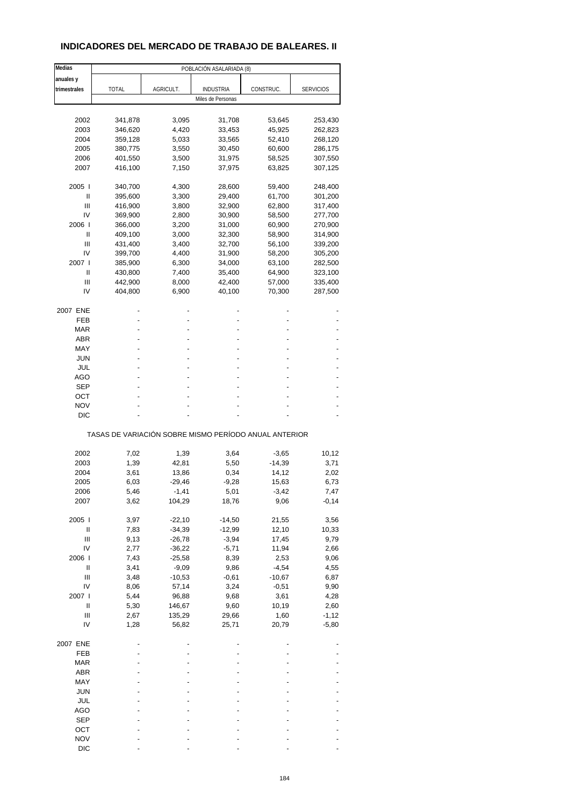## **INDICADORES DEL MERCADO DE TRABAJO DE BALEARES. II**

| Medias                             | POBLACIÓN ASALARIADA (8)                              |           |                   |           |                  |  |  |
|------------------------------------|-------------------------------------------------------|-----------|-------------------|-----------|------------------|--|--|
| anuales y                          |                                                       |           |                   |           |                  |  |  |
| trimestrales                       | TOTAL                                                 | AGRICULT. | <b>INDUSTRIA</b>  | CONSTRUC. | <b>SERVICIOS</b> |  |  |
|                                    |                                                       |           | Miles de Personas |           |                  |  |  |
|                                    |                                                       |           |                   |           |                  |  |  |
|                                    |                                                       |           |                   |           |                  |  |  |
| 2002                               | 341,878                                               | 3,095     | 31,708            | 53,645    | 253,430          |  |  |
| 2003                               | 346,620                                               | 4,420     | 33,453            | 45,925    | 262,823          |  |  |
| 2004                               | 359,128                                               | 5,033     | 33,565            | 52,410    | 268,120          |  |  |
| 2005                               | 380,775                                               | 3,550     | 30,450            | 60,600    | 286,175          |  |  |
| 2006                               | 401,550                                               | 3,500     | 31,975            | 58,525    | 307,550          |  |  |
| 2007                               | 416,100                                               | 7,150     | 37,975            | 63,825    | 307,125          |  |  |
|                                    |                                                       |           |                   |           |                  |  |  |
| 2005                               | 340,700                                               | 4,300     | 28,600            | 59,400    | 248,400          |  |  |
| Ш                                  | 395,600                                               | 3,300     | 29,400            | 61,700    | 301,200          |  |  |
| Ш                                  | 416,900                                               | 3,800     | 32,900            | 62,800    | 317,400          |  |  |
| IV                                 | 369,900                                               | 2,800     | 30,900            | 58,500    | 277,700          |  |  |
| 2006                               | 366,000                                               | 3,200     | 31,000            | 60,900    | 270,900          |  |  |
| Ш                                  | 409,100                                               | 3,000     | 32,300            | 58,900    | 314,900          |  |  |
| Ш                                  | 431,400                                               | 3,400     | 32,700            | 56,100    | 339,200          |  |  |
| IV                                 | 399,700                                               | 4,400     | 31,900            | 58,200    | 305,200          |  |  |
| 2007                               | 385,900                                               | 6,300     | 34,000            | 63,100    | 282,500          |  |  |
| Ш                                  | 430,800                                               | 7,400     | 35,400            | 64,900    | 323,100          |  |  |
| Ш                                  | 442,900                                               | 8,000     | 42,400            | 57,000    | 335,400          |  |  |
| IV                                 | 404,800                                               | 6,900     | 40,100            | 70,300    | 287,500          |  |  |
|                                    |                                                       |           |                   |           |                  |  |  |
| 2007 ENE                           |                                                       |           |                   |           |                  |  |  |
| FEB                                |                                                       |           |                   |           |                  |  |  |
| MAR                                |                                                       |           |                   |           |                  |  |  |
| <b>ABR</b>                         |                                                       |           |                   |           |                  |  |  |
| MAY                                |                                                       |           |                   |           |                  |  |  |
| <b>JUN</b>                         |                                                       |           |                   |           |                  |  |  |
| JUL                                |                                                       |           |                   |           |                  |  |  |
| AGO                                |                                                       |           |                   |           |                  |  |  |
| <b>SEP</b>                         |                                                       |           |                   |           |                  |  |  |
| ОСТ                                |                                                       |           |                   |           |                  |  |  |
| <b>NOV</b>                         |                                                       |           |                   |           |                  |  |  |
| DIC                                |                                                       |           |                   |           |                  |  |  |
|                                    |                                                       |           |                   |           |                  |  |  |
|                                    | TASAS DE VARIACIÓN SOBRE MISMO PERÍODO ANUAL ANTERIOR |           |                   |           |                  |  |  |
|                                    |                                                       |           |                   |           |                  |  |  |
| 2002                               | 7,02                                                  | 1,39      | 3,64              | $-3,65$   | 10,12            |  |  |
| 2003                               | 1,39                                                  | 42,81     | 5,50              | $-14,39$  | 3,71             |  |  |
| 2004                               | 3,61                                                  | 13,86     | 0,34              | 14,12     | 2,02             |  |  |
| 2005                               | 6,03                                                  | $-29,46$  | $-9,28$           | 15,63     | 6,73             |  |  |
| 2006                               | 5,46                                                  | -1,41     | 5,01              | -3,42     | 7,47             |  |  |
| 2007                               | 3,62                                                  | 104,29    | 18,76             | 9,06      | $-0,14$          |  |  |
|                                    |                                                       |           |                   |           |                  |  |  |
| 2005 l                             | 3,97                                                  | $-22,10$  | $-14,50$          | 21,55     | 3,56             |  |  |
| $\sf II$                           | 7,83                                                  | $-34,39$  | $-12,99$          | 12,10     | 10,33            |  |  |
| $\ensuremath{\mathsf{III}}\xspace$ | 9,13                                                  | $-26,78$  | $-3,94$           | 17,45     | 9,79             |  |  |
| IV                                 | 2,77                                                  | $-36,22$  | $-5,71$           | 11,94     | 2,66             |  |  |
| 2006                               | 7,43                                                  | $-25,58$  | 8,39              | 2,53      | 9,06             |  |  |
| $\sf II$                           | 3,41                                                  | $-9,09$   | 9,86              | $-4,54$   | 4,55             |  |  |
| Ш                                  | 3,48                                                  | $-10,53$  | $-0,61$           | $-10,67$  | 6,87             |  |  |
| IV                                 | 8,06                                                  | 57,14     | 3,24              | $-0,51$   | 9,90             |  |  |
| 2007 l                             | 5,44                                                  | 96,88     | 9,68              | 3,61      | 4,28             |  |  |
| $\ensuremath{\mathsf{II}}$         | 5,30                                                  | 146,67    | 9,60              | 10,19     | 2,60             |  |  |
| Ш                                  | 2,67                                                  | 135,29    | 29,66             | 1,60      | $-1,12$          |  |  |
| IV                                 | 1,28                                                  | 56,82     | 25,71             | 20,79     | $-5,80$          |  |  |
|                                    |                                                       |           |                   |           |                  |  |  |
| 2007 ENE                           |                                                       |           |                   |           |                  |  |  |
| FEB                                |                                                       |           |                   |           |                  |  |  |
| <b>MAR</b>                         |                                                       |           |                   |           |                  |  |  |
| ABR                                |                                                       |           |                   |           |                  |  |  |
| MAY                                |                                                       |           |                   |           |                  |  |  |
| <b>JUN</b>                         |                                                       |           |                   |           |                  |  |  |
| JUL                                |                                                       |           |                   |           |                  |  |  |
| <b>AGO</b>                         |                                                       |           |                   |           |                  |  |  |
|                                    |                                                       |           |                   |           |                  |  |  |
| <b>SEP</b>                         |                                                       |           |                   |           |                  |  |  |
| OCT                                |                                                       |           |                   |           |                  |  |  |
| <b>NOV</b>                         |                                                       |           |                   |           |                  |  |  |
| <b>DIC</b>                         |                                                       |           |                   |           |                  |  |  |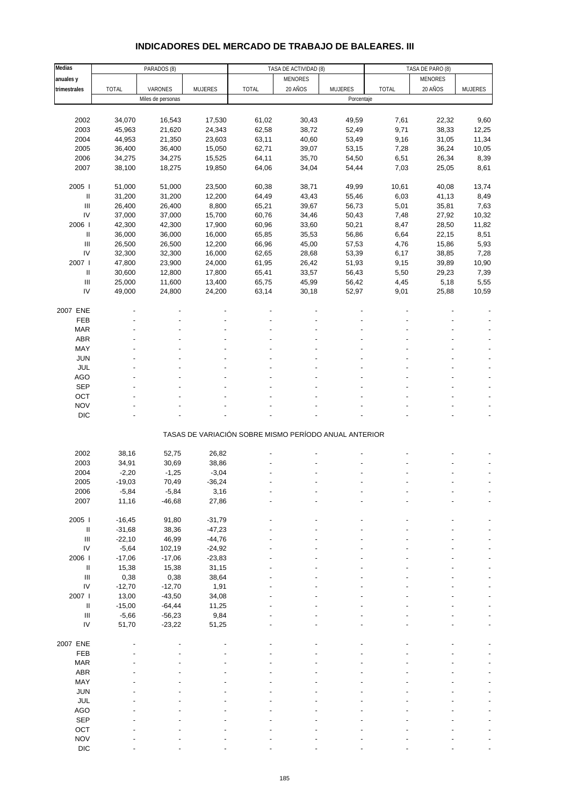# **INDICADORES DEL MERCADO DE TRABAJO DE BALEARES. III**

| Medias                             |              | PARADOS (8)       |                |                                                       | TASA DE ACTIVIDAD (8) |                | TASA DE PARO (8) |         |                |
|------------------------------------|--------------|-------------------|----------------|-------------------------------------------------------|-----------------------|----------------|------------------|---------|----------------|
| anuales y                          |              |                   |                |                                                       | MENORES               |                |                  | MENORES |                |
| trimestrales                       | <b>TOTAL</b> | VARONES           | <b>MUJERES</b> | <b>TOTAL</b>                                          | 20 AÑOS               | <b>MUJERES</b> | <b>TOTAL</b>     | 20 AÑOS | <b>MUJERES</b> |
|                                    |              | Miles de personas |                |                                                       |                       | Porcentaje     |                  |         |                |
|                                    |              |                   |                |                                                       |                       |                |                  |         |                |
|                                    |              |                   |                |                                                       |                       |                |                  |         |                |
| 2002                               | 34,070       | 16,543            | 17,530         | 61,02                                                 | 30,43                 | 49,59          | 7,61             | 22,32   | 9,60           |
| 2003                               | 45,963       | 21,620            | 24,343         | 62,58                                                 | 38,72                 | 52,49          | 9,71             | 38,33   | 12,25          |
| 2004                               | 44,953       | 21,350            | 23,603         | 63,11                                                 | 40,60                 | 53,49          | 9,16             | 31,05   | 11,34          |
| 2005                               | 36,400       | 36,400            | 15,050         | 62,71                                                 | 39,07                 | 53,15          | 7,28             | 36,24   | 10,05          |
| 2006                               | 34,275       | 34,275            | 15,525         | 64,11                                                 | 35,70                 | 54,50          | 6,51             | 26,34   | 8,39           |
| 2007                               | 38,100       | 18,275            | 19,850         | 64,06                                                 | 34,04                 | 54,44          | 7,03             | 25,05   | 8,61           |
|                                    |              |                   |                |                                                       |                       |                |                  |         |                |
| 2005                               | 51,000       | 51,000            | 23,500         | 60,38                                                 | 38,71                 | 49,99          | 10,61            | 40,08   | 13,74          |
| Ш                                  | 31,200       | 31,200            | 12,200         | 64,49                                                 | 43,43                 | 55,46          | 6,03             | 41,13   | 8,49           |
| $\ensuremath{\mathsf{III}}\xspace$ | 26,400       | 26,400            | 8,800          | 65,21                                                 | 39,67                 | 56,73          | 5,01             | 35,81   | 7,63           |
| IV                                 | 37,000       | 37,000            | 15,700         | 60,76                                                 | 34,46                 | 50,43          | 7,48             | 27,92   | 10,32          |
| 2006                               | 42,300       | 42,300            | 17,900         | 60,96                                                 | 33,60                 | 50,21          | 8,47             | 28,50   | 11,82          |
| Ш                                  | 36,000       | 36,000            | 16,000         | 65,85                                                 | 35,53                 | 56,86          | 6,64             | 22,15   | 8,51           |
| $\ensuremath{\mathsf{III}}\xspace$ | 26,500       | 26,500            | 12,200         | 66,96                                                 | 45,00                 | 57,53          | 4,76             | 15,86   | 5,93           |
| IV                                 | 32,300       | 32,300            | 16,000         | 62,65                                                 | 28,68                 | 53,39          | 6,17             | 38,85   | 7,28           |
| 2007                               |              |                   |                |                                                       |                       |                |                  |         |                |
|                                    | 47,800       | 23,900            | 24,000         | 61,95                                                 | 26,42                 | 51,93          | 9,15             | 39,89   | 10,90          |
| Ш                                  | 30,600       | 12,800            | 17,800         | 65,41                                                 | 33,57                 | 56,43          | 5,50             | 29,23   | 7,39           |
| $\ensuremath{\mathsf{III}}\xspace$ | 25,000       | 11,600            | 13,400         | 65,75                                                 | 45,99                 | 56,42          | 4,45             | 5,18    | 5,55           |
| IV                                 | 49,000       | 24,800            | 24,200         | 63,14                                                 | 30,18                 | 52,97          | 9,01             | 25,88   | 10,59          |
|                                    |              |                   |                |                                                       |                       |                |                  |         |                |
| 2007 ENE                           |              |                   |                |                                                       |                       |                |                  |         |                |
| FEB                                |              |                   |                |                                                       |                       |                |                  |         |                |
| <b>MAR</b>                         |              |                   |                |                                                       |                       |                |                  |         |                |
| ABR                                |              |                   |                |                                                       |                       |                |                  |         |                |
| MAY                                |              |                   |                |                                                       |                       |                |                  |         |                |
| <b>JUN</b>                         |              |                   |                |                                                       |                       |                |                  |         |                |
| JUL                                |              |                   |                |                                                       |                       |                |                  |         |                |
| AGO                                |              |                   |                |                                                       |                       |                |                  |         |                |
| <b>SEP</b>                         |              |                   |                |                                                       |                       |                |                  |         |                |
| OCT                                |              |                   |                |                                                       |                       |                |                  |         |                |
| <b>NOV</b>                         |              |                   |                |                                                       |                       |                |                  |         |                |
|                                    |              |                   |                |                                                       |                       |                |                  |         |                |
| $DIC$                              |              |                   |                |                                                       |                       |                |                  |         |                |
|                                    |              |                   |                |                                                       |                       |                |                  |         |                |
|                                    |              |                   |                | TASAS DE VARIACIÓN SOBRE MISMO PERÍODO ANUAL ANTERIOR |                       |                |                  |         |                |
|                                    |              |                   |                |                                                       |                       |                |                  |         |                |
| 2002                               | 38,16        | 52,75             | 26,82          |                                                       |                       |                |                  |         |                |
| 2003                               | 34,91        | 30,69             | 38,86          |                                                       |                       |                |                  |         |                |
| 2004                               | $-2,20$      | $-1,25$           | $-3,04$        |                                                       |                       |                |                  |         |                |
| 2005                               | $-19,03$     | 70,49             | $-36,24$       |                                                       |                       |                |                  |         |                |
| 2006                               | -5,84        | $-5,84$           | 3,16           |                                                       |                       |                |                  |         |                |
| 2007                               | 11,16        | $-46,68$          | 27,86          |                                                       |                       |                |                  |         |                |
|                                    |              |                   |                |                                                       |                       |                |                  |         |                |
| 2005 l                             | $-16,45$     | 91,80             | $-31,79$       |                                                       |                       |                |                  |         |                |
| Ш                                  | $-31,68$     | 38,36             | $-47,23$       |                                                       |                       |                |                  |         |                |
| $\ensuremath{\mathsf{III}}\xspace$ | $-22,10$     | 46,99             | $-44,76$       |                                                       |                       |                |                  |         |                |
| ${\sf IV}$                         | $-5,64$      | 102,19            | $-24,92$       |                                                       |                       |                |                  |         |                |
| 2006                               | $-17,06$     | $-17,06$          | $-23,83$       |                                                       |                       |                |                  |         |                |
| Ш                                  | 15,38        | 15,38             | 31,15          |                                                       |                       |                |                  |         |                |
| $\ensuremath{\mathsf{III}}\xspace$ | 0,38         | 0,38              | 38,64          |                                                       |                       |                |                  |         |                |
| ${\sf IV}$                         | $-12,70$     | $-12,70$          | 1,91           |                                                       |                       |                |                  |         |                |
| 2007 l                             | 13,00        | $-43,50$          | 34,08          |                                                       |                       |                |                  |         |                |
| $\ensuremath{\mathsf{II}}$         | $-15,00$     | $-64,44$          | 11,25          |                                                       |                       |                |                  |         |                |
| $\ensuremath{\mathsf{III}}\xspace$ |              |                   |                |                                                       |                       |                |                  |         |                |
|                                    | $-5,66$      | $-56,23$          | 9,84           |                                                       |                       |                |                  |         |                |
| IV                                 | 51,70        | $-23,22$          | 51,25          |                                                       |                       |                |                  |         |                |
|                                    |              |                   |                |                                                       |                       |                |                  |         |                |
| 2007 ENE                           |              |                   |                |                                                       |                       |                |                  |         |                |
| FEB                                |              |                   |                |                                                       |                       |                |                  |         |                |
| <b>MAR</b>                         |              |                   |                |                                                       |                       |                |                  |         |                |
| ABR                                |              |                   |                |                                                       |                       |                |                  |         |                |
| MAY                                |              |                   |                |                                                       |                       |                |                  |         |                |
| JUN                                |              |                   |                |                                                       |                       |                |                  |         |                |
| JUL                                |              |                   |                |                                                       |                       |                |                  |         |                |
| AGO                                |              |                   |                |                                                       |                       |                |                  |         |                |
| SEP                                |              |                   |                |                                                       |                       |                |                  |         |                |
| OCT                                |              |                   |                |                                                       |                       |                |                  |         |                |
| <b>NOV</b>                         |              |                   |                |                                                       |                       |                |                  |         |                |
| DIC                                |              |                   |                |                                                       |                       |                |                  |         |                |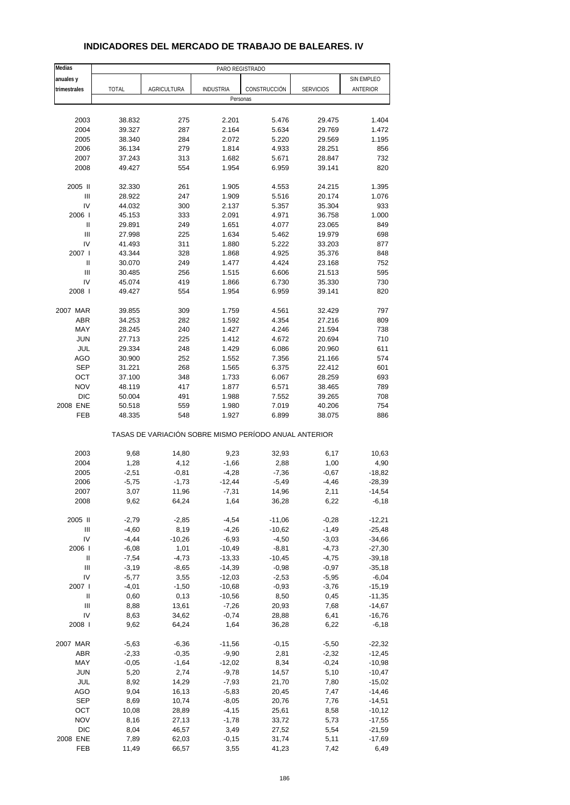| Medias                                   |                    |                    | PARO REGISTRADO      |                                                       |                    |                      |
|------------------------------------------|--------------------|--------------------|----------------------|-------------------------------------------------------|--------------------|----------------------|
| anuales y                                |                    |                    |                      |                                                       |                    | SIN EMPLEO           |
| trimestrales                             | <b>TOTAL</b>       | <b>AGRICULTURA</b> | <b>INDUSTRIA</b>     | CONSTRUCCIÓN                                          | <b>SERVICIOS</b>   | ANTERIOR             |
|                                          |                    |                    | Personas             |                                                       |                    |                      |
|                                          |                    |                    |                      |                                                       |                    |                      |
| 2003                                     | 38.832             | 275                | 2.201                | 5.476                                                 | 29.475             | 1.404                |
| 2004                                     | 39.327             | 287                | 2.164                | 5.634                                                 | 29.769             | 1.472                |
| 2005                                     | 38.340             | 284                | 2.072                | 5.220                                                 | 29.569             | 1.195                |
| 2006                                     | 36.134             | 279                | 1.814                | 4.933                                                 | 28.251             | 856                  |
| 2007                                     | 37.243             | 313                | 1.682                | 5.671                                                 | 28.847             | 732                  |
| 2008                                     | 49.427             | 554                | 1.954                | 6.959                                                 | 39.141             | 820                  |
| 2005 II                                  | 32.330             | 261                | 1.905                | 4.553                                                 | 24.215             | 1.395                |
| III                                      | 28.922             | 247                | 1.909                | 5.516                                                 | 20.174             | 1.076                |
| IV                                       | 44.032             | 300                | 2.137                | 5.357                                                 | 35.304             | 933                  |
| 2006                                     | 45.153             | 333                | 2.091                | 4.971                                                 | 36.758             | 1.000                |
| $\sf II$                                 | 29.891             | 249                | 1.651                | 4.077                                                 | 23.065             | 849                  |
| III                                      | 27.998             | 225                | 1.634                | 5.462                                                 | 19.979             | 698                  |
| IV                                       | 41.493             | 311                | 1.880                | 5.222                                                 | 33.203             | 877                  |
| 2007 l                                   | 43.344             | 328                | 1.868                | 4.925                                                 | 35.376             | 848                  |
| Ш                                        | 30.070             | 249                | 1.477                | 4.424                                                 | 23.168             | 752                  |
| $\ensuremath{\mathsf{III}}\xspace$       | 30.485             | 256                | 1.515                | 6.606                                                 | 21.513             | 595                  |
| IV                                       | 45.074             | 419                | 1.866                | 6.730                                                 | 35.330             | 730                  |
| 2008                                     | 49.427             | 554                | 1.954                | 6.959                                                 | 39.141             | 820                  |
|                                          |                    |                    |                      |                                                       |                    |                      |
| 2007 MAR<br><b>ABR</b>                   | 39.855             | 309<br>282         | 1.759<br>1.592       | 4.561<br>4.354                                        | 32.429<br>27.216   | 797<br>809           |
| MAY                                      | 34.253<br>28.245   | 240                | 1.427                | 4.246                                                 | 21.594             | 738                  |
| <b>JUN</b>                               | 27.713             | 225                | 1.412                | 4.672                                                 | 20.694             | 710                  |
| JUL                                      | 29.334             | 248                | 1.429                | 6.086                                                 | 20.960             | 611                  |
| AGO                                      | 30.900             | 252                | 1.552                | 7.356                                                 | 21.166             | 574                  |
| <b>SEP</b>                               | 31.221             | 268                | 1.565                | 6.375                                                 | 22.412             | 601                  |
| OCT                                      | 37.100             | 348                | 1.733                | 6.067                                                 | 28.259             | 693                  |
| <b>NOV</b>                               | 48.119             | 417                | 1.877                | 6.571                                                 | 38.465             | 789                  |
| <b>DIC</b>                               | 50.004             | 491                | 1.988                | 7.552                                                 | 39.265             | 708                  |
| 2008 ENE                                 | 50.518             | 559                | 1.980                | 7.019                                                 | 40.206             | 754                  |
| FEB                                      | 48.335             | 548                | 1.927                | 6.899                                                 | 38.075             | 886                  |
|                                          |                    |                    |                      | TASAS DE VARIACIÓN SOBRE MISMO PERÍODO ANUAL ANTERIOR |                    |                      |
| 2003                                     | 9,68               | 14,80              | 9,23                 | 32,93                                                 | 6,17               | 10,63                |
| 2004                                     | 1,28               | 4,12               | $-1,66$              | 2,88                                                  | 1,00               | 4,90                 |
| 2005                                     | $-2,51$            | $-0,81$            | $-4,28$              | $-7,36$                                               | $-0,67$            | $-18,82$             |
| 2006                                     | $-5,75$            | $-1,73$            | $-12,44$             | $-5,49$                                               | $-4,46$            | $-28,39$             |
| 2007                                     | 3,07               | 11,96              | -7,31                | 14,96                                                 | 2,11               | -14,54               |
| 2008                                     | 9,62               | 64,24              | 1,64                 | 36,28                                                 | 6,22               | $-6,18$              |
|                                          |                    |                    |                      |                                                       |                    |                      |
| 2005 II                                  | $-2,79$            | $-2,85$            | $-4,54$              | $-11,06$                                              | $-0,28$            | $-12,21$             |
| Ш                                        | $-4,60$            | 8,19               | $-4,26$              | $-10,62$                                              | $-1,49$            | $-25,48$             |
| IV                                       | $-4,44$            | $-10,26$           | $-6,93$              | $-4,50$                                               | $-3,03$            | $-34,66$             |
| 2006                                     | $-6,08$            | 1,01               | $-10,49$             | $-8,81$                                               | $-4,73$            | $-27,30$             |
| Ш                                        | $-7,54$            | $-4,73$            | $-13,33$             | $-10,45$                                              | $-4,75$            | $-39,18$             |
| $\ensuremath{\mathsf{III}}\xspace$<br>IV | $-3,19$<br>$-5,77$ | $-8,65$<br>3,55    | $-14,39$             | $-0,98$                                               | $-0,97$            | $-35,18$             |
| 2007 l                                   | $-4,01$            | $-1,50$            | $-12,03$<br>$-10,68$ | $-2,53$<br>$-0,93$                                    | $-5,95$<br>$-3,76$ | $-6,04$<br>$-15,19$  |
| Ш                                        | 0,60               | 0,13               | $-10,56$             | 8,50                                                  | 0,45               | $-11,35$             |
| Ш                                        | 8,88               | 13,61              | $-7,26$              | 20,93                                                 | 7,68               | $-14,67$             |
| IV                                       | 8,63               | 34,62              | $-0,74$              | 28,88                                                 | 6,41               | $-16,76$             |
| 2008                                     | 9,62               | 64,24              | 1,64                 | 36,28                                                 | 6,22               | $-6,18$              |
|                                          |                    |                    |                      |                                                       |                    |                      |
| 2007 MAR                                 | $-5,63$            | $-6,36$            | $-11,56$             | $-0,15$                                               | $-5,50$            | $-22,32$             |
| ABR                                      | $-2,33$            | $-0,35$            | $-9,90$              | 2,81                                                  | $-2,32$            | $-12,45$             |
| MAY                                      | $-0,05$            | $-1,64$            | $-12,02$             | 8,34                                                  | $-0,24$            | $-10,98$             |
| <b>JUN</b>                               | 5,20               | 2,74               | $-9,78$              | 14,57                                                 | 5,10               | $-10,47$             |
| JUL                                      | 8,92               | 14,29              | $-7,93$              | 21,70                                                 | 7,80               | $-15,02$             |
| AGO                                      | 9,04               | 16,13              | $-5,83$              | 20,45                                                 | 7,47               | $-14,46$             |
| <b>SEP</b>                               | 8,69               | 10,74              | $-8,05$              | 20,76                                                 | 7,76               | $-14,51$             |
| OCT                                      | 10,08              | 28,89              | $-4,15$              | 25,61                                                 | 8,58               | $-10,12$             |
| <b>NOV</b><br>$DIC$                      | 8,16<br>8,04       | 27,13<br>46,57     | $-1,78$<br>3,49      | 33,72<br>27,52                                        | 5,73<br>5,54       | $-17,55$<br>$-21,59$ |
| 2008 ENE                                 | 7,89               | 62,03              | $-0,15$              | 31,74                                                 | 5,11               | $-17,69$             |
| FEB                                      | 11,49              | 66,57              | 3,55                 | 41,23                                                 | 7,42               | 6,49                 |

### **INDICADORES DEL MERCADO DE TRABAJO DE BALEARES. IV**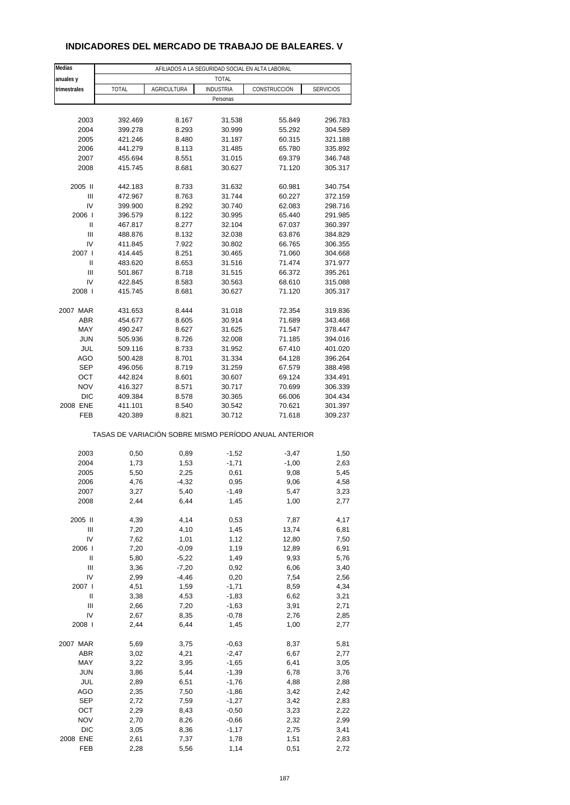### **INDICADORES DEL MERCADO DE TRABAJO DE BALEARES. V**

| Medias       |              |                    | AFILIADOS A LA SEGURIDAD SOCIAL EN ALTA LABORAL |                                                       |                  |
|--------------|--------------|--------------------|-------------------------------------------------|-------------------------------------------------------|------------------|
| anuales y    |              |                    | <b>TOTAL</b>                                    |                                                       |                  |
| trimestrales | <b>TOTAL</b> | <b>AGRICULTURA</b> | <b>INDUSTRIA</b>                                | CONSTRUCCIÓN                                          | <b>SERVICIOS</b> |
|              |              |                    | Personas                                        |                                                       |                  |
|              |              |                    |                                                 |                                                       |                  |
| 2003         | 392.469      | 8.167              | 31.538                                          | 55.849                                                | 296.783          |
| 2004         | 399.278      | 8.293              | 30.999                                          | 55.292                                                | 304.589          |
| 2005         | 421.246      | 8.480              | 31.187                                          | 60.315                                                | 321.188          |
|              |              |                    |                                                 |                                                       |                  |
| 2006         | 441.279      | 8.113              | 31.485                                          | 65.780                                                | 335.892          |
| 2007         | 455.694      | 8.551              | 31.015                                          | 69.379                                                | 346.748          |
| 2008         | 415.745      | 8.681              | 30.627                                          | 71.120                                                | 305.317          |
| 2005 II      | 442.183      | 8.733              | 31.632                                          | 60.981                                                | 340.754          |
| Ш            | 472.967      | 8.763              | 31.744                                          | 60.227                                                | 372.159          |
| IV           | 399.900      | 8.292              | 30.740                                          | 62.083                                                | 298.716          |
| 2006         | 396.579      | 8.122              | 30.995                                          | 65.440                                                | 291.985          |
| $\sf II$     | 467.817      | 8.277              | 32.104                                          | 67.037                                                | 360.397          |
| Ш            | 488.876      | 8.132              | 32.038                                          | 63.876                                                | 384.829          |
|              |              |                    |                                                 |                                                       |                  |
| IV           | 411.845      | 7.922              | 30.802                                          | 66.765                                                | 306.355          |
| 2007 l       | 414.445      | 8.251              | 30.465                                          | 71.060                                                | 304.668          |
| $\sf II$     | 483.620      | 8.653              | 31.516                                          | 71.474                                                | 371.977          |
| Ш            | 501.867      | 8.718              | 31.515                                          | 66.372                                                | 395.261          |
| IV           | 422.845      | 8.583              | 30.563                                          | 68.610                                                | 315.088          |
| 2008         | 415.745      | 8.681              | 30.627                                          | 71.120                                                | 305.317          |
| 2007 MAR     |              | 8.444              |                                                 |                                                       |                  |
|              | 431.653      |                    | 31.018                                          | 72.354                                                | 319.836          |
| ABR          | 454.677      | 8.605              | 30.914                                          | 71.689                                                | 343.468          |
| MAY          | 490.247      | 8.627              | 31.625                                          | 71.547                                                | 378.447          |
| <b>JUN</b>   | 505.936      | 8.726              | 32.008                                          | 71.185                                                | 394.016          |
| <b>JUL</b>   | 509.116      | 8.733              | 31.952                                          | 67.410                                                | 401.020          |
| <b>AGO</b>   | 500.428      | 8.701              | 31.334                                          | 64.128                                                | 396.264          |
| <b>SEP</b>   | 496.056      | 8.719              | 31.259                                          | 67.579                                                | 388.498          |
| ОСТ          | 442.824      | 8.601              | 30.607                                          | 69.124                                                | 334.491          |
| <b>NOV</b>   | 416.327      | 8.571              | 30.717                                          | 70.699                                                | 306.339          |
| <b>DIC</b>   | 409.384      | 8.578              | 30.365                                          | 66.006                                                | 304.434          |
| 2008 ENE     | 411.101      | 8.540              | 30.542                                          | 70.621                                                | 301.397          |
| FEB          | 420.389      | 8.821              | 30.712                                          | 71.618                                                | 309.237          |
|              |              |                    |                                                 | TASAS DE VARIACIÓN SOBRE MISMO PERÍODO ANUAL ANTERIOR |                  |
| 2003         | 0,50         | 0,89               | $-1,52$                                         | $-3,47$                                               | 1,50             |
| 2004         | 1,73         | 1,53               | $-1,71$                                         | $-1,00$                                               |                  |
|              |              |                    |                                                 |                                                       | 2,63             |
| 2005         | 5,50         | 2,25               | 0,61                                            | 9,08                                                  | 5,45             |
| 2006         | 4,76         | $-4,32$            | 0,95                                            | 9,06                                                  | 4,58             |
| 2007         | 3,27         | 5,40               | -1,49                                           | 5,47                                                  | 3,23             |
| 2008         | 2,44         | 6,44               | 1,45                                            | 1,00                                                  | 2,77             |
| 2005 II      | 4,39         | 4,14               | 0,53                                            | 7,87                                                  | 4,17             |
| Ш            | 7,20         | 4,10               | 1,45                                            | 13,74                                                 | 6,81             |
| IV           | 7,62         | 1,01               | 1,12                                            | 12,80                                                 | 7,50             |
| 2006         | 7,20         | $-0,09$            | 1,19                                            | 12,89                                                 | 6,91             |
| $\sf II$     | 5,80         | $-5,22$            | 1,49                                            | 9,93                                                  | 5,76             |
|              |              |                    |                                                 |                                                       |                  |
| Ш<br>IV      | 3,36         | $-7,20$            | 0,92                                            | 6,06                                                  | 3,40             |
|              | 2,99         | $-4,46$            | 0,20                                            | 7,54                                                  | 2,56             |
| 2007 l       | 4,51         | 1,59               | $-1,71$                                         | 8,59                                                  | 4,34             |
| Ш            | 3,38         | 4,53               | $-1,83$                                         | 6,62                                                  | 3,21             |
| Ш            | 2,66         | 7,20               | $-1,63$                                         | 3,91                                                  | 2,71             |
| IV           | 2,67         | 8,35               | $-0,78$                                         | 2,76                                                  | 2,85             |
| 2008         | 2,44         | 6,44               | 1,45                                            | 1,00                                                  | 2,77             |
| 2007 MAR     | 5,69         | 3,75               | $-0,63$                                         | 8,37                                                  | 5,81             |
|              |              |                    |                                                 |                                                       |                  |
| ABR          | 3,02         | 4,21               | $-2,47$                                         | 6,67                                                  | 2,77             |
| MAY          | 3,22         | 3,95               | $-1,65$                                         | 6,41                                                  | 3,05             |
| <b>JUN</b>   | 3,86         | 5,44               | $-1,39$                                         | 6,78                                                  | 3,76             |
| JUL          | 2,89         | 6,51               | $-1,76$                                         | 4,88                                                  | 2,88             |
| AGO          | 2,35         | 7,50               | $-1,86$                                         | 3,42                                                  | 2,42             |
| <b>SEP</b>   | 2,72         | 7,59               | $-1,27$                                         | 3,42                                                  | 2,83             |
| OCT          | 2,29         | 8,43               | $-0,50$                                         | 3,23                                                  | 2,22             |
| <b>NOV</b>   | 2,70         | 8,26               | $-0,66$                                         | 2,32                                                  | 2,99             |
| <b>DIC</b>   | 3,05         | 8,36               | $-1,17$                                         | 2,75                                                  | 3,41             |
| 2008 ENE     | 2,61         | 7,37               | 1,78                                            | 1,51                                                  | 2,83             |
| FEB          | 2,28         | 5,56               | 1,14                                            | 0,51                                                  | 2,72             |
|              |              |                    |                                                 |                                                       |                  |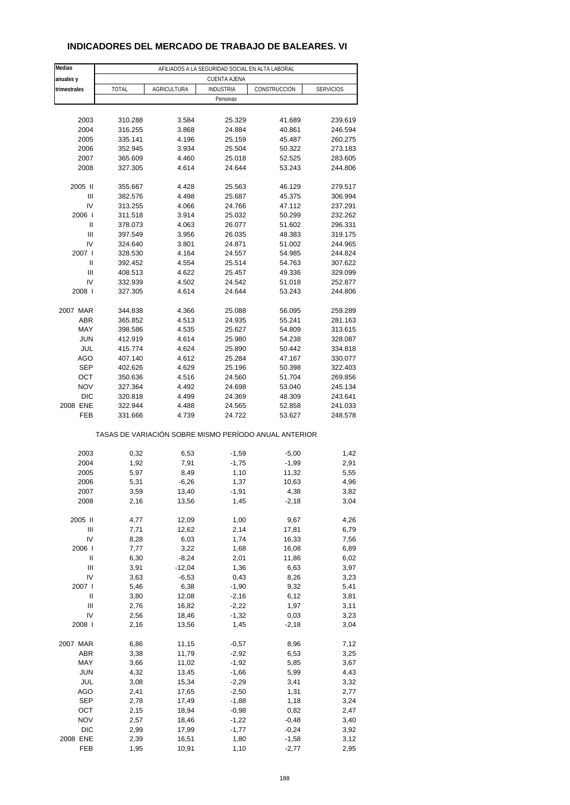| INDICADORES DEL MERCADO DE TRABAJO DE BALEARES. VI |  |
|----------------------------------------------------|--|
|----------------------------------------------------|--|

| Medias                             |              |                                                       | AFILIADOS A LA SEGURIDAD SOCIAL EN ALTA LABORAL |              |                  |
|------------------------------------|--------------|-------------------------------------------------------|-------------------------------------------------|--------------|------------------|
| anuales y                          |              |                                                       | <b>CUENTA AJENA</b>                             |              |                  |
| trimestrales                       | <b>TOTAL</b> | AGRICULTURA                                           | <b>INDUSTRIA</b>                                | CONSTRUCCIÓN | <b>SERVICIOS</b> |
|                                    |              |                                                       | Personas                                        |              |                  |
|                                    |              |                                                       |                                                 |              |                  |
| 2003                               | 310.288      | 3.584                                                 | 25.329                                          | 41.689       | 239.619          |
| 2004                               | 316.255      | 3.868                                                 | 24.884                                          | 40.861       | 246.594          |
| 2005                               | 335.141      | 4.196                                                 | 25.159                                          | 45.487       | 260.275          |
| 2006                               | 352.945      | 3.934                                                 | 25.504                                          | 50.322       | 273.183          |
| 2007                               | 365.609      | 4.460                                                 | 25.018                                          | 52.525       | 283.605          |
| 2008                               | 327.305      | 4.614                                                 | 24.644                                          | 53.243       | 244.806          |
|                                    |              |                                                       |                                                 |              |                  |
| 2005 II                            | 355.667      | 4.428                                                 | 25.563                                          | 46.129       | 279.517          |
| Ш                                  | 382.576      | 4.498                                                 | 25.687                                          | 45.375       | 306.994          |
| IV                                 | 313.255      | 4.066                                                 | 24.766                                          | 47.112       | 237.291          |
| 2006                               | 311.518      | 3.914                                                 | 25.032                                          | 50.299       | 232.262          |
| Ш                                  | 378.073      | 4.063                                                 | 26.077                                          | 51.602       | 296.331          |
| Ш                                  | 397.549      | 3.956                                                 | 26.035                                          | 48.383       | 319.175          |
| IV                                 | 324.640      | 3.801                                                 | 24.871                                          | 51.002       | 244.965          |
| 2007 l                             | 328.530      | 4.164                                                 | 24.557                                          | 54.985       | 244.824          |
| $\mathsf{II}%$                     | 392.452      | 4.554                                                 | 25.514                                          | 54.763       | 307.622          |
| Ш                                  | 408.513      | 4.622                                                 | 25.457                                          | 49.336       | 329.099          |
| IV                                 | 332.939      | 4.502                                                 | 24.542                                          | 51.018       | 252.877          |
| 2008                               | 327.305      | 4.614                                                 | 24.644                                          | 53.243       | 244.806          |
| 2007 MAR                           | 344.838      | 4.366                                                 | 25.088                                          | 56.095       | 259.289          |
| ABR                                | 365.852      | 4.513                                                 | 24.935                                          | 55.241       | 281.163          |
| MAY                                | 398.586      | 4.535                                                 | 25.627                                          | 54.809       | 313.615          |
| <b>JUN</b>                         | 412.919      | 4.614                                                 | 25.980                                          | 54.238       | 328.087          |
| JUL                                | 415.774      | 4.624                                                 | 25.890                                          | 50.442       | 334.818          |
| <b>AGO</b>                         | 407.140      | 4.612                                                 | 25.284                                          | 47.167       | 330.077          |
| <b>SEP</b>                         | 402.626      | 4.629                                                 | 25.196                                          | 50.398       | 322.403          |
| OCT                                | 350.636      | 4.516                                                 | 24.560                                          | 51.704       | 269.856          |
| <b>NOV</b>                         | 327.364      | 4.492                                                 | 24.698                                          | 53.040       | 245.134          |
| <b>DIC</b>                         | 320.818      | 4.499                                                 | 24.369                                          | 48.309       | 243.641          |
| 2008 ENE                           | 322.944      | 4.488                                                 | 24.565                                          | 52.858       | 241.033          |
| FEB                                | 331.666      | 4.739                                                 | 24.722                                          | 53.627       | 248.578          |
|                                    |              | TASAS DE VARIACIÓN SOBRE MISMO PERÍODO ANUAL ANTERIOR |                                                 |              |                  |
|                                    |              |                                                       |                                                 |              |                  |
| 2003                               | 0,32         | 6,53                                                  | $-1,59$                                         | $-5,00$      | 1,42             |
| 2004                               | 1,92         | 7,91                                                  | $-1,75$                                         | $-1,99$      | 2,91             |
| 2005                               | 5,97         | 8,49                                                  | 1,10                                            | 11,32        | 5,55             |
| 2006                               | 5,31         | $-6,26$                                               | 1,37                                            | 10,63        | 4,96             |
| 2007                               | 3,59         | 13,40                                                 | $-1,91$                                         | 4,38         | 3,82             |
| 2008                               | 2,16         | 13,56                                                 | 1,45                                            | $-2,18$      | 3,04             |
|                                    |              |                                                       |                                                 |              |                  |
| 2005 II                            | 4,77         | 12,09                                                 | 1,00                                            | 9,67         | 4,26             |
| $\ensuremath{\mathsf{III}}\xspace$ | 7,71         | 12,62                                                 | 2,14                                            | 17,81        | 6,79             |
| IV                                 | 8,28         | 6,03                                                  | 1,74                                            | 16,33        | 7,56             |
| 2006                               | 7,77         | 3,22                                                  | 1,68                                            | 16,08        | 6,89             |
| Ш                                  | 6,30         | $-8,24$                                               | 2,01                                            | 11,86        | 6,02             |
| Ш                                  | 3,91         | $-12,04$                                              | 1,36                                            | 6,63         | 3,97             |
| IV                                 | 3,63         | $-6,53$                                               | 0,43                                            | 8,26         | 3,23             |
| 2007 l                             | 5,46         | 6,38                                                  | $-1,90$                                         | 9,32         | 5,41             |
| Ш                                  | 3,80         | 12,08                                                 | $-2,16$                                         | 6,12         | 3,81             |
| Ш                                  | 2,76         | 16,82                                                 | $-2,22$                                         | 1,97         | 3,11             |
| IV                                 | 2,56         | 18,46                                                 | $-1,32$                                         | 0,03         | 3,23             |
| 2008                               | 2,16         | 13,56                                                 | 1,45                                            | $-2,18$      | 3,04             |
| 2007 MAR                           | 6,86         | 11,15                                                 | $-0,57$                                         | 8,96         | 7,12             |
| ABR                                | 3,38         | 11,79                                                 | $-2,92$                                         | 6,53         | 3,25             |
| MAY                                | 3,66         | 11,02                                                 | $-1,92$                                         | 5,85         | 3,67             |
| <b>JUN</b>                         | 4,32         | 13,45                                                 | $-1,66$                                         | 5,99         | 4,43             |
| JUL                                | 3,08         | 15,34                                                 | $-2,29$                                         | 3,41         | 3,32             |
| AGO                                | 2,41         | 17,65                                                 | $-2,50$                                         | 1,31         | 2,77             |
| <b>SEP</b>                         | 2,78         | 17,49                                                 | $-1,88$                                         | 1,18         | 3,24             |
| ОСТ                                | 2,15         | 18,94                                                 | $-0,98$                                         | 0,82         | 2,47             |
| <b>NOV</b>                         | 2,57         | 18,46                                                 | $-1,22$                                         | $-0,48$      | 3,40             |
| DIC                                | 2,99         | 17,99                                                 | $-1,77$                                         | $-0,24$      | 3,92             |
| 2008 ENE                           | 2,39         | 16,51                                                 | 1,80                                            | $-1,58$      | 3,12             |
| FEB                                | 1,95         | 10,91                                                 | 1,10                                            | $-2,77$      | 2,95             |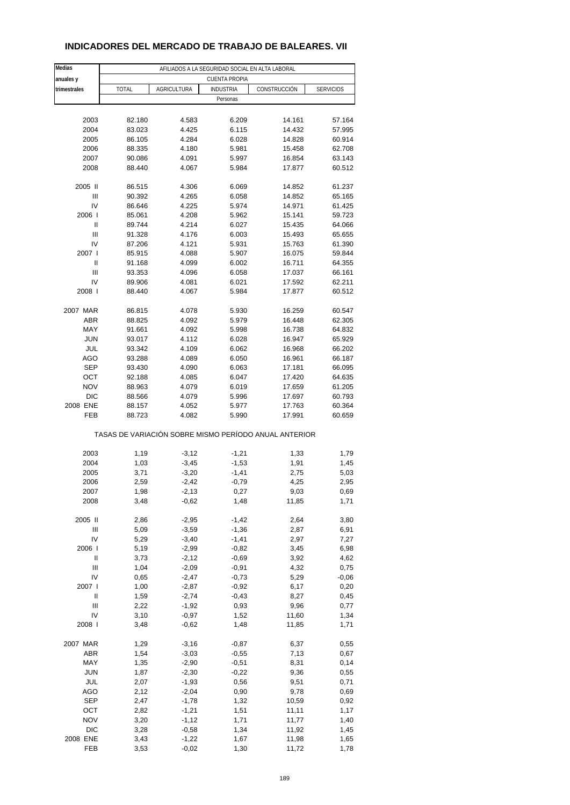# **INDICADORES DEL MERCADO DE TRABAJO DE BALEARES. VII**

| Medias             | AFILIADOS A LA SEGURIDAD SOCIAL EN ALTA LABORAL |                    |                      |                                                       |                  |  |  |  |
|--------------------|-------------------------------------------------|--------------------|----------------------|-------------------------------------------------------|------------------|--|--|--|
| anuales y          |                                                 |                    | <b>CUENTA PROPIA</b> |                                                       |                  |  |  |  |
| trimestrales       | <b>TOTAL</b>                                    | <b>AGRICULTURA</b> | <b>INDUSTRIA</b>     | CONSTRUCCIÓN                                          | <b>SERVICIOS</b> |  |  |  |
|                    |                                                 |                    | Personas             |                                                       |                  |  |  |  |
|                    |                                                 |                    |                      |                                                       |                  |  |  |  |
| 2003               | 82.180                                          | 4.583              | 6.209                | 14.161                                                | 57.164           |  |  |  |
| 2004               | 83.023                                          | 4.425              | 6.115                | 14.432                                                | 57.995           |  |  |  |
| 2005               | 86.105                                          | 4.284              | 6.028                | 14.828                                                | 60.914           |  |  |  |
| 2006               | 88.335                                          | 4.180              | 5.981                | 15.458                                                | 62.708           |  |  |  |
| 2007               | 90.086                                          | 4.091              | 5.997                | 16.854                                                | 63.143           |  |  |  |
| 2008               | 88.440                                          | 4.067              | 5.984                | 17.877                                                | 60.512           |  |  |  |
|                    |                                                 |                    |                      |                                                       |                  |  |  |  |
| 2005 II            | 86.515                                          | 4.306              | 6.069                | 14.852                                                | 61.237           |  |  |  |
| Ш                  | 90.392                                          | 4.265              | 6.058                | 14.852                                                | 65.165           |  |  |  |
| IV                 | 86.646                                          | 4.225              | 5.974                | 14.971                                                | 61.425           |  |  |  |
| 2006               | 85.061                                          | 4.208              | 5.962                | 15.141                                                | 59.723           |  |  |  |
| Ш                  | 89.744                                          | 4.214              | 6.027                | 15.435                                                | 64.066           |  |  |  |
| Ш                  | 91.328                                          | 4.176              | 6.003                | 15.493                                                | 65.655           |  |  |  |
| IV<br>2007 l       | 87.206<br>85.915                                | 4.121<br>4.088     | 5.931<br>5.907       | 15.763<br>16.075                                      | 61.390<br>59.844 |  |  |  |
| Ш                  | 91.168                                          | 4.099              | 6.002                | 16.711                                                | 64.355           |  |  |  |
| Ш                  | 93.353                                          | 4.096              | 6.058                | 17.037                                                | 66.161           |  |  |  |
| IV                 | 89.906                                          | 4.081              | 6.021                | 17.592                                                | 62.211           |  |  |  |
| 2008               | 88.440                                          | 4.067              | 5.984                | 17.877                                                | 60.512           |  |  |  |
|                    |                                                 |                    |                      |                                                       |                  |  |  |  |
| 2007 MAR           | 86.815                                          | 4.078              | 5.930                | 16.259                                                | 60.547           |  |  |  |
| <b>ABR</b>         | 88.825                                          | 4.092              | 5.979                | 16.448                                                | 62.305           |  |  |  |
| MAY                | 91.661                                          | 4.092              | 5.998                | 16.738                                                | 64.832           |  |  |  |
| <b>JUN</b>         | 93.017                                          | 4.112              | 6.028                | 16.947                                                | 65.929           |  |  |  |
| JUL                | 93.342                                          | 4.109              | 6.062                | 16.968                                                | 66.202           |  |  |  |
| AGO                | 93.288                                          | 4.089              | 6.050                | 16.961                                                | 66.187           |  |  |  |
| <b>SEP</b>         | 93.430                                          | 4.090              | 6.063                | 17.181                                                | 66.095           |  |  |  |
| OCT                | 92.188                                          | 4.085              | 6.047                | 17.420                                                | 64.635           |  |  |  |
| <b>NOV</b>         | 88.963                                          | 4.079              | 6.019                | 17.659                                                | 61.205           |  |  |  |
| <b>DIC</b>         | 88.566                                          | 4.079              | 5.996                | 17.697                                                | 60.793           |  |  |  |
| 2008 ENE           | 88.157                                          | 4.052              | 5.977                | 17.763                                                | 60.364           |  |  |  |
| FEB                | 88.723                                          | 4.082              | 5.990                | 17.991                                                | 60.659           |  |  |  |
|                    |                                                 |                    |                      | TASAS DE VARIACIÓN SOBRE MISMO PERÍODO ANUAL ANTERIOR |                  |  |  |  |
| 2003               | 1,19                                            | $-3,12$            | $-1,21$              | 1,33                                                  | 1,79             |  |  |  |
| 2004               | 1,03                                            | $-3,45$            | $-1,53$              | 1,91                                                  | 1,45             |  |  |  |
| 2005               | 3,71                                            | $-3,20$            | $-1,41$              | 2,75                                                  | 5,03             |  |  |  |
| 2006               | 2,59                                            | $-2,42$            | $-0,79$              | 4,25                                                  | 2,95             |  |  |  |
| 2007               | 1,98                                            | $-2,13$            | 0,27                 | 9,03                                                  | 0,69             |  |  |  |
| 2008               | 3,48                                            | $-0,62$            | 1,48                 | 11,85                                                 | 1,71             |  |  |  |
|                    |                                                 |                    |                      |                                                       |                  |  |  |  |
| 2005 II            | 2,86                                            | $-2,95$            | $-1,42$              | 2,64                                                  | 3,80             |  |  |  |
| Ш                  | 5,09                                            | $-3,59$            | $-1,36$              | 2,87                                                  | 6,91             |  |  |  |
| IV                 | 5,29                                            | $-3,40$            | $-1,41$              | 2,97                                                  | 7,27             |  |  |  |
| 2006               | 5,19                                            | $-2,99$            | $-0,82$              | 3,45                                                  | 6,98             |  |  |  |
| $\sf II$           | 3,73                                            | $-2,12$            | $-0,69$              | 3,92                                                  | 4,62             |  |  |  |
| Ш                  | 1,04                                            | $-2,09$            | $-0,91$              | 4,32                                                  | 0,75             |  |  |  |
| IV                 | 0,65                                            | $-2,47$            | $-0,73$              | 5,29                                                  | $-0,06$          |  |  |  |
| 2007 l<br>$\sf II$ | 1,00                                            | $-2,87$            | $-0,92$              | 6,17                                                  | 0,20             |  |  |  |
| Ш                  | 1,59<br>2,22                                    | $-2,74$<br>$-1,92$ | $-0,43$<br>0,93      | 8,27<br>9,96                                          | 0,45<br>0,77     |  |  |  |
| IV                 | 3,10                                            | $-0,97$            | 1,52                 | 11,60                                                 | 1,34             |  |  |  |
| 2008               | 3,48                                            | $-0,62$            | 1,48                 | 11,85                                                 | 1,71             |  |  |  |
|                    |                                                 |                    |                      |                                                       |                  |  |  |  |
| 2007 MAR           | 1,29                                            | $-3,16$            | $-0,87$              | 6,37                                                  | 0,55             |  |  |  |
| ABR                | 1,54                                            | $-3,03$            | $-0,55$              | 7,13                                                  | 0,67             |  |  |  |
| MAY                | 1,35                                            | $-2,90$            | $-0,51$              | 8,31                                                  | 0,14             |  |  |  |
| <b>JUN</b>         | 1,87                                            | $-2,30$            | $-0,22$              | 9,36                                                  | 0,55             |  |  |  |
| JUL                | 2,07                                            | $-1,93$            | 0,56                 | 9,51                                                  | 0,71             |  |  |  |
| AGO                | 2,12                                            | $-2,04$            | 0,90                 | 9,78                                                  | 0,69             |  |  |  |
| SEP                | 2,47                                            | $-1,78$            | 1,32                 | 10,59                                                 | 0,92             |  |  |  |
| OCT                | 2,82                                            | $-1,21$            | 1,51                 | 11,11                                                 | 1,17             |  |  |  |
| <b>NOV</b>         | 3,20                                            | $-1, 12$           | 1,71                 | 11,77                                                 | 1,40             |  |  |  |
| DIC                | 3,28                                            | $-0,58$            | 1,34                 | 11,92                                                 | 1,45             |  |  |  |
| 2008 ENE           | 3,43                                            | $-1,22$            | 1,67                 | 11,98                                                 | 1,65             |  |  |  |
| FEB                | 3,53                                            | $-0,02$            | 1,30                 | 11,72                                                 | 1,78             |  |  |  |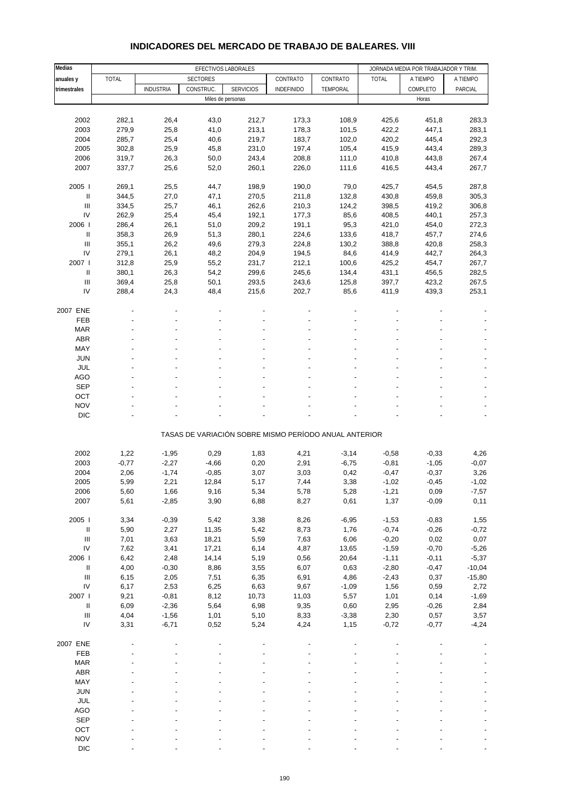| Medias                             |                |                  |                 | EFECTIVOS LABORALES |                   |                                                       |                | JORNADA MEDIA POR TRABAJADOR Y TRIM. |                |
|------------------------------------|----------------|------------------|-----------------|---------------------|-------------------|-------------------------------------------------------|----------------|--------------------------------------|----------------|
| anuales y                          | <b>TOTAL</b>   |                  | <b>SECTORES</b> |                     | CONTRATO          | CONTRATO                                              | <b>TOTAL</b>   | A TIEMPO                             | A TIEMPO       |
| trimestrales                       |                | <b>INDUSTRIA</b> | CONSTRUC.       | <b>SERVICIOS</b>    | <b>INDEFINIDO</b> | TEMPORAL                                              |                | COMPLETO                             | PARCIAL        |
|                                    |                |                  |                 | Miles de personas   |                   |                                                       |                | Horas                                |                |
|                                    |                |                  |                 |                     |                   |                                                       |                |                                      |                |
|                                    |                | 26,4             |                 |                     |                   |                                                       |                |                                      |                |
| 2002                               | 282,1          |                  | 43,0            | 212,7               | 173,3             | 108,9                                                 | 425,6          | 451,8                                | 283,3          |
| 2003                               | 279,9          | 25,8             | 41,0            | 213,1               | 178,3             | 101,5                                                 | 422,2          | 447,1                                | 283,1          |
| 2004                               | 285,7          | 25,4             | 40,6            | 219,7               | 183,7             | 102,0                                                 | 420,2          | 445,4                                | 292,3          |
| 2005                               | 302,8          | 25,9             | 45,8            | 231,0               | 197,4             | 105,4                                                 | 415,9          | 443,4                                | 289,3          |
| 2006                               | 319,7          | 26,3             | 50,0            | 243,4               | 208,8             | 111,0                                                 | 410,8          | 443,8                                | 267,4          |
| 2007                               | 337,7          | 25,6             | 52,0            | 260,1               | 226,0             | 111,6                                                 | 416,5          | 443,4                                | 267,7          |
| 2005                               | 269,1          | 25,5             | 44,7            | 198,9               | 190,0             | 79,0                                                  | 425,7          | 454,5                                | 287,8          |
| Ш                                  |                |                  |                 |                     |                   |                                                       |                |                                      |                |
| $\ensuremath{\mathsf{III}}\xspace$ | 344,5<br>334,5 | 27,0<br>25,7     | 47,1<br>46,1    | 270,5<br>262,6      | 211,8<br>210,3    | 132,8<br>124,2                                        | 430,8<br>398,5 | 459,8<br>419,2                       | 305,3<br>306,8 |
| IV                                 | 262,9          | 25,4             |                 |                     |                   |                                                       |                |                                      |                |
|                                    |                | 26,1             | 45,4            | 192,1               | 177,3<br>191,1    | 85,6                                                  | 408,5          | 440,1                                | 257,3          |
| 2006                               | 286,4          |                  | 51,0            | 209,2               |                   | 95,3                                                  | 421,0          | 454,0                                | 272,3          |
| $\ensuremath{\mathsf{II}}$         | 358,3          | 26,9             | 51,3            | 280,1               | 224,6             | 133,6                                                 | 418,7          | 457,7                                | 274,6          |
| $\ensuremath{\mathsf{III}}\xspace$ | 355,1          | 26,2             | 49,6            | 279,3               | 224,8             | 130,2                                                 | 388,8          | 420,8                                | 258,3          |
| IV                                 | 279,1          | 26,1             | 48,2            | 204,9               | 194,5             | 84,6                                                  | 414,9          | 442,7                                | 264,3          |
| 2007                               | 312,8          | 25,9             | 55,2            | 231,7               | 212,1             | 100,6                                                 | 425,2          | 454,7                                | 267,7          |
| Ш                                  | 380,1          | 26,3             | 54,2            | 299,6               | 245,6             | 134,4                                                 | 431,1          | 456,5                                | 282,5          |
| III                                | 369,4          | 25,8             | 50,1            | 293,5               | 243,6             | 125,8                                                 | 397,7          | 423,2                                | 267,5          |
| IV                                 | 288,4          | 24,3             | 48,4            | 215,6               | 202,7             | 85,6                                                  | 411,9          | 439,3                                | 253,1          |
|                                    |                |                  |                 |                     |                   |                                                       |                |                                      |                |
| 2007 ENE<br><b>FEB</b>             |                |                  |                 |                     |                   |                                                       |                |                                      |                |
|                                    |                |                  |                 |                     |                   |                                                       |                |                                      |                |
| <b>MAR</b>                         |                |                  |                 |                     |                   |                                                       |                |                                      |                |
| <b>ABR</b>                         |                |                  |                 |                     |                   |                                                       |                |                                      |                |
| MAY                                |                |                  |                 |                     |                   |                                                       |                |                                      |                |
| <b>JUN</b>                         |                |                  |                 |                     |                   |                                                       |                |                                      |                |
| JUL                                |                |                  |                 |                     |                   |                                                       |                |                                      |                |
| <b>AGO</b>                         |                |                  |                 |                     |                   |                                                       |                |                                      |                |
| <b>SEP</b>                         |                |                  |                 |                     |                   |                                                       |                |                                      |                |
| OCT                                |                |                  |                 |                     |                   |                                                       |                |                                      |                |
| <b>NOV</b>                         |                |                  |                 |                     |                   |                                                       |                |                                      |                |
| <b>DIC</b>                         |                |                  |                 |                     |                   |                                                       |                |                                      |                |
|                                    |                |                  |                 |                     |                   | TASAS DE VARIACIÓN SOBRE MISMO PERÍODO ANUAL ANTERIOR |                |                                      |                |
|                                    |                |                  |                 |                     |                   |                                                       |                |                                      |                |
| 2002                               | 1,22           | $-1,95$          | 0,29            | 1,83                | 4,21              | $-3,14$                                               | $-0,58$        | $-0,33$                              | 4,26           |
| 2003                               | $-0,77$        | $-2,27$          | $-4,66$         | 0,20                | 2,91              | $-6,75$                                               | $-0,81$        | $-1,05$                              | $-0,07$        |
| 2004                               | 2,06           | $-1,74$          | $-0,85$         | 3,07                | 3,03              | 0,42                                                  | $-0,47$        | $-0,37$                              | 3,26           |
| 2005                               | 5,99           | 2,21             | 12,84           | 5,17                | 7,44              | 3,38                                                  | $-1,02$        | $-0,45$                              | $-1,02$        |
| 2006                               | 5,60           | 1,66             | 9,16            | 5,34                | 5,78              | 5,28                                                  | $-1,21$        | 0,09                                 | $-7,57$        |
| 2007                               | 5,61           | $-2,85$          | 3,90            | 6,88                | 8,27              | 0,61                                                  | 1,37           | $-0,09$                              | 0,11           |
|                                    |                |                  |                 |                     |                   |                                                       |                |                                      |                |
| 2005 l                             | 3,34           | $-0,39$          | 5,42            | 3,38                | 8,26              | $-6,95$                                               | $-1,53$        | $-0,83$                              | 1,55           |
| $\ensuremath{\mathsf{II}}$         | 5,90           | 2,27             | 11,35           | 5,42                | 8,73              | 1,76                                                  | $-0,74$        | $-0,26$                              | $-0,72$        |
| $\begin{array}{c} \Pi \end{array}$ | 7,01           | 3,63             | 18,21           | 5,59                | 7,63              | 6,06                                                  | $-0,20$        | 0,02                                 | 0,07           |
| IV                                 | 7,62           | 3,41             | 17,21           | 6,14                | 4,87              | 13,65                                                 | $-1,59$        | $-0,70$                              | $-5,26$        |
| 2006                               | 6,42           | 2,48             | 14,14           | 5,19                | 0,56              | 20,64                                                 | $-1,11$        | $-0,11$                              | $-5,37$        |
| $\ensuremath{\mathsf{II}}$         | 4,00           | $-0,30$          | 8,86            | 3,55                | 6,07              | 0,63                                                  | $-2,80$        | $-0,47$                              | $-10,04$       |
| $\mathop{\mathrm{III}}\nolimits$   | 6,15           | 2,05             | 7,51            | 6,35                | 6,91              | 4,86                                                  | $-2,43$        | 0,37                                 | $-15,80$       |
| IV                                 | 6,17           | 2,53             | 6,25            | 6,63                | 9,67              | $-1,09$                                               | 1,56           | 0,59                                 | 2,72           |
| 2007 l                             | 9,21           | $-0,81$          | 8,12            | 10,73               | 11,03             | 5,57                                                  | 1,01           | 0,14                                 | $-1,69$        |
| $\ensuremath{\mathsf{II}}$         | 6,09           | $-2,36$          | 5,64            | 6,98                | 9,35              | 0,60                                                  | 2,95           | $-0,26$                              | 2,84           |
| $\ensuremath{\mathsf{III}}\xspace$ | 4,04           | $-1,56$          | 1,01            | 5,10                | 8,33              | $-3,38$                                               | 2,30           | 0,57                                 | 3,57           |
| IV                                 | 3,31           | $-6,71$          | 0,52            | 5,24                | 4,24              | 1,15                                                  | $-0,72$        | $-0,77$                              | $-4,24$        |
|                                    |                |                  |                 |                     |                   |                                                       |                |                                      |                |
| 2007 ENE                           |                |                  |                 |                     |                   |                                                       |                |                                      |                |
| FEB                                |                |                  |                 |                     |                   |                                                       |                |                                      |                |
| <b>MAR</b>                         |                |                  |                 |                     |                   |                                                       |                |                                      |                |
| <b>ABR</b>                         |                |                  |                 |                     |                   |                                                       |                |                                      |                |
| MAY                                |                |                  |                 |                     |                   |                                                       |                |                                      |                |
| <b>JUN</b>                         |                |                  |                 |                     |                   |                                                       |                |                                      |                |
| JUL                                |                |                  |                 |                     |                   |                                                       |                |                                      |                |
| AGO                                |                |                  |                 |                     |                   |                                                       |                |                                      |                |
| <b>SEP</b>                         |                |                  |                 |                     |                   |                                                       |                |                                      |                |
| OCT                                |                |                  |                 |                     |                   |                                                       |                |                                      |                |
| <b>NOV</b>                         |                |                  |                 |                     |                   |                                                       |                |                                      |                |

### **INDICADORES DEL MERCADO DE TRABAJO DE BALEARES. VIII**

DIC - - - - - - - - -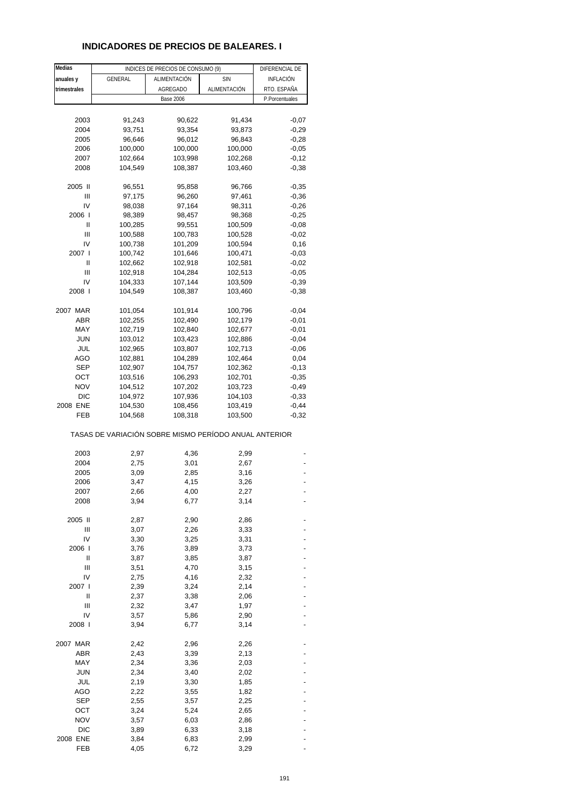### **INDICADORES DE PRECIOS DE BALEARES. I**

| Medias       |                                                       | INDICES DE PRECIOS DE CONSUMO (9) |              | DIFERENCIAL DE     |
|--------------|-------------------------------------------------------|-----------------------------------|--------------|--------------------|
| anuales y    | GENERAL                                               | ALIMENTACIÓN                      | <b>SIN</b>   | <b>INFLACIÓN</b>   |
| trimestrales |                                                       | AGREGADO                          | ALIMENTACIÓN | RTO. ESPAÑA        |
|              |                                                       | <b>Base 2006</b>                  |              | P.Porcentuales     |
|              |                                                       |                                   |              |                    |
| 2003         | 91,243                                                | 90,622                            | 91,434       | $-0,07$            |
| 2004         | 93,751                                                | 93,354                            | 93,873       | $-0,29$            |
| 2005         | 96,646                                                | 96,012                            | 96,843       | $-0,28$            |
| 2006         | 100,000                                               | 100,000                           | 100,000      | $-0,05$            |
| 2007         | 102,664                                               | 103,998                           | 102,268      | $-0,12$            |
| 2008         | 104,549                                               | 108,387                           | 103,460      | $-0,38$            |
|              |                                                       |                                   |              |                    |
| 2005 II      | 96,551                                                | 95,858                            | 96,766       | $-0,35$            |
| Ш            | 97,175                                                | 96,260                            | 97,461       | $-0,36$            |
| IV           | 98,038                                                | 97,164                            | 98,311       | $-0,26$            |
| 2006         | 98,389                                                | 98,457                            | 98,368       | $-0,25$            |
| Ш            | 100,285                                               | 99,551                            | 100,509      | $-0,08$            |
| Ш            | 100,588                                               | 100,783                           | 100,528      | $-0,02$            |
| IV           | 100,738                                               | 101,209                           | 100,594      | 0,16               |
| 2007 l       | 100,742                                               | 101,646                           | 100,471      | $-0.03$            |
| Ш            | 102,662                                               | 102,918                           | 102,581      | $-0,02$            |
| Ш            | 102,918                                               | 104,284                           | 102,513      | $-0.05$            |
| IV<br>2008 l | 104,333                                               | 107,144                           | 103,509      | $-0,39$<br>$-0,38$ |
|              | 104,549                                               | 108,387                           | 103,460      |                    |
| 2007 MAR     | 101,054                                               | 101,914                           | 100,796      | $-0,04$            |
| <b>ABR</b>   | 102,255                                               | 102,490                           | 102,179      | $-0,01$            |
| MAY          | 102,719                                               | 102,840                           | 102,677      | $-0,01$            |
| <b>JUN</b>   | 103,012                                               | 103,423                           | 102,886      | $-0,04$            |
| JUL          | 102,965                                               | 103,807                           | 102,713      | $-0,06$            |
| AGO          | 102,881                                               | 104,289                           | 102,464      | 0,04               |
| <b>SEP</b>   | 102,907                                               | 104,757                           | 102,362      | $-0,13$            |
| OCT          | 103,516                                               | 106,293                           | 102,701      | $-0,35$            |
| NOV          | 104,512                                               | 107,202                           | 103,723      | $-0,49$            |
| DIC          | 104,972                                               | 107,936                           | 104,103      | $-0,33$            |
| 2008 ENE     | 104,530                                               | 108,456                           | 103,419      | $-0,44$            |
| FEB          | 104,568                                               | 108,318                           | 103,500      | $-0,32$            |
|              | TASAS DE VARIACIÓN SOBRE MISMO PERÍODO ANUAL ANTERIOR |                                   |              |                    |
| 2003         | 2,97                                                  | 4,36                              | 2,99         |                    |
| 2004         | 2,75                                                  | 3,01                              | 2,67         |                    |
| 2005         | 3,09                                                  | 2,85                              | 3,16         |                    |
| 2006         | 3,47                                                  | 4,15                              | 3,26         |                    |
| 2007         | 2,66                                                  | 4,00                              | 2,27         |                    |
| 2008         | 3,94                                                  | 6,77                              | 3,14         |                    |
|              |                                                       |                                   |              |                    |
| 2005 II      | 2,87                                                  | 2,90                              | 2,86         |                    |
| Ш            | 3,07                                                  | 2,26                              | 3,33         |                    |
| IV           | 3,30                                                  | 3,25                              | 3,31         |                    |
| 2006 l       | 3,76                                                  | 3,89                              | 3,73         |                    |
| Ш            | 3,87                                                  | 3,85                              | 3,87         |                    |
| Ш            | 3,51                                                  | 4,70                              | 3,15         |                    |
| IV           | 2,75                                                  | 4,16                              | 2,32         |                    |
| 2007 l       | 2,39                                                  | 3,24                              | 2,14         |                    |
| II           | 2,37                                                  | 3,38                              | 2,06         |                    |
| Ш            | 2,32                                                  | 3,47                              | 1,97         |                    |
| IV<br>2008 l | 3,57<br>3,94                                          | 5,86<br>6,77                      | 2,90<br>3,14 |                    |
|              |                                                       |                                   |              |                    |
| 2007 MAR     | 2,42                                                  | 2,96                              | 2,26         |                    |
| ABR          | 2,43                                                  | 3,39                              | 2,13         |                    |
| MAY          | 2,34                                                  | 3,36                              | 2,03         |                    |
| <b>JUN</b>   | 2,34                                                  | 3,40                              | 2,02         |                    |
| JUL          | 2,19                                                  | 3,30                              | 1,85         |                    |
| <b>AGO</b>   | 2,22                                                  | 3,55                              | 1,82         |                    |
| <b>SEP</b>   | 2,55                                                  | 3,57                              | 2,25         |                    |
| ост          | 3,24                                                  | 5,24                              | 2,65         |                    |
| <b>NOV</b>   | 3,57                                                  | 6,03                              | 2,86         |                    |
| <b>DIC</b>   | 3,89                                                  | 6,33                              | 3,18         |                    |
| 2008 ENE     | 3,84                                                  | 6,83                              | 2,99         |                    |
| FEB          | 4,05                                                  | 6,72                              | 3,29         |                    |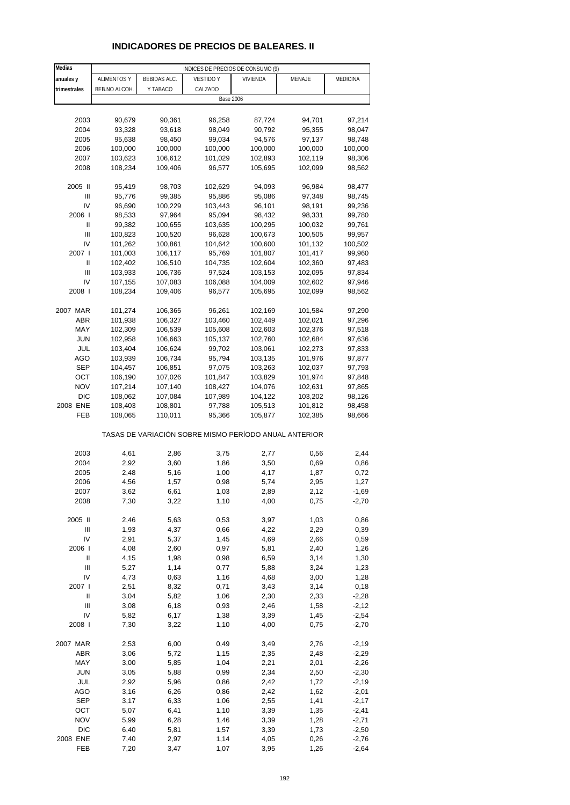### **INDICADORES DE PRECIOS DE BALEARES. II**

| Medias         |                    |              | INDICES DE PRECIOS DE CONSUMO (9)                     |          |         |          |
|----------------|--------------------|--------------|-------------------------------------------------------|----------|---------|----------|
| anuales y      | <b>ALIMENTOS Y</b> | BEBIDAS ALC. | <b>VESTIDO Y</b>                                      | VIVIENDA | MENAJE  | MEDICINA |
| trimestrales   | BEB.NO ALCOH.      | Y TABACO     | CALZADO                                               |          |         |          |
|                |                    |              | <b>Base 2006</b>                                      |          |         |          |
|                |                    |              |                                                       |          |         |          |
| 2003           | 90,679             | 90,361       | 96,258                                                | 87,724   | 94,701  | 97,214   |
|                |                    | 93,618       |                                                       |          |         |          |
| 2004           | 93,328             |              | 98,049                                                | 90,792   | 95,355  | 98,047   |
| 2005           | 95,638             | 98,450       | 99,034                                                | 94,576   | 97,137  | 98,748   |
| 2006           | 100,000            | 100,000      | 100,000                                               | 100,000  | 100,000 | 100,000  |
| 2007           | 103,623            | 106,612      | 101,029                                               | 102,893  | 102,119 | 98,306   |
| 2008           | 108,234            | 109,406      | 96,577                                                | 105,695  | 102,099 | 98,562   |
|                |                    |              |                                                       |          |         |          |
| 2005 II        | 95,419             | 98,703       | 102,629                                               | 94,093   | 96,984  | 98,477   |
| $\mathsf{III}$ | 95,776             | 99,385       | 95,886                                                | 95,086   | 97,348  | 98,745   |
| IV             | 96,690             | 100,229      | 103,443                                               | 96,101   | 98,191  | 99,236   |
| 2006           | 98,533             | 97,964       | 95,094                                                | 98,432   | 98,331  | 99,780   |
| Ш              | 99,382             | 100,655      | 103,635                                               | 100,295  | 100,032 | 99,761   |
| Ш              | 100,823            | 100,520      | 96,628                                                | 100,673  | 100,505 | 99,957   |
| IV             | 101,262            | 100,861      | 104,642                                               | 100,600  | 101,132 | 100,502  |
| 2007 l         | 101,003            | 106,117      | 95,769                                                | 101,807  | 101,417 | 99,960   |
| Ш              | 102,402            | 106,510      | 104,735                                               | 102,604  | 102,360 | 97,483   |
| $\mathsf{III}$ | 103,933            | 106,736      | 97,524                                                | 103,153  | 102,095 | 97,834   |
| IV             | 107,155            | 107,083      | 106,088                                               | 104,009  | 102,602 | 97,946   |
| 2008           | 108,234            | 109,406      | 96,577                                                | 105,695  | 102,099 | 98,562   |
|                |                    |              |                                                       |          |         |          |
|                |                    |              |                                                       |          |         |          |
| 2007 MAR       | 101,274            | 106,365      | 96,261                                                | 102,169  | 101,584 | 97,290   |
| ABR            | 101,938            | 106,327      | 103,460                                               | 102,449  | 102,021 | 97,296   |
| MAY            | 102,309            | 106,539      | 105,608                                               | 102,603  | 102,376 | 97,518   |
| JUN            | 102,958            | 106,663      | 105,137                                               | 102,760  | 102,684 | 97,636   |
| JUL            | 103,404            | 106,624      | 99,702                                                | 103,061  | 102,273 | 97,833   |
| AGO            | 103,939            | 106,734      | 95,794                                                | 103,135  | 101,976 | 97,877   |
| SEP            | 104,457            | 106,851      | 97,075                                                | 103,263  | 102,037 | 97,793   |
| ОСТ            | 106,190            | 107,026      | 101,847                                               | 103,829  | 101,974 | 97,848   |
| <b>NOV</b>     | 107,214            | 107,140      | 108,427                                               | 104,076  | 102,631 | 97,865   |
| <b>DIC</b>     | 108,062            | 107,084      | 107,989                                               | 104,122  | 103,202 | 98,126   |
| 2008 ENE       | 108,403            | 108,801      | 97,788                                                | 105,513  | 101,812 | 98,458   |
| FEB            | 108,065            | 110,011      | 95,366                                                | 105,877  | 102,385 | 98,666   |
|                |                    |              |                                                       |          |         |          |
|                |                    |              | TASAS DE VARIACIÓN SOBRE MISMO PERÍODO ANUAL ANTERIOR |          |         |          |
|                |                    |              |                                                       |          |         |          |
| 2003           | 4,61               | 2,86         | 3,75                                                  | 2,77     | 0,56    | 2,44     |
| 2004           | 2,92               | 3,60         | 1,86                                                  | 3,50     | 0,69    | 0,86     |
| 2005           | 2,48               | 5,16         | 1,00                                                  | 4,17     | 1,87    | 0,72     |
| 2006           | 4,56               | 1,57         | 0,98                                                  | 5,74     | 2,95    | 1,27     |
| 2007           | 3,62               | 6,61         | 1,03                                                  | 2,89     | 2,12    | $-1,69$  |
| 2008           | 7,30               | 3,22         | 1,10                                                  | 4,00     | 0,75    | $-2,70$  |
|                |                    |              |                                                       |          |         |          |
| 2005 II        | 2,46               | 5,63         | 0,53                                                  | 3,97     | 1,03    | 0,86     |
| Ш              | 1,93               | 4,37         | 0,66                                                  | 4,22     | 2,29    | 0,39     |
| IV             | 2,91               | 5,37         | 1,45                                                  | 4,69     | 2,66    | 0,59     |
| 2006           | 4,08               | 2,60         | 0,97                                                  | 5,81     | 2,40    | 1,26     |
| Ш              | 4,15               | 1,98         | 0,98                                                  | 6,59     | 3,14    | 1,30     |
| Ш              | 5,27               | 1,14         | 0,77                                                  | 5,88     | 3,24    | 1,23     |
| IV             | 4,73               | 0,63         | 1,16                                                  | 4,68     | 3,00    | 1,28     |
| 2007 l         | 2,51               | 8,32         | 0,71                                                  | 3,43     | 3,14    | 0,18     |
| Ш              | 3,04               | 5,82         | 1,06                                                  | 2,30     | 2,33    | $-2,28$  |
| Ш              | 3,08               | 6,18         | 0,93                                                  | 2,46     | 1,58    | $-2,12$  |
| IV             | 5,82               | 6,17         | 1,38                                                  | 3,39     | 1,45    | $-2,54$  |
| 2008           | 7,30               | 3,22         | 1,10                                                  | 4,00     | 0,75    | $-2,70$  |
|                |                    |              |                                                       |          |         |          |
| 2007 MAR       | 2,53               | 6,00         | 0,49                                                  | 3,49     | 2,76    | $-2,19$  |
| <b>ABR</b>     | 3,06               | 5,72         | 1,15                                                  | 2,35     | 2,48    | $-2,29$  |
| MAY            | 3,00               | 5,85         | 1,04                                                  | 2,21     | 2,01    | $-2,26$  |
| <b>JUN</b>     | 3,05               | 5,88         | 0,99                                                  | 2,34     | 2,50    | $-2,30$  |
| JUL            | 2,92               | 5,96         | 0,86                                                  | 2,42     | 1,72    | $-2,19$  |
| AGO            | 3,16               | 6,26         | 0,86                                                  | 2,42     | 1,62    | $-2,01$  |
|                |                    |              |                                                       |          |         |          |
| <b>SEP</b>     | 3,17               | 6,33         | 1,06                                                  | 2,55     | 1,41    | $-2,17$  |
| OCT            | 5,07               | 6,41         | 1,10                                                  | 3,39     | 1,35    | $-2,41$  |
| <b>NOV</b>     | 5,99               | 6,28         | 1,46                                                  | 3,39     | 1,28    | $-2,71$  |
| <b>DIC</b>     | 6,40               | 5,81         | 1,57                                                  | 3,39     | 1,73    | $-2,50$  |
| 2008 ENE       | 7,40               | 2,97         | 1,14                                                  | 4,05     | 0,26    | $-2,76$  |
| FEB            | 7,20               | 3,47         | 1,07                                                  | 3,95     | 1,26    | $-2,64$  |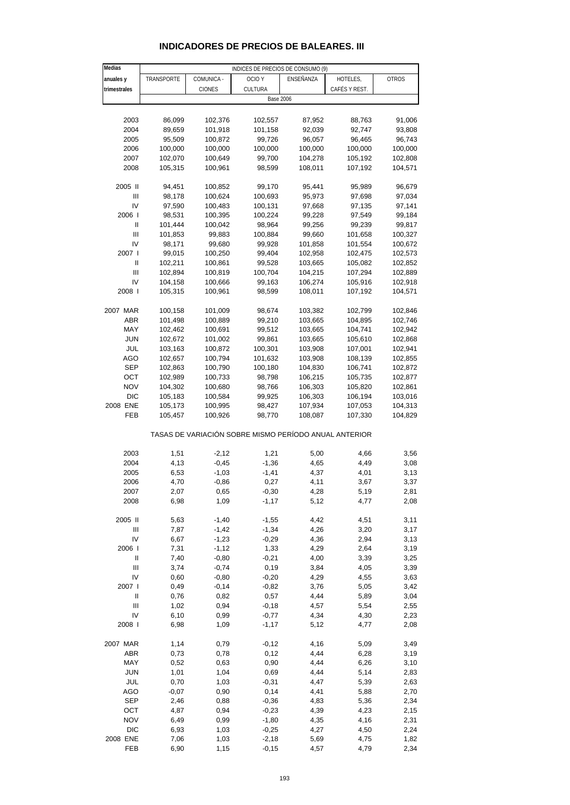| Medias                                |              |               | INDICES DE PRECIOS DE CONSUMO (9)                     |              |               |              |
|---------------------------------------|--------------|---------------|-------------------------------------------------------|--------------|---------------|--------------|
| anuales y                             | TRANSPORTE   | COMUNICA -    | OCIO Y                                                | ENSEÑANZA    | HOTELES,      | <b>OTROS</b> |
| trimestrales                          |              | <b>CIONES</b> | CULTURA                                               |              | CAFÉS Y REST. |              |
|                                       |              |               | <b>Base 2006</b>                                      |              |               |              |
|                                       |              |               |                                                       |              |               |              |
| 2003                                  | 86,099       | 102,376       | 102,557                                               | 87,952       | 88,763        | 91,006       |
| 2004                                  | 89,659       | 101,918       | 101,158                                               | 92,039       | 92,747        | 93,808       |
| 2005                                  | 95,509       | 100,872       | 99,726                                                | 96,057       | 96,465        | 96,743       |
| 2006                                  | 100,000      | 100,000       | 100,000                                               | 100,000      | 100,000       | 100,000      |
| 2007                                  | 102,070      | 100,649       | 99,700                                                | 104,278      | 105,192       | 102,808      |
| 2008                                  | 105,315      | 100,961       | 98,599                                                | 108,011      | 107,192       | 104,571      |
|                                       |              |               |                                                       |              |               |              |
| 2005 II                               | 94,451       | 100,852       | 99,170                                                | 95,441       | 95,989        | 96,679       |
| Ш                                     | 98,178       | 100,624       | 100,693                                               | 95,973       | 97,698        | 97,034       |
| IV                                    | 97,590       | 100,483       | 100,131                                               | 97,668       | 97,135        | 97,141       |
| 2006                                  | 98,531       | 100,395       | 100,224                                               | 99,228       | 97,549        | 99,184       |
| $\begin{array}{c} \hline \end{array}$ | 101,444      | 100,042       | 98,964                                                | 99,256       | 99,239        | 99,817       |
| $\mathbf{III}$                        | 101,853      | 99,883        | 100,884                                               | 99,660       | 101,658       | 100,327      |
| IV                                    | 98,171       | 99,680        | 99,928                                                | 101,858      | 101,554       | 100,672      |
| 2007 l                                | 99,015       | 100,250       | 99,404                                                | 102,958      | 102,475       | 102,573      |
| Ш                                     | 102,211      | 100,861       | 99,528                                                | 103,665      | 105,082       | 102,852      |
| Ш                                     | 102,894      | 100,819       | 100,704                                               | 104,215      | 107,294       | 102,889      |
| IV                                    | 104,158      | 100,666       | 99,163                                                | 106,274      | 105,916       | 102,918      |
| 2008 l                                | 105,315      | 100,961       | 98,599                                                | 108,011      | 107,192       | 104,571      |
|                                       |              |               |                                                       |              |               |              |
| 2007 MAR                              | 100,158      | 101,009       | 98,674                                                | 103,382      | 102,799       | 102,846      |
| ABR                                   | 101,498      | 100,889       | 99,210                                                | 103,665      | 104,895       | 102,746      |
| MAY                                   | 102,462      | 100,691       | 99,512                                                | 103,665      | 104,741       | 102,942      |
| <b>JUN</b>                            | 102,672      | 101,002       | 99,861                                                | 103,665      | 105,610       | 102,868      |
| JUL                                   | 103,163      | 100,872       | 100,301                                               | 103,908      | 107,001       | 102,941      |
| <b>AGO</b>                            | 102,657      | 100,794       | 101,632                                               | 103,908      | 108,139       | 102,855      |
| SEP                                   | 102,863      | 100,790       | 100,180                                               | 104,830      | 106,741       | 102,872      |
| OCT                                   | 102,989      | 100,733       | 98,798                                                | 106,215      | 105,735       | 102,877      |
| <b>NOV</b>                            | 104,302      | 100,680       | 98,766                                                | 106,303      | 105,820       | 102,861      |
| <b>DIC</b>                            | 105,183      | 100,584       | 99,925                                                | 106,303      | 106,194       | 103,016      |
| 2008 ENE                              | 105,173      | 100,995       | 98,427                                                | 107,934      | 107,053       | 104,313      |
| FEB                                   | 105,457      | 100,926       | 98,770                                                | 108,087      | 107,330       | 104,829      |
|                                       |              |               |                                                       |              |               |              |
|                                       |              |               | TASAS DE VARIACIÓN SOBRE MISMO PERÍODO ANUAL ANTERIOR |              |               |              |
| 2003                                  | 1,51         | $-2,12$       | 1,21                                                  | 5,00         | 4,66          | 3,56         |
| 2004                                  | 4,13         | $-0,45$       | $-1,36$                                               | 4,65         | 4,49          | 3,08         |
| 2005                                  | 6,53         | $-1,03$       | $-1,41$                                               | 4,37         | 4,01          | 3,13         |
| 2006                                  | 4,70         | $-0,86$       | 0,27                                                  | 4,11         | 3,67          | 3,37         |
| 2007                                  | 2,07         | 0,65          | $-0,30$                                               | 4,28         | 5,19          | 2,81         |
| 2008                                  | 6,98         | 1,09          | $-1,17$                                               | 5,12         | 4,77          | 2,08         |
|                                       |              |               |                                                       |              |               |              |
| 2005 II                               | 5,63         | $-1,40$       | $-1,55$                                               | 4,42         | 4,51          | 3,11         |
| Ш                                     | 7,87         | $-1,42$       | $-1,34$                                               | 4,26         | 3,20          | 3,17         |
| IV                                    | 6,67         | $-1,23$       | $-0,29$                                               | 4,36         | 2,94          | 3,13         |
| 2006                                  | 7,31         | $-1,12$       | 1,33                                                  | 4,29         | 2,64          | 3,19         |
| $\ensuremath{\mathsf{II}}$            | 7,40         | $-0,80$       | $-0,21$                                               | 4,00         | 3,39          | 3,25         |
| Ш                                     | 3,74         | $-0,74$       | 0, 19                                                 | 3,84         | 4,05          | 3,39         |
| IV                                    | 0,60         | $-0,80$       | $-0,20$                                               | 4,29         | 4,55          | 3,63         |
| 2007 l                                | 0,49         | $-0,14$       | $-0,82$                                               | 3,76         | 5,05          | 3,42         |
| $\ensuremath{\mathsf{II}}$            | 0,76         | 0,82          | 0,57                                                  | 4,44         | 5,89          | 3,04         |
| Ш                                     | 1,02         | 0,94          | $-0,18$                                               | 4,57         | 5,54          | 2,55         |
| IV                                    | 6,10         | 0,99          | $-0,77$                                               | 4,34         | 4,30          | 2,23         |
| 2008                                  | 6,98         | 1,09          | $-1,17$                                               | 5,12         | 4,77          | 2,08         |
| 2007 MAR                              | 1,14         | 0,79          | $-0,12$                                               | 4,16         | 5,09          | 3,49         |
| ABR                                   | 0,73         | 0,78          | 0,12                                                  | 4,44         | 6,28          | 3,19         |
|                                       |              |               |                                                       |              |               |              |
| MAY                                   | 0,52         | 0,63          | 0,90                                                  | 4,44         | 6,26          | 3,10         |
| <b>JUN</b>                            | 1,01         | 1,04          | 0,69                                                  | 4,44         | 5,14          | 2,83         |
| JUL                                   | 0,70         | 1,03          | $-0,31$                                               | 4,47         | 5,39          | 2,63         |
| AGO<br><b>SEP</b>                     | $-0,07$      | 0,90          | 0,14                                                  | 4,41         | 5,88          | 2,70         |
| OCT                                   | 2,46<br>4,87 | 0,88          | $-0,36$                                               | 4,83         | 5,36<br>4,23  | 2,34         |
| <b>NOV</b>                            | 6,49         | 0,94<br>0,99  | $-0,23$<br>$-1,80$                                    | 4,39<br>4,35 | 4,16          | 2,15<br>2,31 |
|                                       |              |               |                                                       |              |               |              |

#### **INDICADORES DE PRECIOS DE BALEARES. III**

 $\overline{\phantom{0}}$ 

 DIC 6,93 1,03 -0,25 4,27 4,50 2,24 2008 ENE 7,06 1,03 -2,18 5,69 4,75 1,82 FEB 6,90 1,15 -0,15 4,57 4,79 2,34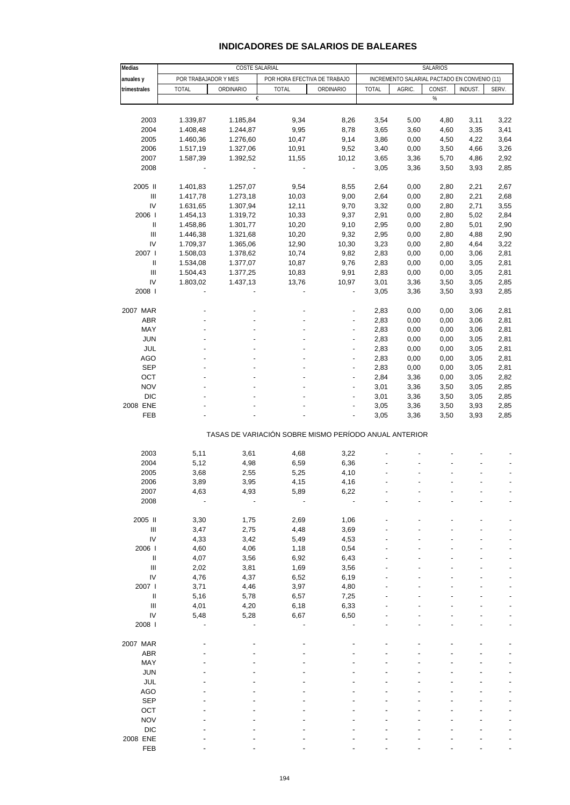| Medias                             |                                                                        | SALARIOS  |                                                       |                          |                                              |        |        |         |       |  |
|------------------------------------|------------------------------------------------------------------------|-----------|-------------------------------------------------------|--------------------------|----------------------------------------------|--------|--------|---------|-------|--|
| anuales y                          | COSTE SALARIAL<br>POR TRABAJADOR Y MES<br>POR HORA EFECTIVA DE TRABAJO |           |                                                       |                          | INCREMENTO SALARIAL PACTADO EN CONVENIO (11) |        |        |         |       |  |
| trimestrales                       | <b>TOTAL</b>                                                           | ORDINARIO | <b>TOTAL</b>                                          | ORDINARIO                | <b>TOTAL</b>                                 | AGRIC. | CONST. | INDUST. | SERV. |  |
|                                    |                                                                        | €         |                                                       |                          |                                              |        | $\%$   |         |       |  |
|                                    |                                                                        |           |                                                       |                          |                                              |        |        |         |       |  |
| 2003                               | 1.339,87                                                               | 1.185,84  | 9,34                                                  | 8,26                     | 3,54                                         | 5,00   | 4,80   | 3,11    | 3,22  |  |
| 2004                               | 1.408,48                                                               | 1.244,87  | 9,95                                                  | 8,78                     | 3,65                                         | 3,60   | 4,60   | 3,35    | 3,41  |  |
| 2005                               | 1.460,36                                                               | 1.276,60  | 10,47                                                 | 9,14                     | 3,86                                         | 0,00   | 4,50   | 4,22    | 3,64  |  |
| 2006                               | 1.517,19                                                               | 1.327,06  | 10,91                                                 | 9,52                     | 3,40                                         | 0,00   | 3,50   | 4,66    | 3,26  |  |
| 2007                               | 1.587,39                                                               | 1.392,52  | 11,55                                                 | 10,12                    | 3,65                                         | 3,36   | 5,70   | 4,86    | 2,92  |  |
| 2008                               |                                                                        |           | $\overline{a}$                                        | $\blacksquare$           | 3,05                                         | 3,36   | 3,50   | 3,93    | 2,85  |  |
| 2005 II                            | 1.401,83                                                               | 1.257,07  | 9,54                                                  | 8,55                     | 2,64                                         | 0,00   | 2,80   | 2,21    | 2,67  |  |
| $\ensuremath{\mathsf{III}}\xspace$ | 1.417,78                                                               | 1.273,18  | 10,03                                                 | 9,00                     | 2,64                                         | 0,00   | 2,80   | 2,21    | 2,68  |  |
| IV                                 | 1.631,65                                                               | 1.307,94  | 12,11                                                 | 9,70                     | 3,32                                         | 0,00   | 2,80   | 2,71    | 3,55  |  |
| 2006                               | 1.454,13                                                               | 1.319,72  | 10,33                                                 | 9,37                     | 2,91                                         | 0,00   | 2,80   | 5,02    | 2,84  |  |
| $\ensuremath{\mathsf{II}}$         | 1.458,86                                                               | 1.301,77  | 10,20                                                 | 9,10                     | 2,95                                         | 0,00   | 2,80   | 5,01    | 2,90  |  |
| $\ensuremath{\mathsf{III}}\xspace$ | 1.446,38                                                               | 1.321,68  | 10,20                                                 | 9,32                     | 2,95                                         | 0,00   | 2,80   | 4,88    | 2,90  |  |
| IV                                 | 1.709,37                                                               | 1.365,06  | 12,90                                                 | 10,30                    | 3,23                                         | 0,00   | 2,80   | 4,64    | 3,22  |  |
| 2007 l                             | 1.508,03                                                               | 1.378,62  | 10,74                                                 | 9,82                     | 2,83                                         | 0,00   | 0,00   | 3,06    | 2,81  |  |
| Ш                                  | 1.534,08                                                               | 1.377,07  | 10,87                                                 | 9,76                     | 2,83                                         | 0,00   | 0,00   | 3,05    | 2,81  |  |
| $\ensuremath{\mathsf{III}}\xspace$ | 1.504,43                                                               | 1.377,25  | 10,83                                                 | 9,91                     | 2,83                                         | 0,00   | 0,00   | 3,05    | 2,81  |  |
| IV                                 | 1.803,02                                                               | 1.437,13  | 13,76                                                 | 10,97                    | 3,01                                         | 3,36   | 3,50   | 3,05    | 2,85  |  |
| 2008                               |                                                                        |           |                                                       |                          | 3,05                                         | 3,36   | 3,50   | 3,93    | 2,85  |  |
| 2007 MAR                           |                                                                        |           |                                                       |                          | 2,83                                         | 0,00   | 0,00   | 3,06    | 2,81  |  |
| ABR                                |                                                                        |           |                                                       | $\overline{\phantom{a}}$ | 2,83                                         | 0,00   | 0,00   | 3,06    | 2,81  |  |
| MAY                                |                                                                        |           |                                                       |                          | 2,83                                         | 0,00   | 0,00   | 3,06    | 2,81  |  |
| <b>JUN</b>                         |                                                                        |           |                                                       | $\blacksquare$           | 2,83                                         | 0,00   | 0,00   | 3,05    | 2,81  |  |
| JUL                                |                                                                        |           |                                                       | $\overline{a}$           | 2,83                                         | 0,00   | 0,00   | 3,05    | 2,81  |  |
| <b>AGO</b>                         |                                                                        |           |                                                       |                          | 2,83                                         | 0,00   | 0,00   | 3,05    | 2,81  |  |
| <b>SEP</b>                         |                                                                        |           | ÷                                                     | $\blacksquare$           | 2,83                                         | 0,00   | 0,00   | 3,05    | 2,81  |  |
| OCT                                |                                                                        |           |                                                       | ÷,                       | 2,84                                         | 3,36   | 0,00   | 3,05    | 2,82  |  |
| <b>NOV</b>                         |                                                                        |           |                                                       |                          | 3,01                                         | 3,36   | 3,50   | 3,05    | 2,85  |  |
| <b>DIC</b>                         |                                                                        |           |                                                       | $\blacksquare$           | 3,01                                         | 3,36   | 3,50   | 3,05    | 2,85  |  |
| 2008 ENE                           |                                                                        |           |                                                       |                          | 3,05                                         | 3,36   | 3,50   | 3,93    | 2,85  |  |
| FEB                                |                                                                        |           |                                                       |                          | 3,05                                         | 3,36   | 3,50   | 3,93    | 2,85  |  |
|                                    |                                                                        |           | TASAS DE VARIACIÓN SOBRE MISMO PERÍODO ANUAL ANTERIOR |                          |                                              |        |        |         |       |  |
|                                    |                                                                        |           |                                                       |                          |                                              |        |        |         |       |  |
| 2003                               | 5,11                                                                   | 3,61      | 4,68                                                  | 3,22                     |                                              |        |        |         |       |  |
| 2004                               | 5,12                                                                   | 4,98      | 6,59                                                  | 6,36                     |                                              |        |        |         |       |  |
| 2005                               | 3,68                                                                   | 2,55      | 5,25                                                  | 4,10                     |                                              |        |        |         |       |  |
| 2006                               | 3,89                                                                   | 3,95      | 4,15                                                  | 4,16                     |                                              |        |        |         |       |  |
| 2007                               | 4,63                                                                   | 4,93      | 5,89                                                  | 6,22                     |                                              |        |        |         |       |  |
| 2008                               |                                                                        |           |                                                       |                          |                                              |        |        |         |       |  |
| 2005 II                            | 3,30                                                                   | 1,75      | 2,69                                                  | 1,06                     |                                              |        |        |         |       |  |
| $\ensuremath{\mathsf{III}}\xspace$ | 3,47                                                                   | 2,75      | 4,48                                                  | 3,69                     |                                              |        |        |         |       |  |
| IV                                 | 4,33                                                                   | 3,42      | 5,49                                                  | 4,53                     |                                              |        |        |         |       |  |
| 2006                               | 4,60                                                                   | 4,06      | 1,18                                                  | 0,54                     |                                              |        |        |         |       |  |
| Ш                                  | 4,07                                                                   | 3,56      | 6,92                                                  | 6,43                     |                                              |        |        |         |       |  |
| $\ensuremath{\mathsf{III}}\xspace$ | 2,02                                                                   | 3,81      | 1,69                                                  | 3,56                     |                                              |        |        |         |       |  |
| IV                                 | 4,76                                                                   | 4,37      | 6,52                                                  | 6,19                     |                                              |        |        |         |       |  |
| 2007 l                             | 3,71                                                                   | 4,46      | 3,97                                                  | 4,80                     |                                              |        |        |         |       |  |
| Ш                                  | 5,16                                                                   | 5,78      | 6,57                                                  | 7,25                     |                                              |        |        |         |       |  |
| $\ensuremath{\mathsf{III}}\xspace$ | 4,01                                                                   | 4,20      | 6,18                                                  | 6,33                     |                                              |        |        |         |       |  |
| IV                                 | 5,48                                                                   | 5,28      | 6,67                                                  | 6,50                     |                                              |        |        |         |       |  |
| 2008                               |                                                                        |           |                                                       |                          |                                              |        |        |         |       |  |
| 2007 MAR                           |                                                                        |           |                                                       |                          |                                              |        |        |         |       |  |
| ABR                                |                                                                        |           |                                                       |                          |                                              |        |        |         |       |  |
| MAY                                |                                                                        |           |                                                       |                          |                                              |        |        |         |       |  |
| <b>JUN</b>                         |                                                                        |           |                                                       |                          |                                              |        |        |         |       |  |
| <b>JUL</b>                         |                                                                        |           |                                                       |                          |                                              |        |        |         |       |  |
| <b>AGO</b>                         |                                                                        |           |                                                       |                          |                                              |        |        |         |       |  |
| <b>SEP</b>                         |                                                                        |           |                                                       |                          |                                              |        |        |         |       |  |
| OCT                                |                                                                        |           |                                                       |                          |                                              |        |        |         |       |  |
| <b>NOV</b>                         |                                                                        |           |                                                       |                          |                                              |        |        |         |       |  |
| <b>DIC</b>                         |                                                                        |           |                                                       |                          |                                              |        |        |         |       |  |
| 2008 ENE                           |                                                                        |           |                                                       |                          |                                              |        |        |         |       |  |
| FEB                                |                                                                        |           |                                                       |                          |                                              |        |        |         |       |  |
|                                    |                                                                        |           |                                                       |                          |                                              |        |        |         |       |  |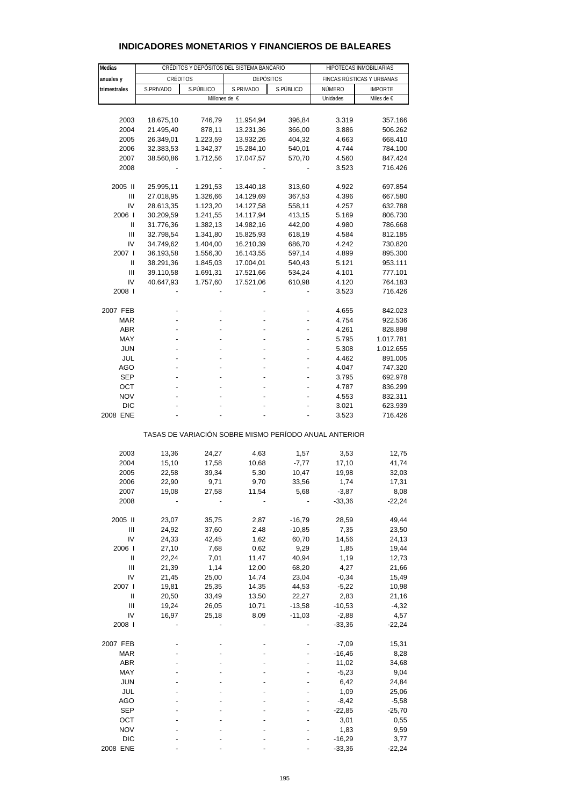| Medias       |                |                        | CRÉDITOS Y DEPÓSITOS DEL SISTEMA BANCARIO             | HIPOTECAS INMOBILIARIAS |                           |                |  |  |
|--------------|----------------|------------------------|-------------------------------------------------------|-------------------------|---------------------------|----------------|--|--|
| anuales y    | CRÉDITOS       |                        | <b>DEPÓSITOS</b>                                      |                         | FINCAS RÚSTICAS Y URBANAS |                |  |  |
| trimestrales | S.PRIVADO      | S.PÚBLICO<br>S.PRIVADO |                                                       | S.PÚBLICO               | NÚMERO                    | <b>IMPORTE</b> |  |  |
|              |                |                        | Millones de €                                         |                         | Unidades                  | Miles de €     |  |  |
|              |                |                        |                                                       |                         |                           |                |  |  |
| 2003         | 18.675,10      | 746,79                 | 11.954,94                                             | 396,84                  | 3.319                     | 357.166        |  |  |
| 2004         | 21.495,40      | 878,11                 | 13.231,36                                             | 366,00                  | 3.886                     | 506.262        |  |  |
| 2005         | 26.349,01      | 1.223,59               | 13.932,26                                             | 404,32                  | 4.663                     | 668.410        |  |  |
| 2006         | 32.383,53      | 1.342,37               | 15.284,10                                             | 540,01                  | 4.744                     | 784.100        |  |  |
| 2007         | 38.560,86      | 1.712,56               | 17.047,57                                             | 570,70                  | 4.560                     | 847.424        |  |  |
| 2008         |                |                        |                                                       |                         | 3.523                     | 716.426        |  |  |
|              |                |                        |                                                       |                         |                           |                |  |  |
| 2005 II      | 25.995,11      | 1.291,53               | 13.440,18                                             | 313,60                  | 4.922                     | 697.854        |  |  |
| Ш            | 27.018,95      | 1.326,66               | 14.129,69                                             | 367,53                  | 4.396                     | 667.580        |  |  |
| IV           | 28.613,35      | 1.123,20               | 14.127,58                                             | 558,11                  | 4.257                     | 632.788        |  |  |
| 2006         | 30.209,59      | 1.241,55               | 14.117,94                                             | 413,15                  | 5.169                     | 806.730        |  |  |
| Ш            | 31.776,36      | 1.382,13               | 14.982,16                                             | 442,00                  | 4.980                     | 786.668        |  |  |
| Ш            | 32.798,54      | 1.341,80               | 15.825,93                                             | 618,19                  | 4.584                     | 812.185        |  |  |
| IV           | 34.749,62      | 1.404,00               | 16.210,39                                             | 686,70                  | 4.242                     | 730.820        |  |  |
| 2007 l       | 36.193,58      | 1.556,30               | 16.143,55                                             | 597,14                  | 4.899                     | 895.300        |  |  |
| Ш            | 38.291,36      | 1.845,03               | 17.004,01                                             | 540,43                  | 5.121                     | 953.111        |  |  |
| Ш            | 39.110,58      | 1.691,31               | 17.521,66                                             | 534,24                  | 4.101                     | 777.101        |  |  |
| IV           | 40.647,93      | 1.757,60               | 17.521,06                                             | 610,98                  | 4.120                     | 764.183        |  |  |
| 2008         |                |                        |                                                       |                         | 3.523                     | 716.426        |  |  |
|              |                |                        |                                                       |                         |                           |                |  |  |
| 2007 FEB     |                |                        |                                                       |                         | 4.655                     | 842.023        |  |  |
| <b>MAR</b>   |                |                        |                                                       |                         | 4.754                     | 922.536        |  |  |
| <b>ABR</b>   |                |                        |                                                       |                         | 4.261                     | 828.898        |  |  |
| MAY          |                |                        |                                                       |                         | 5.795                     | 1.017.781      |  |  |
| <b>JUN</b>   |                |                        |                                                       |                         | 5.308                     | 1.012.655      |  |  |
| JUL          |                |                        |                                                       |                         | 4.462                     | 891.005        |  |  |
| AGO          |                |                        |                                                       |                         | 4.047                     | 747.320        |  |  |
| <b>SEP</b>   |                |                        |                                                       |                         | 3.795                     | 692.978        |  |  |
| ост          |                |                        |                                                       |                         | 4.787                     | 836.299        |  |  |
| <b>NOV</b>   |                |                        |                                                       |                         | 4.553                     | 832.311        |  |  |
| DIC          |                |                        |                                                       |                         | 3.021                     | 623.939        |  |  |
| 2008 ENE     |                |                        |                                                       |                         | 3.523                     | 716.426        |  |  |
|              |                |                        |                                                       |                         |                           |                |  |  |
|              |                |                        | TASAS DE VARIACIÓN SOBRE MISMO PERÍODO ANUAL ANTERIOR |                         |                           |                |  |  |
|              |                |                        |                                                       |                         |                           |                |  |  |
| 2003         | 13,36          | 24,27                  | 4,63                                                  | 1,57                    | 3,53                      | 12,75          |  |  |
| 2004         | 15,10          | 17,58                  | 10,68                                                 | $-7,77$                 | 17,10                     | 41,74          |  |  |
| 2005         | 22,58          | 39,34                  | 5,30                                                  | 10,47                   | 19,98                     | 32,03          |  |  |
| 2006         | 22,90          | 9,71                   | 9,70                                                  | 33,56                   | 1,74                      | 17,31          |  |  |
| 2007         | 19,08          | 27,58                  | 11,54                                                 | 5,68                    | $-3,87$                   | 8,08           |  |  |
| 2008         |                |                        |                                                       |                         | $-33,36$                  | $-22,24$       |  |  |
| 2005 II      | 23,07          | 35,75                  | 2,87                                                  | $-16,79$                | 28,59                     | 49,44          |  |  |
| Ш            |                |                        |                                                       |                         |                           |                |  |  |
| IV           | 24,92<br>24,33 | 37,60                  | 2,48<br>1,62                                          | $-10,85$<br>60,70       | 7,35<br>14,56             | 23,50          |  |  |
| 2006         |                | 42,45<br>7,68          | 0,62                                                  |                         |                           | 24,13          |  |  |
| $\sf II$     | 27,10          |                        |                                                       | 9,29                    | 1,85                      | 19,44          |  |  |
|              | 22,24          | 7,01                   | 11,47                                                 | 40,94                   | 1,19                      | 12,73          |  |  |
| Ш            | 21,39          | 1,14                   | 12,00                                                 | 68,20                   | 4,27                      | 21,66          |  |  |
| IV           | 21,45          | 25,00                  | 14,74                                                 | 23,04                   | $-0,34$                   | 15,49          |  |  |
| 2007 l       | 19,81          | 25,35                  | 14,35                                                 | 44,53                   | $-5,22$                   | 10,98          |  |  |
| $\sf II$     | 20,50          | 33,49                  | 13,50                                                 | 22,27                   | 2,83                      | 21,16          |  |  |
| Ш            | 19,24          | 26,05                  | 10,71                                                 | $-13,58$                | $-10,53$                  | $-4,32$        |  |  |
| IV           | 16,97          | 25,18                  | 8,09                                                  | $-11,03$                | $-2,88$                   | 4,57           |  |  |
| 2008         |                |                        |                                                       |                         | $-33,36$                  | $-22,24$       |  |  |
| 2007 FEB     |                |                        |                                                       |                         | $-7,09$                   | 15,31          |  |  |
|              |                |                        |                                                       |                         |                           |                |  |  |
| <b>MAR</b>   |                |                        |                                                       |                         | $-16,46$                  | 8,28           |  |  |
| ABR          |                |                        |                                                       |                         | 11,02                     | 34,68          |  |  |
| MAY          |                |                        |                                                       |                         | $-5,23$                   | 9,04           |  |  |
| <b>JUN</b>   |                |                        |                                                       |                         | 6,42                      | 24,84          |  |  |
| JUL          |                |                        |                                                       |                         | 1,09                      | 25,06          |  |  |
| AGO          |                |                        |                                                       |                         | $-8,42$                   | $-5,58$        |  |  |
| <b>SEP</b>   |                |                        |                                                       |                         | $-22,85$                  | $-25,70$       |  |  |
| OCT          |                |                        |                                                       |                         | 3,01                      | 0,55           |  |  |
| <b>NOV</b>   |                |                        |                                                       |                         | 1,83                      | 9,59           |  |  |

#### **INDICADORES MONETARIOS Y FINANCIEROS DE BALEARES**

 DIC - - - - -16,29 3,77 2008 ENE ---- -33,36 -22,24